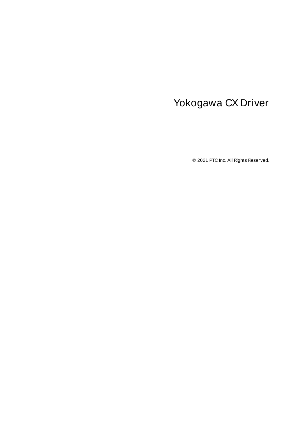# <span id="page-0-0"></span>Yokogawa CX Driver

© 2021 PTC Inc. All Rights Reserved.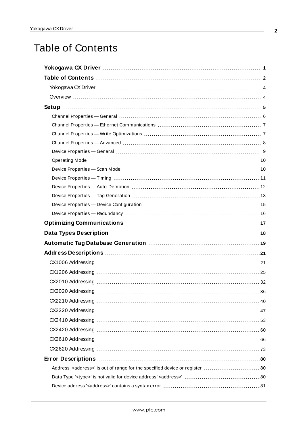# <span id="page-1-0"></span>Table of Contents

| Address' <address>' is out of range for the specified device or register  80</address> |
|----------------------------------------------------------------------------------------|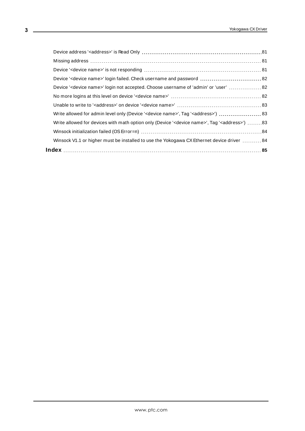| Device ' <device name="">' login not accepted. Choose username of 'admin' or 'user'  82</device>                    |  |
|---------------------------------------------------------------------------------------------------------------------|--|
|                                                                                                                     |  |
|                                                                                                                     |  |
|                                                                                                                     |  |
| 83 ('Write allowed for devices with math option only (Device ' <device name="">', Tag '<address></address></device> |  |
|                                                                                                                     |  |
| Winsock V1.1 or higher must be installed to use the Yokogawa CX Ethernet device driver  84                          |  |
|                                                                                                                     |  |
|                                                                                                                     |  |

<u> 1989 - Johann Barbara, martxa a</u>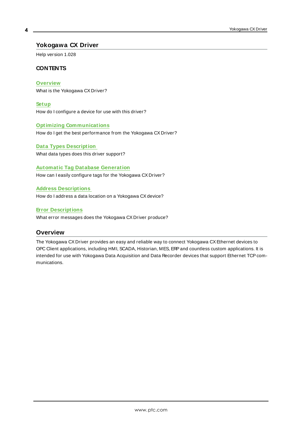# <span id="page-3-0"></span>**Yokogawa CX Driver**

Help version 1.028

#### **CONTENTS**

**[Overview](#page-3-1)** What is the Yokogawa CX Driver?

**[Setup](#page-4-0)** How do I configure a device for use with this driver?

### **Optimizing [Communications](#page-16-0)**

How do I get the best performance from the Yokogawa CX Driver?

# **Data Types [Description](#page-17-0)**

What data types does this driver support?

# **Automatic Tag Database [Generation](#page-18-0)**

How can I easily configure tags for the Yokogawa CX Driver?

#### **Address [Descriptions](#page-20-0)**

How do I address a data location on a Yokogawa CX device?

#### **Error [Descriptions](#page-79-0)**

<span id="page-3-1"></span>What error messages does the Yokogawa CX Driver produce?

#### **Overview**

The Yokogawa CX Driver provides an easy and reliable way to connect Yokogawa CXEthernet devices to OPC Client applications, including HMI, SCADA, Historian, MES, ERP and countless custom applications. It is intended for use with Yokogawa Data Acquisition and Data Recorder devices that support Ethernet TCP communications.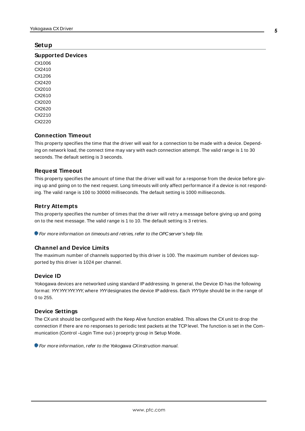#### <span id="page-4-0"></span>**Setup**

#### **Supported Devices**

CX1006 CX2410 CX1206 CX2420 CX2010 CX2610 CX2020 CX2620 CX2210 CX2220

#### **Connection Timeout**

This property specifies the time that the driver will wait for a connection to be made with a device. Depending on network load, the connect time may vary with each connection attempt. The valid range is 1 to 30 seconds. The default setting is 3 seconds.

#### **Request Timeout**

This property specifies the amount of time that the driver will wait for a response from the device before giving up and going on to the next request. Long timeouts will only affect performance if a device is not responding. The valid range is 100 to 30000 milliseconds. The default setting is 1000 milliseconds.

#### **Retry Attempts**

This property specifies the number of times that the driver will retry a message before giving up and going on to the next message. The valid range is 1 to 10. The default setting is 3 retries.

For more information on timeouts and retries, refer to the OPC server's help file.

#### **Channel and Device Limits**

The maximum number of channels supported by this driver is 100. The maximum number of devices supported by this driver is 1024 per channel.

#### **Device ID**

Yokogawa devices are networked using standard IPaddressing. In general, the Device ID has the following format: YYY.YYY.YYY, where YYYdesignates the device IP address. Each YYYbyte should be in the range of 0 to 255.

#### **Device Settings**

The CXunit should be configured with the Keep Alive function enabled. This allows the CXunit to drop the connection if there are no responses to periodic test packets at the TCPlevel. The function is set in the Communication (Control –Login Time out-) proeprty group in Setup Mode.

For more information, refer to the Yokogawa CXinstruction manual.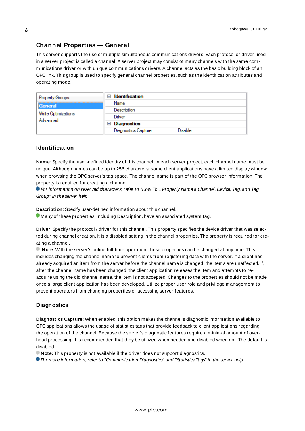# <span id="page-5-0"></span>**Channel Properties — General**

This server supports the use of multiple simultaneous communications drivers. Each protocol or driver used in a server project is called a channel. A server project may consist of many channels with the same communications driver or with unique communications drivers. A channel acts as the basic building block of an OPC link. This group is used to specify general channel properties, such as the identification attributes and operating mode.

| <b>Property Groups</b>          | <b>Identification</b><br>-1         |                |
|---------------------------------|-------------------------------------|----------------|
| General                         | Name                                |                |
| Write Optimizations<br>Advanced | Description                         |                |
|                                 | Driver                              |                |
|                                 | <b>Diagnostics</b><br>$\overline{}$ |                |
|                                 | <b>Diagnostics Capture</b>          | <b>Disable</b> |

#### **Identification**

**Name**: Specify the user-defined identity of this channel. In each server project, each channel name must be unique. Although names can be up to 256 characters, some client applications have a limited display window when browsing the OPC server's tag space. The channel name is part of the OPC browser information. The property is required for creating a channel.

For information on reserved characters, refer to "How To... Properly Name a Channel, Device, Tag, and Tag Group" in the server help.

**Description**: Specify user-defined information about this channel.

Many of these properties, including Description, have an associated system tag.

**Driver**: Specify the protocol / driver for this channel. This property specifies the device driver that was selected during channel creation. It is a disabled setting in the channel properties. The property is required for creating a channel.

**Note**: With the server's online full-time operation, these properties can be changed at any time. This includes changing the channel name to prevent clients from registering data with the server. If a client has already acquired an item from the server before the channel name is changed, the items are unaffected. If, after the channel name has been changed, the client application releases the item and attempts to reacquire using the old channel name, the item is not accepted. Changes to the properties should not be made once a large client application has been developed. Utilize proper user role and privilege management to prevent operators from changing properties or accessing server features.

#### **Diagnostics**

**Diagnostics Capture**: When enabled, this option makes the channel's diagnostic information available to OPC applications allows the usage of statistics tags that provide feedback to client applications regarding the operation of the channel. Because the server's diagnostic features require a minimal amount of overhead processing, it is recommended that they be utilized when needed and disabled when not. The default is disabled.

**Note:** This property is not available if the driver does not support diagnostics.

**• For more information, refer to "Communication Diagnostics" and "Statistics Tags" in the server help.**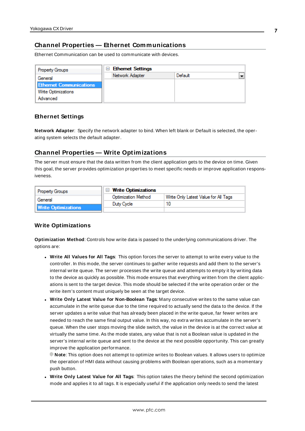# <span id="page-6-0"></span>**Channel Properties — Ethernet Communications**

Ethernet Communication can be used to communicate with devices.

| <b>Property Groups</b>         | <b>Ethernet Settings</b><br>$\equiv$ |         |  |
|--------------------------------|--------------------------------------|---------|--|
| General                        | Network Adapter                      | Default |  |
| <b>Ethernet Communications</b> |                                      |         |  |
| Write Optimizations            |                                      |         |  |
| Advanced                       |                                      |         |  |

#### **Ethernet Settings**

**Network Adapter**: Specify the network adapter to bind. When left blank or Default is selected, the operating system selects the default adapter.

# <span id="page-6-1"></span>**Channel Properties — Write Optimizations**

The server must ensure that the data written from the client application gets to the device on time. Given this goal, the server provides optimization properties to meet specific needs or improve application responsiveness.

| <b>Property Groups</b>     | $\Box$ Write Optimizations |                                      |
|----------------------------|----------------------------|--------------------------------------|
| General                    | <b>Optimization Method</b> | Write Only Latest Value for All Tags |
|                            | Duty Cycle                 |                                      |
| <b>Write Optimizations</b> |                            |                                      |

#### **Write Optimizations**

**Optimization Method**: Controls how write data is passed to the underlying communications driver. The options are:

- <sup>l</sup> **Write All Values for All Tags**: This option forces the server to attempt to write every value to the controller. In this mode, the server continues to gather write requests and add them to the server's internal write queue. The server processes the write queue and attempts to empty it by writing data to the device as quickly as possible. This mode ensures that everything written from the client applications is sent to the target device. This mode should be selected if the write operation order or the write item's content must uniquely be seen at the target device.
- <sup>l</sup> **Write Only Latest Value for Non-Boolean Tags**: Many consecutive writes to the same value can accumulate in the write queue due to the time required to actually send the data to the device. If the server updates a write value that has already been placed in the write queue, far fewer writes are needed to reach the same final output value. In this way, no extra writes accumulate in the server's queue. When the user stops moving the slide switch, the value in the device is at the correct value at virtually the same time. As the mode states, any value that is not a Boolean value is updated in the server's internal write queue and sent to the device at the next possible opportunity. This can greatly improve the application performance.

**Note**: This option does not attempt to optimize writes to Boolean values. It allows users to optimize the operation of HMI data without causing problems with Boolean operations, such as a momentary push button.

**• Write Only Latest Value for All Tags**: This option takes the theory behind the second optimization mode and applies it to all tags. It is especially useful if the application only needs to send the latest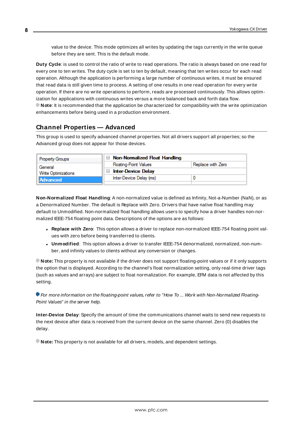value to the device. This mode optimizes all writes by updating the tags currently in the write queue before they are sent. This is the default mode.

**Duty Cycle**: is used to control the ratio of write to read operations. The ratio is always based on one read for every one to ten writes. The duty cycle is set to ten by default, meaning that ten writes occur for each read operation. Although the application is performing a large number of continuous writes, it must be ensured that read data is still given time to process. A setting of one results in one read operation for every write operation. If there are no write operations to perform, reads are processed continuously. This allows optimization for applications with continuous writes versus a more balanced back and forth data flow. **Note**: It is recommended that the application be characterized for compatibility with the write optimization enhancements before being used in a production environment.

# <span id="page-7-0"></span>**Channel Properties — Advanced**

This group is used to specify advanced channel properties. Not all drivers support all properties; so the Advanced group does not appear for those devices.

| <b>Property Groups</b>         | $\Box$ Non-Normalized Float Handling        |                   |
|--------------------------------|---------------------------------------------|-------------------|
| General<br>Write Optimizations | <b>Floating-Point Values</b>                | Replace with Zero |
|                                | <b>Inter-Device Delay</b><br>$\blacksquare$ |                   |
| Advanced                       | Inter-Device Delay (ms)                     |                   |
|                                |                                             |                   |

**Non-Normalized Float Handling**: A non-normalized value is defined as Infinity, Not-a-Number (NaN), or as a Denormalized Number. The default is Replace with Zero. Drivers that have native float handling may default to Unmodified. Non-normalized float handling allows users to specify how a driver handles non-normalized IEEE-754 floating point data. Descriptions of the options are as follows:

- <sup>l</sup> **Replace with Zero**: This option allows a driver to replace non-normalized IEEE-754 floating point values with zero before being transferred to clients.
- <sup>l</sup> **Unmodified**: This option allows a driver to transfer IEEE-754 denormalized, normalized, non-number, and infinity values to clients without any conversion or changes.

**Note:** This property is not available if the driver does not support floating-point values or if it only supports the option that is displayed. According to the channel's float normalization setting, only real-time driver tags (such as values and arrays) are subject to float normalization. For example, EFM data is not affected by this setting.

For more information on the floating-point values, refer to "How To ... Work with Non-Normalized Floating-Point Values" in the server help.

**Inter-Device Delay**: Specify the amount of time the communications channel waits to send new requests to the next device after data is received from the current device on the same channel. Zero (0) disables the delay.

**Note:** This property is not available for all drivers, models, and dependent settings.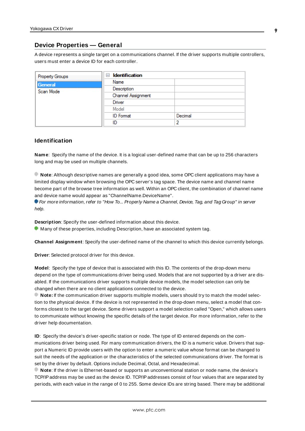## <span id="page-8-0"></span>**Device Properties — General**

A device represents a single target on a communications channel. If the driver supports multiple controllers, users must enter a device ID for each controller.

| Property Groups | <b>Identification</b><br>$=$ |         |
|-----------------|------------------------------|---------|
| General         | Name                         |         |
| Scan Mode       | Description                  |         |
|                 | Channel Assignment           |         |
|                 | Driver                       |         |
|                 | Model                        |         |
|                 | <b>ID</b> Format             | Decimal |
|                 | ID                           | э       |

#### **Identification**

**Name**: Specify the name of the device. It is a logical user-defined name that can be up to 256 characters long and may be used on multiple channels.

**Note**: Although descriptive names are generally a good idea, some OPC client applications may have a limited display window when browsing the OPC server's tag space. The device name and channel name become part of the browse tree information as well. Within an OPC client, the combination of channel name and device name would appear as "ChannelName.DeviceName".

For more information, refer to "How To... Properly Name a Channel, Device, Tag, and Tag Group" in server help.

**Description**: Specify the user-defined information about this device.

**Many of these properties, including Description, have an associated system tag.** 

**Channel Assignment**: Specify the user-defined name of the channel to which this device currently belongs.

**Driver**: Selected protocol driver for this device.

**Model**: Specify the type of device that is associated with this ID. The contents of the drop-down menu depend on the type of communications driver being used. Models that are not supported by a driver are disabled. If the communications driver supports multiple device models, the model selection can only be changed when there are no client applications connected to the device.

**Note:** If the communication driver supports multiple models, users should try to match the model selection to the physical device. If the device is not represented in the drop-down menu, select a model that conforms closest to the target device. Some drivers support a model selection called "Open," which allows users to communicate without knowing the specific details of the target device. For more information, refer to the driver help documentation.

**ID**: Specify the device's driver-specific station or node. The type of ID entered depends on the communications driver being used. For many communication drivers, the ID is a numeric value. Drivers that support a Numeric ID provide users with the option to enter a numeric value whose format can be changed to suit the needs of the application or the characteristics of the selected communications driver. The format is set by the driver by default. Options include Decimal, Octal, and Hexadecimal.

**Note**: If the driver is Ethernet-based or supports an unconventional station or node name, the device's TCP/IPaddress may be used as the device ID. TCP/IPaddresses consist of four values that are separated by periods, with each value in the range of 0 to 255. Some device IDs are string based. There may be additional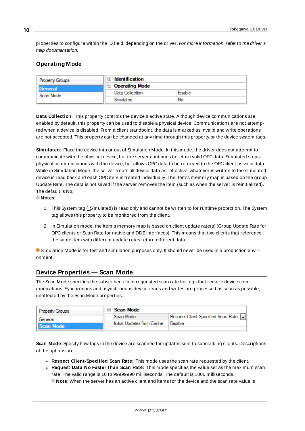properties to configure within the ID field, depending on the driver. For more information, refer to the driver's help documentation.

# <span id="page-9-0"></span>**Operating Mode**

| <b>Property Groups</b> | Identification        |        |
|------------------------|-----------------------|--------|
| General<br>Scan Mode   | $\Box$ Operating Mode |        |
|                        | Data Collection       | Enable |
|                        | Simulated             | No     |

**Data Collection**: This property controls the device's active state. Although device communications are enabled by default, this property can be used to disable a physical device. Communications are not attempted when a device is disabled. From a client standpoint, the data is marked as invalid and write operations are not accepted. This property can be changed at any time through this property or the device system tags.

**Simulated**: Place the device into or out of Simulation Mode. In this mode, the driver does not attempt to communicate with the physical device, but the server continues to return valid OPC data. Simulated stops physical communications with the device, but allows OPC data to be returned to the OPC client as valid data. While in Simulation Mode, the server treats all device data as reflective: whatever is written to the simulated device is read back and each OPC item is treated individually. The item's memory map is based on the group Update Rate. The data is not saved if the server removes the item (such as when the server is reinitialized). The default is No.

**Notes:**

- 1. This System tag (Simulated) is read only and cannot be written to for runtime protection. The System tag allows this property to be monitored from the client.
- 2. In Simulation mode, the item's memory map is based on client update rate(s) (Group Update Rate for OPC clients or Scan Rate for native and DDEinterfaces). This means that two clients that reference the same item with different update rates return different data.

 Simulation Mode is for test and simulation purposes only. It should never be used in a production environment.

# <span id="page-9-1"></span>**Device Properties — Scan Mode**

The Scan Mode specifies the subscribed-client requested scan rate for tags that require device communications. Synchronous and asynchronous device reads and writes are processed as soon as possible; unaffected by the Scan Mode properties.

| <b>Property Groups</b> | Scan Mode                  |                                      |
|------------------------|----------------------------|--------------------------------------|
| General                | Scan Mode                  | Respect Client-Specified Scan Rate v |
| Scan Mode              | Initial Updates from Cache | Disable                              |
|                        |                            |                                      |

**Scan Mode**: Specify how tags in the device are scanned for updates sent to subscribing clients. Descriptions of the options are:

- <sup>l</sup> **Respect Client-Specified Scan Rate**: This mode uses the scan rate requested by the client.
- <sup>l</sup> **Request Data No Faster than Scan Rate**: This mode specifies the value set as the maximum scan rate. The valid range is 10 to 99999990 milliseconds. The default is 1000 milliseconds.

**Note**: When the server has an active client and items for the device and the scan rate value is

**10**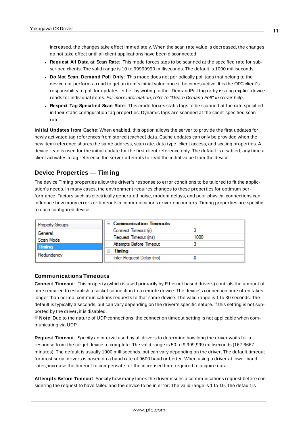increased, the changes take effect immediately. When the scan rate value is decreased, the changes do not take effect until all client applications have been disconnected.

- <sup>l</sup> **Request All Data at Scan Rate**: This mode forces tags to be scanned at the specified rate for subscribed clients. The valid range is 10 to 99999990 milliseconds. The default is 1000 milliseconds.
- <sup>l</sup> **Do Not Scan, Demand Poll Only**: This mode does not periodically poll tags that belong to the device nor perform a read to get an item's initial value once it becomes active. It is the OPC client's responsibility to poll for updates, either by writing to the \_DemandPoll tag or by issuing explicit device reads for individual items. For more information, refer to "Device Demand Poll" in server help.
- <sup>l</sup> **Respect Tag-Specified Scan Rate**: This mode forces static tags to be scanned at the rate specified in their static configuration tag properties. Dynamic tags are scanned at the client-specified scan rate.

**Initial Updates from Cache**: When enabled, this option allows the server to provide the first updates for newly activated tag references from stored (cached) data. Cache updates can only be provided when the new item reference shares the same address, scan rate, data type, client access, and scaling properties. A device read is used for the initial update for the first client reference only. The default is disabled; any time a client activates a tag reference the server attempts to read the initial value from the device.

# <span id="page-10-0"></span>**Device Properties — Timing**

The device Timing properties allow the driver's response to error conditions to be tailored to fit the application's needs. In many cases, the environment requires changes to these properties for optimum performance. Factors such as electrically generated noise, modem delays, and poor physical connections can influence how many errors or timeouts a communications driver encounters. Timing properties are specific to each configured device.

| <b>Property Groups</b> | $\Box$ Communication Timeouts |      |
|------------------------|-------------------------------|------|
| General                | Connect Timeout (s)           |      |
| Scan Mode              | Request Timeout (ms)          | 1000 |
| <b>Timing</b>          | Attempts Before Timeout       |      |
|                        | Timing<br>ь                   |      |
| Redundancy             | Inter-Request Delay (ms)      |      |

#### **Communications Timeouts**

**Connect Timeout**: This property (which is used primarily by Ethernet based drivers) controls the amount of time required to establish a socket connection to a remote device. The device's connection time often takes longer than normal communications requests to that same device. The valid range is 1 to 30 seconds. The default is typically 3 seconds, but can vary depending on the driver's specific nature. If this setting is not supported by the driver, it is disabled.

**Note:** Due to the nature of UDP connections, the connection timeout setting is not applicable when communicating via UDP.

**Request Timeout**: Specify an interval used by all drivers to determine how long the driver waits for a response from the target device to complete. The valid range is 50 to 9,999,999 milliseconds (167.6667 minutes). The default is usually 1000 milliseconds, but can vary depending on the driver. The default timeout for most serial drivers is based on a baud rate of 9600 baud or better. When using a driver at lower baud rates, increase the timeout to compensate for the increased time required to acquire data.

**Attempts Before Timeout**: Specify how many times the driver issues a communications request before considering the request to have failed and the device to be in error. The valid range is 1 to 10. The default is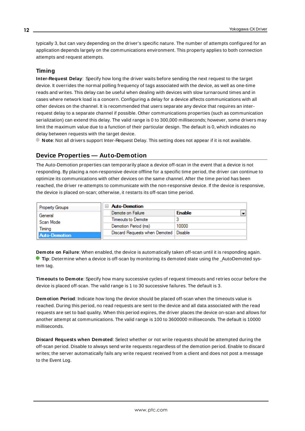typically 3, but can vary depending on the driver's specific nature. The number of attempts configured for an application depends largely on the communications environment. This property applies to both connection attempts and request attempts.

# **Timing**

**Inter-Request Delay**: Specify how long the driver waits before sending the next request to the target device. It overrides the normal polling frequency of tags associated with the device, as well as one-time reads and writes. This delay can be useful when dealing with devices with slow turnaround times and in cases where network load is a concern. Configuring a delay for a device affects communications with all other devices on the channel. It is recommended that users separate any device that requires an interrequest delay to a separate channel if possible. Other communications properties (such as communication serialization) can extend this delay. The valid range is 0 to 300,000 milliseconds; however, some drivers may limit the maximum value due to a function of their particular design. The default is 0, which indicates no delay between requests with the target device.

<span id="page-11-0"></span>**Note**: Not all drivers support Inter-Request Delay. This setting does not appear if it is not available.

# **Device Properties — Auto-Demotion**

The Auto-Demotion properties can temporarily place a device off-scan in the event that a device is not responding. By placing a non-responsive device offline for a specific time period, the driver can continue to optimize its communications with other devices on the same channel. After the time period has been reached, the driver re-attempts to communicate with the non-responsive device. If the device is responsive, the device is placed on-scan; otherwise, it restarts its off-scan time period.

|  | <b>Property Groups</b> | <b>Auto-Demotion</b>                    |               |  |
|--|------------------------|-----------------------------------------|---------------|--|
|  | General                | Demote on Failure                       | <b>Enable</b> |  |
|  | Scan Mode              | Timeouts to Demote                      |               |  |
|  | Timina                 | Demotion Period (ms)                    | 10000         |  |
|  | <b>Auto-Demotion</b>   | Discard Requests when Demoted   Disable |               |  |
|  |                        |                                         |               |  |

**Demote on Failure**: When enabled, the device is automatically taken off-scan until it is responding again. **Tip:** Determine when a device is off-scan by monitoring its demoted state using the \_AutoDemoted system tag.

**Timeouts to Demote**: Specify how many successive cycles of request timeouts and retries occur before the device is placed off-scan. The valid range is 1 to 30 successive failures. The default is 3.

**Demotion Period**: Indicate how long the device should be placed off-scan when the timeouts value is reached. During this period, no read requests are sent to the device and all data associated with the read requests are set to bad quality. When this period expires, the driver places the device on-scan and allows for another attempt at communications. The valid range is 100 to 3600000 milliseconds. The default is 10000 milliseconds.

**Discard Requests when Demoted**: Select whether or not write requests should be attempted during the off-scan period. Disable to always send write requests regardless of the demotion period. Enable to discard writes; the server automatically fails any write request received from a client and does not post a message to the Event Log.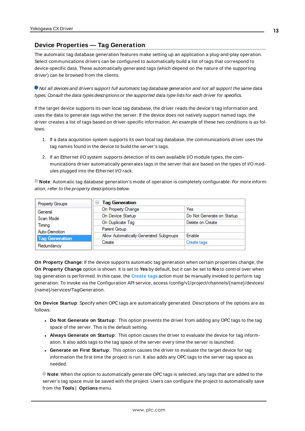# <span id="page-12-0"></span>**Device Properties — Tag Generation**

The automatic tag database generation features make setting up an application a plug-and-play operation. Select communications drivers can be configured to automatically build a list of tags that correspond to device-specific data. These automatically generated tags (which depend on the nature of the supporting driver) can be browsed from the clients.

Not all devices and drivers support full automatic tag database generation and not all support the same data types. Consult the data types descriptions or the supported data type lists for each driver for specifics.

If the target device supports its own local tag database, the driver reads the device's tag information and uses the data to generate tags within the server. If the device does not natively support named tags, the driver creates a list of tags based on driver-specific information. An example of these two conditions is as follows:

- 1. If a data acquisition system supports its own local tag database, the communications driver uses the tag names found in the device to build the server's tags.
- 2. If an Ethernet I/O system supports detection of its own available I/O module types, the communications driver automatically generates tags in the server that are based on the types of I/O modules plugged into the Ethernet I/O rack.

**Note**: Automatic tag database generation's mode of operation is completely configurable. For more information, refer to the property descriptions below.

| Property Groups       | <b>Tag Generation</b><br>$=$            |                            |
|-----------------------|-----------------------------------------|----------------------------|
| General               | On Property Change                      | Yes                        |
| Scan Mode             | On Device Startup                       | Do Not Generate on Startup |
| Timina                | On Duplicate Tag                        | Delete on Create           |
| Auto-Demotion         | Parent Group                            |                            |
| <b>Tag Generation</b> | Allow Automatically Generated Subgroups | Enable                     |
|                       | Create                                  | Create tags                |
| Redundancy            |                                         |                            |

**On Property Change**: If the device supports automatic tag generation when certain properties change, the **On Property Change** option is shown. It is set to **Yes** by default, but it can be set to **No** to control over when tag generation is performed. In this case, the **Create tags** action must be manually invoked to perform tag generation. To invoke via the Configuration API service, access /config/v1/project/channels/{name}/devices/ {name}/services/TagGeneration.

**On Device Startup**: Specify when OPC tags are automatically generated. Descriptions of the options are as follows:

- <sup>l</sup> **Do Not Generate on Startup**: This option prevents the driver from adding any OPC tags to the tag space of the server. This is the default setting.
- <sup>l</sup> **Always Generate on Startup**: This option causes the driver to evaluate the device for tag information. It also adds tags to the tag space of the server every time the server is launched.
- <sup>l</sup> **Generate on First Startup**: This option causes the driver to evaluate the target device for tag information the first time the project is run. It also adds any OPC tags to the server tag space as needed.

**Note**: When the option to automatically generate OPC tags is selected, any tags that are added to the server's tag space must be saved with the project. Users can configure the project to automatically save from the **Tools** | **Options** menu.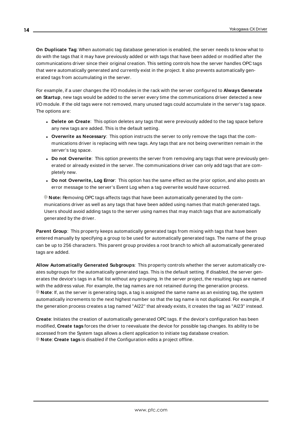**On Duplicate Tag**: When automatic tag database generation is enabled, the server needs to know what to do with the tags that it may have previously added or with tags that have been added or modified after the communications driver since their original creation. This setting controls how the server handles OPC tags that were automatically generated and currently exist in the project. It also prevents automatically generated tags from accumulating in the server.

For example, if a user changes the I/O modules in the rack with the server configured to **Always Generate on Startup**, new tags would be added to the server every time the communications driver detected a new I/O module. If the old tags were not removed, many unused tags could accumulate in the server's tag space. The options are:

- **.** Delete on Create: This option deletes any tags that were previously added to the tag space before any new tags are added. This is the default setting.
- <sup>l</sup> **Overwrite as Necessary**: This option instructs the server to only remove the tags that the communications driver is replacing with new tags. Any tags that are not being overwritten remain in the server's tag space.
- **.** Do not Overwrite: This option prevents the server from removing any tags that were previously generated or already existed in the server. The communications driver can only add tags that are completely new.
- <sup>l</sup> **Do not Overwrite, Log Error**: This option has the same effect as the prior option, and also posts an error message to the server's Event Log when a tag overwrite would have occurred.

**Note:** Removing OPC tags affects tags that have been automatically generated by the communications driver as well as any tags that have been added using names that match generated tags. Users should avoid adding tags to the server using names that may match tags that are automatically generated by the driver.

**Parent Group**: This property keeps automatically generated tags from mixing with tags that have been entered manually by specifying a group to be used for automatically generated tags. The name of the group can be up to 256 characters. This parent group provides a root branch to which all automatically generated tags are added.

**Allow Automatically Generated Subgroups**: This property controls whether the server automatically creates subgroups for the automatically generated tags. This is the default setting. If disabled, the server generates the device's tags in a flat list without any grouping. In the server project, the resulting tags are named with the address value. For example, the tag names are not retained during the generation process. **Note**: If, as the server is generating tags, a tag is assigned the same name as an existing tag, the system automatically increments to the next highest number so that the tag name is not duplicated. For example, if the generation process creates a tag named "AI22" that already exists, it creates the tag as "AI23" instead.

**Create**: Initiates the creation of automatically generated OPC tags. If the device's configuration has been modified, **Create tags** forces the driver to reevaluate the device for possible tag changes. Its ability to be accessed from the System tags allows a client application to initiate tag database creation. **Note**: **Create tags** is disabled if the Configuration edits a project offline.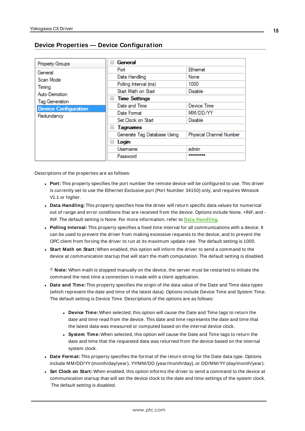# <span id="page-14-0"></span>**Device Properties — Device Configuration**

| Property Groups             | General<br>$\overline{ }$   |                         |
|-----------------------------|-----------------------------|-------------------------|
| General                     | Port                        | Ethemet                 |
| Scan Mode                   | Data Handling               | None                    |
| Timina                      | Polling Interval (ms)       | 1000                    |
| Auto-Demotion               | Start Math on Start         | <b>Disable</b>          |
| <b>Tag Generation</b>       | $\Box$ Time Settings        |                         |
| <b>Device Configuration</b> | Date and Time               | Device Time             |
| Redundancy                  | Date Format                 | MM/DD/YY                |
|                             | Set Clock on Start          | <b>Disable</b>          |
|                             | Tagnames<br>$=$             |                         |
|                             | Generate Tag Database Using | Physical Channel Number |
|                             | $\Box$ Login                |                         |
|                             | Usemame                     | admin                   |
|                             | Password                    | -------                 |

Descriptions of the properties are as follows:

- Port: This property specifies the port number the remote device will be configured to use. This driver is currently set to use the Ethernet Exclusive port (Port Number 34150) only, and requires Winsock V1.1 or higher.
- <sup>l</sup> **Data Handling:** This property specifies how the driver will return specific data values for numerical out of range and error conditions that are received from the device. Options include None, +INF, and - INF. The default setting is None. For more information, refer to **Data [Handling](#page-15-1)**.
- <sup>l</sup> **Polling Interval:** This property specifies a fixed time interval for all communications with a device. It can be used to prevent the driver from making excessive requests to the device, and to prevent the OPC client from forcing the driver to run at its maximum update rate. The default setting is 1000.
- <sup>l</sup> **Start Math on Start:** When enabled, this option will inform the driver to send a command to the device at communication startup that will start the math computation. The default setting is disabled.

**Note:** When math is stopped manually on the device, the server must be restarted to initiate the command the next time a connection is made with a client application.

- **Date and Time:** This property specifies the origin of the data value of the Date and Time data types (which represent the date and time of the latest data). Options include Device Time and System Time. The default setting is Device Time. Descriptions of the options are as follows:
	- **.** Device Time: When selected, this option will cause the Date and Time tags to return the date and time read from the device. This date and time represents the date and time that the latest data was measured or computed based on the internal device clock.
	- <sup>l</sup> **System Time:** When selected, this option will cause the Date and Time tags to return the date and time that the requested data was returned from the device based on the internal system clock.
- Date Format: This property specifies the format of the return string for the Date data type. Options include MM/DD/YY(month/day/year), YY/MM/DD (year/month/day), or DD/MM/YY(day/month/year).
- <sup>l</sup> **Set Clock on Start:** When enabled, this option informs the driver to send a command to the device at communication startup that will set the device clock to the date and time settings of the system clock. The default setting is disabled.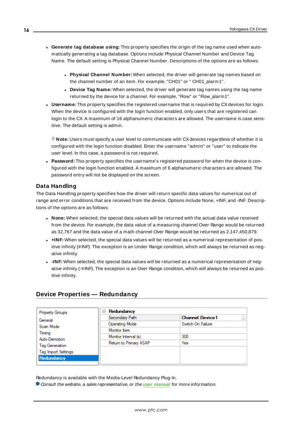- <sup>l</sup> **Generate tag database using:** This property specifies the origin of the tag name used when automatically generating a tag database. Options include Physical Channel Number and Device Tag Name. The default setting is Physical Channel Number. Descriptions of the options are as follows:
	- <sup>l</sup> **Physical Channel Number:** When selected, the driver will generate tag names based on the channel number of an item. For example, "CH01" or " CH01\_alarm1".
	- **.** Device Tag Name: When selected, the driver will generate tag names using the tag name returned by the device for a channel. For example, "Flow" or "Flow\_alarm1".
- **Username:** This property specifies the registered username that is required by CX devices for login. When the device is configured with the login function enabled, only users that are registered can login to the CX. A maximum of 16 alphanumeric characters are allowed. The username is case sensitive. The default setting is admin.

**Note:** Users must specify a user level to communicate with CXdevices regardless of whether it is configured with the login function disabled. Enter the username "admin" or "user" to indicate the user level. In this case, a password is not required.

<span id="page-15-1"></span>**Password:** This property specifies the username's registered password for when the device is configured with the login function enabled. A maximum of 6 alphanumeric characters are allowed. The password entry will not be displayed on the screen.

# **Data Handling**

The Data Handling property specifies how the driver will return specific data values for numerical out of range and error conditions that are received from the device. Options include None, +INF, and -INF. Descriptions of the options are as follows:

- <sup>l</sup> **None:** When selected, the special data values will be returned with the actual data value received from the device. For example, the data value of a measuring channel Over Range would be returned as 32,767 and the data value of a math channel Over Range would be returned as 2,147,450,879.
- **+INF:** When selected, the special data values will be returned as a numerical representation of positive infinity (#INF). The exception is an Under Range condition, which will always be returned as negative infinity.
- **-INF:** When selected, the special data values will be returned as a numerical representation of negative infinity (-#INF). The exception is an Over Range condition, which will always be returned as positive infinity.

# <span id="page-15-0"></span>**Device Properties — Redundancy**

| <b>Property Groups</b>     | Redundancy<br>$=$      |                                    |
|----------------------------|------------------------|------------------------------------|
| General                    | Secondary Path         | <b>Channel</b> Device1<br>$\cdots$ |
| Scan Mode                  | <b>Operating Mode</b>  | Switch On Failure                  |
| Timing                     | Monitor Item           |                                    |
| Auto-Demotion              | Monitor Interval (s)   | 300                                |
| Tag Generation             | Return to Primary ASAP | Yes                                |
| <b>Tag Import Settings</b> |                        |                                    |
| Redundancy                 |                        |                                    |

Redundancy is available with the Media-Level Redundancy Plug-In.

Consult the website, a sales representative, or the **user [manual](https://www.kepware.com/getattachment/35461efd-b53a-4219-a109-a89fad20b230/media-level-redundancy-manual.pdf)** for more information.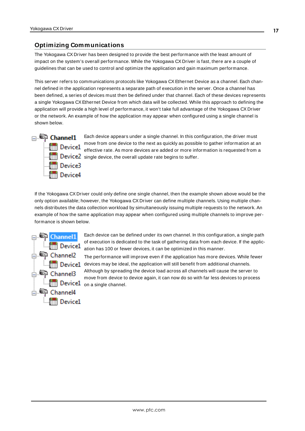# <span id="page-16-0"></span>**Optimizing Communications**

The Yokogawa CX Driver has been designed to provide the best performance with the least amount of impact on the system's overall performance. While the Yokogawa CX Driver is fast, there are a couple of guidelines that can be used to control and optimize the application and gain maximum performance.

This server refers to communications protocols like Yokogawa CX Ethernet Device as a channel. Each channel defined in the application represents a separate path of execution in the server. Once a channel has been defined, a series of devices must then be defined under that channel. Each of these devices represents a single Yokogawa CXEthernet Device from which data will be collected. While this approach to defining the application will provide a high level of performance, it won't take full advantage of the Yokogawa CX Driver or the network. An example of how the application may appear when configured using a single channel is shown below.



Each device appears under a single channel. In this configuration, the driver must move from one device to the next as quickly as possible to gather information at an effective rate. As more devices are added or more information is requested from a  $\left\Vert \cdot \right\Vert$  Device2 single device, the overall update rate begins to suffer.

If the Yokogawa CX Driver could only define one single channel, then the example shown above would be the only option available; however, the Yokogawa CX Driver can define multiple channels. Using multiple channels distributes the data collection workload by simultaneously issuing multiple requests to the network. An example of how the same application may appear when configured using multiple channels to improve performance is shown below.



Each device can be defined under its own channel. In this configuration, a single path of execution is dedicated to the task of gathering data from each device. If the application has 100 or fewer devices, it can be optimized in this manner.

The performance will improve even if the application has more devices. While fewer  $\Box$  $\Box$  $\Box$  Device1 devices may be ideal, the application will still benefit from additional channels. Although by spreading the device load across all channels will cause the server to move from device to device again, it can now do so with far less devices to process Device1 on a single channel.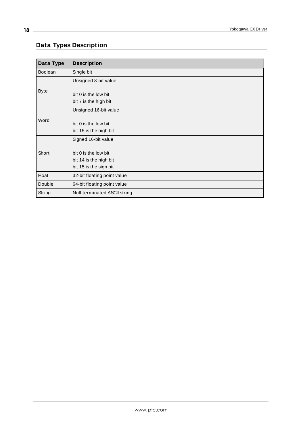# <span id="page-17-0"></span>**Data Types Description**

| Data Type      | <b>Description</b>                                                       |
|----------------|--------------------------------------------------------------------------|
| <b>Boolean</b> | Single bit                                                               |
|                | Unsigned 8-bit value                                                     |
| <b>Byte</b>    | bit 0 is the low bit<br>bit 7 is the high bit                            |
|                | Unsigned 16-bit value                                                    |
| Word           | bit 0 is the low bit<br>bit 15 is the high bit                           |
|                | Signed 16-bit value                                                      |
| Short          | bit 0 is the low bit<br>bit 14 is the high bit<br>bit 15 is the sign bit |
| <b>Float</b>   | 32-bit floating point value                                              |
| Double         | 64-bit floating point value                                              |
| String         | Null-terminated ASCII string                                             |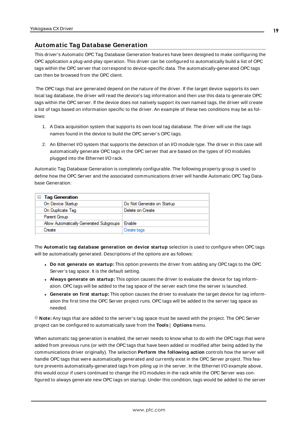# <span id="page-18-0"></span>**Automatic Tag Database Generation**

This driver's Automatic OPC Tag Database Generation features have been designed to make configuring the OPC application a plug-and-play operation. This driver can be configured to automatically build a list of OPC tags within the OPC server that correspond to device-specific data. The automatically-generated OPC tags can then be browsed from the OPC client.

The OPC tags that are generated depend on the nature of the driver. If the target device supports its own local tag database, the driver will read the device's tag information and then use this data to generate OPC tags within the OPC server. If the device does not natively support its own named tags, the driver will create a list of tags based on information specific to the driver. An example of these two conditions may be as follows:

- 1. A Data acquisition system that supports its own local tag database. The driver will use the tags names found in the device to build the OPC server's OPC tags.
- 2. An Ethernet I/O system that supports the detection of an I/O module type. The driver in this case will automatically generate OPC tags in the OPC server that are based on the types of I/O modules plugged into the Ethernet I/O rack.

Automatic Tag Database Generation is completely configurable. The following property group is used to define how the OPC Server and the associated communications driver will handle Automatic OPC Tag Database Generation:

| □ Tag Generation                        |                            |
|-----------------------------------------|----------------------------|
| On Device Startup                       | Do Not Generate on Startup |
| On Duplicate Tag                        | Delete on Create           |
| Parent Group                            |                            |
| Allow Automatically Generated Subgroups | Enable                     |
| Create                                  | Create tags                |

The **Automatic tag database generation on device startup** selection is used to configure when OPC tags will be automatically generated. Descriptions of the options are as follows:

- <sup>l</sup> **Do not generate on startup:** This option prevents the driver from adding any OPC tags to the OPC Server's tag space. It is the default setting.
- <sup>l</sup> **Always generate on startup:** This option causes the driver to evaluate the device for tag information. OPC tags will be added to the tag space of the server each time the server is launched.
- <sup>l</sup> **Generate on first startup:** This option causes the driver to evaluate the target device for tag information the first time the OPC Server project runs. OPC tags will be added to the server tag space as needed.

**Note:** Any tags that are added to the server's tag space must be saved with the project. The OPC Server project can be configured to automatically save from the **Tools** | **Options** menu.

When automatic tag generation is enabled, the server needs to know what to do with the OPC tags that were added from previous runs (or with the OPC tags that have been added or modified after being added by the communications driver originally). The selection **Perform the following action** controls how the server will handle OPC tags that were automatically generated and currently exist in the OPC Server project. This feature prevents automatically-generated tags from piling up in the server. In the Ethernet I/O example above, this would occur if users continued to change the I/O modules in the rack while the OPC Server was configured to always generate new OPC tags on startup. Under this condition, tags would be added to the server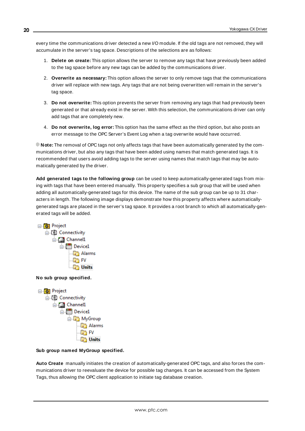every time the communications driver detected a new I/O module. If the old tags are not removed, they will accumulate in the server's tag space. Descriptions of the selections are as follows:

- 1. **Delete on create:** This option allows the server to remove any tags that have previously been added to the tag space before any new tags can be added by the communications driver.
- 2. **Overwrite as necessary:** This option allows the server to only remove tags that the communications driver will replace with new tags. Any tags that are not being overwritten will remain in the server's tag space.
- 3. **Do not overwrite:** This option prevents the server from removing any tags that had previously been generated or that already exist in the server. With this selection, the communications driver can only add tags that are completely new.
- 4. **Do not overwrite, log error:** This option has the same effect as the third option, but also posts an error message to the OPC Server's Event Log when a tag overwrite would have occurred.

**Note:** The removal of OPC tags not only affects tags that have been automatically generated by the communications driver, but also any tags that have been added using names that match generated tags. It is recommended that users avoid adding tags to the server using names that match tags that may be automatically generated by the driver.

**Add generated tags to the following group** can be used to keep automatically-generated tags from mixing with tags that have been entered manually. This property specifies a sub group that will be used when adding all automatically-generated tags for this device. The name of the sub group can be up to 31 characters in length. The following image displays demonstrate how this property affects where automaticallygenerated tags are placed in the server's tag space. It provides a root branch to which all automatically-generated tags will be added.



**No sub group specified.** 



#### **Sub group named MyGroup specified.**

**Auto Create** manually initiates the creation of automatically-generated OPC tags, and also forces the communications driver to reevaluate the device for possible tag changes. It can be accessed from the System Tags, thus allowing the OPC client application to initiate tag database creation.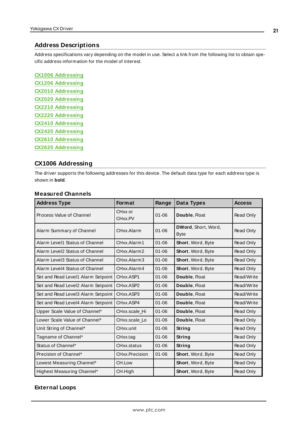#### <span id="page-20-0"></span>**Address Descriptions**

Address specifications vary depending on the model in use. Select a link from the following list to obtain specific address information for the model of interest.

**CX1006 [Addressing](#page-20-1) CX1206 [Addressing](#page-24-0) CX2010 [Addressing](#page-31-0) CX2020 [Addressing](#page-35-0) CX2210 [Addressing](#page-39-0) CX2220 [Addressing](#page-46-0) CX2410 [Addressing](#page-52-0) CX2420 [Addressing](#page-59-0) CX2610 [Addressing](#page-65-0) CX2620 [Addressing](#page-72-0)**

#### <span id="page-20-1"></span>**CX1006 Addressing**

The driver supports the following addresses for this device. The default data type for each address type is shown in **bold**.

#### **Measured Channels**

| <b>Address Type</b>                | <b>Format</b>                               | Range     | Data Types                         | <b>Access</b> |
|------------------------------------|---------------------------------------------|-----------|------------------------------------|---------------|
| Process Value of Channel           | CH <sub>xx</sub> or<br>CH <sub>xx</sub> .PV | $01 - 06$ | Double, Float                      | Read Only     |
| Alarm Summary of Channel           | CHxx.Alarm                                  | $01 - 06$ | DWord, Short, Word,<br><b>Byte</b> | Read Only     |
| Alarm Level1 Status of Channel     | CHxx.Alarm1                                 | $01 - 06$ | Short, Word, Byte                  | Read Only     |
| Alarm Level2 Status of Channel     | CHxx.Alarm2                                 | $01 - 06$ | Short, Word, Byte                  | Read Only     |
| Alarm Level3 Status of Channel     | CHxx.Alarm3                                 | $01 - 06$ | Short, Word, Byte                  | Read Only     |
| Alarm Level4 Status of Channel     | CHxx.Alarm4                                 | $01 - 06$ | <b>Short, Word, Byte</b>           | Read Only     |
| Set and Read Level1 Alarm Setpoint | CHxx.ASP1                                   | $01 - 06$ | Double, Float                      | Read/Write    |
| Set and Read Level2 Alarm Setpoint | CHxx.ASP2                                   | $01 - 06$ | Double, Float                      | Read/Write    |
| Set and Read Level3 Alarm Setpoint | CHxx ASP3                                   | $01 - 06$ | Double, Float                      | Read/Write    |
| Set and Read Level4 Alarm Setpoint | CHxx.ASP4                                   | $01 - 06$ | Double, Float                      | Read/Write    |
| Upper Scale Value of Channel*      | CHxx.scale Hi                               | $01 - 06$ | Double, Float                      | Read Only     |
| Lower Scale Value of Channel*      | CHxx.scale_Lo                               | $01 - 06$ | Double, Float                      | Read Only     |
| Unit String of Channel*            | CHxx.unit                                   | $01 - 06$ | String                             | Read Only     |
| Tagname of Channel*                | CHxx.tag                                    | $01 - 06$ | String                             | Read Only     |
| Status of Channel*                 | CHxx.status                                 | $01 - 06$ | Strina                             | Read Only     |
| Precision of Channel*              | CHxx.Precision                              | $01 - 06$ | Short, Word, Byte                  | Read Only     |
| Lowest Measuring Channel*          | CH.Low                                      |           | Short, Word, Byte                  | Read Only     |
| Highest Measuring Channel*         | CH.High                                     |           | Short, Word, Byte                  | Read Only     |

## **External Loops**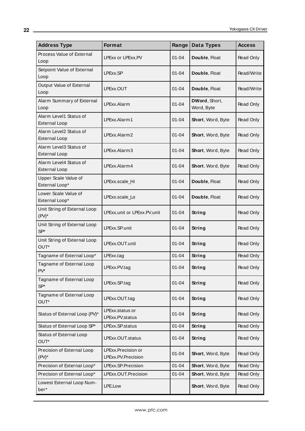| <b>Address Type</b>                            | <b>Format</b>                            | Range     | Data Types                  | <b>Access</b> |
|------------------------------------------------|------------------------------------------|-----------|-----------------------------|---------------|
| Process Value of External<br>Loop              | LPExx or LPExx.PV                        | $01 - 04$ | Double, Float               | Read Only     |
| Setpoint Value of External<br>Loop             | LPExx.SP                                 | 01-04     | Double, Float               | Read/Write    |
| Output Value of External<br>Loop               | LPExx.OUT                                | $01 - 04$ | Double, Float               | Read/Write    |
| Alarm Summary of External<br>Loop              | LPExx.Alarm                              | $01 - 04$ | DWord, Short,<br>Word, Byte | Read Only     |
| Alarm Level1 Status of<br><b>External Loop</b> | LPExx.Alarm1                             | $01 - 04$ | Short, Word, Byte           | Read Only     |
| Alarm Level2 Status of<br><b>External Loop</b> | LPExx.Alarm2                             | $01 - 04$ | Short, Word, Byte           | Read Only     |
| Alarm Level3 Status of<br><b>External Loop</b> | LPExx.Alarm3                             | $01 - 04$ | Short, Word, Byte           | Read Only     |
| Alarm Level4 Status of<br><b>External Loop</b> | LPExx.Alarm4                             | $01 - 04$ | Short, Word, Byte           | Read Only     |
| Upper Scale Value of<br>External Loop*         | LPExx.scale_Hi                           | $01 - 04$ | Double, Float               | Read Only     |
| Lower Scale Value of<br>External Loop*         | LPExx.scale_Lo                           | $01 - 04$ | Double, Float               | Read Only     |
| Unit String of External Loop<br>$(PV)^*$       | LPExx.unit or LPExx.PV.unit              | $01 - 04$ | String                      | Read Only     |
| Unit String of External Loop<br>SP*            | LPExx.SP.unit                            | $01 - 04$ | String                      | Read Only     |
| Unit String of External Loop<br>OUT*           | LPExx.OUT.unit                           | $01 - 04$ | <b>String</b>               | Read Only     |
| Tagname of External Loop*                      | LPExx.tag                                | $01 - 04$ | <b>String</b>               | Read Only     |
| Tagname of External Loop<br>PV*                | PExx.PV.tag                              | $01 - 04$ | <b>String</b>               | Read Only     |
| Tagname of External Loop<br>$SP*$              | LPExx.SP.tag                             | $01 - 04$ | String                      | Read Only     |
| Tagname of External Loop<br>OUT*               | LPExx.OUT.tag                            | $01 - 04$ | String                      | Read Only     |
| Status of External Loop (PV)*                  | LPExx.status or<br>LPExx.PV.status       | $01 - 04$ | String                      | Read Only     |
| Status of External Loop SP*                    | LPExx.SP.status                          | $01 - 04$ | String                      | Read Only     |
| Status of External Loop<br>OUT*                | LPExx.OUT.status                         | $01 - 04$ | String                      | Read Only     |
| Precision of External Loop<br>$(PV)^*$         | LPExx.Precision or<br>LPExx.PV.Precision | $01 - 04$ | Short, Word, Byte           | Read Only     |
| Precision of External Loop*                    | LPExx.SP.Precision                       | $01 - 04$ | Short, Word, Byte           | Read Only     |
| Precision of External Loop*                    | LPExx.OUT.Precision                      | $01 - 04$ | Short, Word, Byte           | Read Only     |
| Lowest External Loop Num-<br>ber*              | LPE.Low                                  |           | Short, Word, Byte           | Read Only     |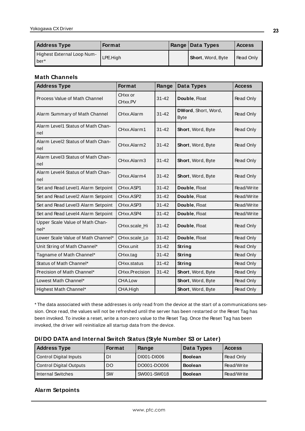| <b>Address Type</b>                | Format   | Range   Data Types        | <b>Access</b> |
|------------------------------------|----------|---------------------------|---------------|
| Highest External Loop Num-<br>ber* | LPE.High | <b>Short</b> , Word, Byte | Read Only     |

# **Math Channels**

| <b>Address Type</b>                       | Format                          | Range     | <b>Data Types</b>                  | <b>Access</b> |
|-------------------------------------------|---------------------------------|-----------|------------------------------------|---------------|
| Process Value of Math Channel             | CHxx or<br>$31 - 42$<br>CHxx.PV |           | Double, Float                      | Read Only     |
| Alarm Summary of Math Channel             | CHxx.Alarm                      | $31 - 42$ | DWord, Short, Word,<br><b>Byte</b> | Read Only     |
| Alarm Level1 Status of Math Chan-<br>nel  | CHxx.Alarm1                     | $31 - 42$ | Short, Word, Byte                  | Read Only     |
| Alarm Level2 Status of Math Chan-<br>nel  | CHxx.Alarm2                     | $31 - 42$ | Short, Word, Byte                  | Read Only     |
| Alarm Level3 Status of Math Chan-<br>nel  | CHxx.Alarm3                     | $31 - 42$ | Short, Word, Byte                  | Read Only     |
| Alarm Level4 Status of Math Chan-<br>nel  | CHxx.Alarm4                     | $31 - 42$ | Short, Word, Byte                  | Read Only     |
| Set and Read Level1 Alarm Setpoint        | CHxx.ASP1                       | $31 - 42$ | Double, Float                      | Read/Write    |
| Set and Read Level2 Alarm Setpoint        | CHxx.ASP2                       | $31 - 42$ | Double, Float                      | Read/Write    |
| Set and Read Level3 Alarm Setpoint        | CHxx.ASP3                       | $31 - 42$ | Double, Float                      | Read/Write    |
| Set and Read Level4 Alarm Setpoint        | CHxx.ASP4                       | $31 - 42$ | Double, Float                      | Read/Write    |
| Upper Scale Value of Math Chan-<br>$nel*$ | CHxx.scale Hi                   | $31 - 42$ | Double, Float                      | Read Only     |
| Lower Scale Value of Math Channel*        | CHxx.scale_Lo                   | $31 - 42$ | Double, Float                      | Read Only     |
| Unit String of Math Channel*              | CHxx.unit                       | $31 - 42$ | String                             | Read Only     |
| Tagname of Math Channel*                  | CHxx.tag                        | $31 - 42$ | String                             | Read Only     |
| Status of Math Channel*                   | CHxx.status                     | $31 - 42$ | String                             | Read Only     |
| Precision of Math Channel*                | CHxx.Precision                  | $31 - 42$ | Short, Word, Byte                  | Read Only     |
| Lowest Math Channel*                      | CHA.Low                         |           | Short, Word, Byte                  | Read Only     |
| Highest Math Channel*                     | CHA.High                        |           | Short, Word, Byte                  | Read Only     |

\* The data associated with these addresses is only read from the device at the start of a communications session. Once read, the values will not be refreshed until the server has been restarted or the Reset Tag has been invoked. To invoke a reset, write a non-zero value to the Reset Tag. Once the Reset Tag has been invoked, the driver will reinitialize all startup data from the device.

| DI/DO DATA and Internal Switch Status (Style Number S3 or Later) |  |
|------------------------------------------------------------------|--|
|------------------------------------------------------------------|--|

| <b>Address Type</b>            | <b>Format</b> | Range       | Data Types     | <b>Access</b> |
|--------------------------------|---------------|-------------|----------------|---------------|
| Control Digital Inputs         | DI            | DI001-DI006 | <b>Boolean</b> | Read Only     |
| <b>Control Digital Outputs</b> | DO            | DO001-DO006 | <b>Boolean</b> | Read/Write    |
| <b>Internal Switches</b>       | SW            | SW001-SW018 | <b>Boolean</b> | Read/Write    |

# **Alarm Setpoints**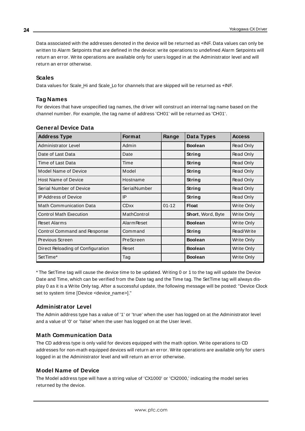Data associated with the addresses denoted in the device will be returned as +INF. Data values can only be written to Alarm Setpoints that are defined in the device: write operations to undefined Alarm Setpoints will return an error. Write operations are available only for users logged in at the Administrator level and will return an error otherwise.

#### **Scales**

Data values for Scale\_Hi and Scale\_Lo for channels that are skipped will be returned as +INF.

## **Tag Names**

For devices that have unspecified tag names, the driver will construct an internal tag name based on the channel number. For example, the tag name of address 'CH01' will be returned as 'CH01'.

| <b>Address Type</b>               | <b>Format</b><br>Range |           | Data Types               | <b>Access</b> |
|-----------------------------------|------------------------|-----------|--------------------------|---------------|
| Administrator Level               | Admin                  |           | <b>Boolean</b>           | Read Only     |
| Date of Last Data                 | Date                   |           | String                   | Read Only     |
| Time of Last Data                 | Time                   |           | String                   | Read Only     |
| Model Name of Device              | Model                  |           | String                   | Read Only     |
| <b>Host Name of Device</b>        | Hostname               |           | String                   | Read Only     |
| Serial Number of Device           | SerialNumber           |           | String                   | Read Only     |
| <b>IP Address of Device</b>       | IP                     |           | String                   | Read Only     |
| <b>Math Communication Data</b>    | <b>CDxx</b>            | $01 - 12$ | <b>Float</b>             | Write Only    |
| <b>Control Math Execution</b>     | MathControl            |           | <b>Short, Word, Byte</b> | Write Only    |
| <b>Reset Alarms</b>               | <b>Alarm Reset</b>     |           | <b>Boolean</b>           | Write Only    |
| Control Command and Response      | Command                |           | String                   | Read/Write    |
| Previous Screen                   | PreScreen              |           | <b>Boolean</b>           | Write Only    |
| Direct Reloading of Configuration | Reset                  |           | <b>Boolean</b>           | Write Only    |
| SetTime*                          | Tag                    |           | <b>Boolean</b>           | Write Only    |

#### **General Device Data**

\* The SetTime tag will cause the device time to be updated. Writing 0 or 1 to the tag will update the Device Date and Time, which can be verified from the Date tag and the Time tag. The SetTime tag will always display 0 as it is a Write Only tag. After a successful update, the following message will be posted: "Device Clock set to system time [Device <device\_name>]."

# **Administrator Level**

The Admin address type has a value of '1' or 'true' when the user has logged on at the Administrator level and a value of '0' or 'false' when the user has logged on at the User level.

# **Math Communication Data**

The CD address type is only valid for devices equipped with the math option. Write operations to CD addresses for non-math equipped devices will return an error. Write operations are available only for users logged in at the Administrator level and will return an error otherwise.

# **Model Name of Device**

The Model address type will have a string value of 'CX1000' or 'CX2000,' indicating the model series returned by the device.

**24**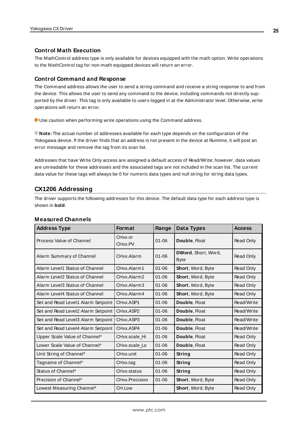#### **Control Math Execution**

The MathControl address type is only available for devices equipped with the math option. Write operations to the MathControl tag for non-math equipped devices will return an error.

#### **Control Command and Response**

The Command address allows the user to send a string command and receive a string response to and from the device. This allows the user to send any command to the device, including commands not directly supported by the driver. This tag is only available to users logged in at the Administrator level. Otherwise, write operations will return an error.

Use caution when performing write operations using the Command address.

**Note:** The actual number of addresses available for each type depends on the configuration of the Yokogawa device. If the driver finds that an address is not present in the device at Runtime, it will post an error message and remove the tag from its scan list.

Addresses that have Write Only access are assigned a default access of Read/Write; however, data values are unreadable for these addresses and the associated tags are not included in the scan list. The current data value for these tags will always be 0 for numeric data types and null string for string data types.

# <span id="page-24-0"></span>**CX1206 Addressing**

The driver supports the following addresses for this device. The default data type for each address type is shown in **bold**.

|  | <b>Measured Channels</b> |
|--|--------------------------|
|--|--------------------------|

| <b>Address Type</b>                | <b>Format</b>      | Range     | Data Types                  | <b>Access</b> |
|------------------------------------|--------------------|-----------|-----------------------------|---------------|
| Process Value of Channel           | CHxx or<br>CHxx.PV | $01 - 06$ | Double, Float               | Read Only     |
| Alarm Summary of Channel           | CHxx.Alarm         | $01 - 06$ | DWord, Short, Word,<br>Byte | Read Only     |
| Alarm Level1 Status of Channel     | CHxx.Alarm1        | $01 - 06$ | Short, Word, Byte           | Read Only     |
| Alarm Level2 Status of Channel     | CHxx.Alarm2        | $01 - 06$ | Short, Word, Byte           | Read Only     |
| Alarm Level3 Status of Channel     | CHxx.Alarm3        | $01 - 06$ | Short, Word, Byte           | Read Only     |
| Alarm Level4 Status of Channel     | CHxx Alarm4        | $01 - 06$ | <b>Short, Word, Byte</b>    | Read Only     |
| Set and Read Level1 Alarm Setpoint | CHxx.ASP1          | $01 - 06$ | Double, Float               | Read/Write    |
| Set and Read Level2 Alarm Setpoint | CHxx.ASP2          | $01 - 06$ | Double, Float               | Read/Write    |
| Set and Read Level3 Alarm Setpoint | CHxx.ASP3          | $01 - 06$ | Double, Float               | Read/Write    |
| Set and Read Level4 Alarm Setpoint | CHxx ASP4          | $01 - 06$ | Double, Float               | Read/Write    |
| Upper Scale Value of Channel*      | CHxx.scale_Hi      | $01 - 06$ | Double, Float               | Read Only     |
| Lower Scale Value of Channel*      | CHxx.scale Lo      | $01 - 06$ | Double, Float               | Read Only     |
| Unit String of Channel*            | CHxx.unit          | $01 - 06$ | String                      | Read Only     |
| Tagname of Channel*                | CHxx.tag           | $01 - 06$ | String                      | Read Only     |
| Status of Channel*                 | CHxx.status        | $01 - 06$ | String                      | Read Only     |
| Precision of Channel*              | CHxx.Precision     | $01 - 06$ | Short, Word, Byte           | Read Only     |
| Lowest Measuring Channel*          | CH.Low             |           | <b>Short, Word, Byte</b>    | Read Only     |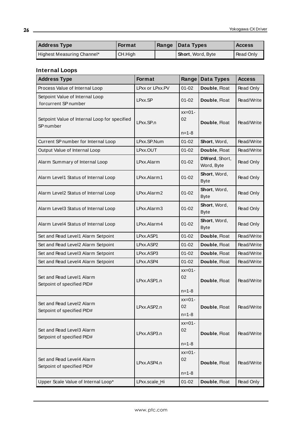| <b>Address Type</b>        | <b>Format</b> | Range | Data Types        | <b>Access</b> |
|----------------------------|---------------|-------|-------------------|---------------|
| Highest Measuring Channel* | CH.High       |       | Short, Word, Byte | Read Only     |

# **Internal Loops**

| <b>Address Type</b>                                                   | Format          | Range                          | Data Types                  | <b>Access</b> |
|-----------------------------------------------------------------------|-----------------|--------------------------------|-----------------------------|---------------|
| Process Value of Internal Loop                                        | LPxx or LPxx.PV | $01 - 02$                      | Double, Float               | Read Only     |
| Setpoint Value of Internal Loop<br>forcurrent SP number               | LPxx.SP         | 01-02                          | Double, Float               | Read/Write    |
| Setpoint Value of Internal Loop for specified<br>SP <sub>number</sub> | LPxx.SP.n       | $xx=01-$<br>02<br>$n = 1 - 8$  | Double, Float               | Read/Write    |
| Current SP number for Internal Loop                                   | LPxx.SP.Num     | $01 - 02$                      |                             | Read/Write    |
|                                                                       |                 |                                | Short, Word,                |               |
| Output Value of Internal Loop                                         | LPxx.OUT        | $01 - 02$                      | Double, Float               | Read/Write    |
| Alarm Summary of Internal Loop                                        | LPxx.Alarm      | $01 - 02$                      | DWord, Short,<br>Word, Byte | Read Only     |
| Alarm Level1 Status of Internal Loop                                  | LPxx.Alarm1     | $01 - 02$                      | Short, Word,<br><b>Byte</b> | Read Only     |
| Alarm Level2 Status of Internal Loop                                  | LPxx.Alarm2     | $01 - 02$                      | Short, Word,<br><b>Byte</b> | Read Only     |
| Alarm Level3 Status of Internal Loop                                  | LPxx.Alarm3     | $01 - 02$                      | Short, Word,<br><b>Byte</b> | Read Only     |
| Alarm Level4 Status of Internal Loop                                  | LPxx.Alarm4     | $01 - 02$                      | Short, Word,<br><b>Byte</b> | Read Only     |
| Set and Read Level1 Alarm Setpoint                                    | LPxx.ASP1       | $01 - 02$                      | Double, Float               | Read/Write    |
| Set and Read Level2 Alarm Setpoint                                    | LPxx.ASP2       | $01 - 02$                      | Double, Float               | Read/Write    |
| Set and Read Level3 Alarm Setpoint                                    | LPxx.ASP3       | $01 - 02$                      | Double, Float               | Read/Write    |
| Set and Read Level4 Alarm Setpoint                                    | LPxx.ASP4       | $01 - 02$                      | Double, Float               | Read/Write    |
| Set and Read Level1 Alarm<br>Setpoint of specified PID#               | LPxx.ASP1.n     | $xx=01-$<br>02<br>$n = 1 - 8$  | Double, Float               | Read/Write    |
| Set and Read Level2 Alarm<br>Setpoint of specified PID#               | LPxx.ASP2.n     | $xx=01$ -<br>02<br>$n = 1 - 8$ | Double, Float               | Read/Write    |
| Set and Read Level3 Alarm<br>Setpoint of specified PID#               | LPxx.ASP3.n     | $xx=01-$<br>02<br>$n = 1 - 8$  | Double, Float               | Read/Write    |
| Set and Read Level4 Alarm<br>Setpoint of specified PID#               | LPxx.ASP4.n     | $xx=01-$<br>02<br>$n = 1 - 8$  | Double, Float               | Read/Write    |
| Upper Scale Value of Internal Loop*                                   | LPxx.scale_Hi   | $01 - 02$                      | Double, Float               | Read Only     |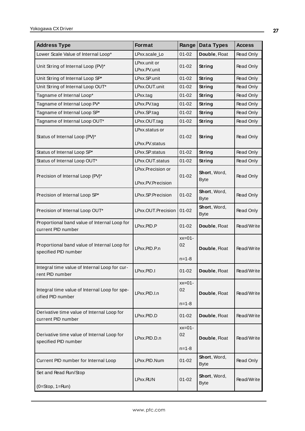| <b>Address Type</b>                                                  | Format                           | Range                         | Data Types                  | <b>Access</b> |
|----------------------------------------------------------------------|----------------------------------|-------------------------------|-----------------------------|---------------|
| Lower Scale Value of Internal Loop*                                  | LPxx.scale_Lo                    | $01 - 02$                     | Double, Float               | Read Only     |
| Unit String of Internal Loop (PV)*                                   | LPxx.unit or<br>LPxx.PV.unit     | $01 - 02$                     | <b>String</b>               | Read Only     |
| Unit String of Internal Loop SP*                                     | LPxx.SP.unit                     | $01 - 02$                     | <b>String</b>               | Read Only     |
| Unit String of Internal Loop OUT*                                    | LPxx.OUT.unit                    | $01 - 02$                     | <b>String</b>               | Read Only     |
| Tagname of Internal Loop*                                            | $L$ Pxx.tag                      | $01 - 02$                     | <b>String</b>               | Read Only     |
| Tagname of Internal Loop PV*                                         | LPxx.PV.tag                      | $01 - 02$                     | <b>String</b>               | Read Only     |
| Tagname of Internal Loop SP*                                         | LPxx.SP.tag                      | $01 - 02$                     | <b>String</b>               | Read Only     |
| Tagname of Internal Loop OUT*                                        | LPxx.OUT.tag                     | $01 - 02$                     | <b>String</b>               | Read Only     |
| Status of Internal Loop (PV)*                                        | LPxx.status or<br>LPxx.PV.status | $01 - 02$                     | <b>String</b>               | Read Only     |
| Status of Internal Loop SP*                                          | LPxx.SP.status                   | $01 - 02$                     | <b>String</b>               | Read Only     |
| Status of Internal Loop OUT*                                         | LPxx.OUT.status                  | $01 - 02$                     | <b>String</b>               | Read Only     |
| Precision of Internal Loop (PV)*                                     | LPxx.Precision or                | $01 - 02$                     | Short, Word,<br><b>Byte</b> | Read Only     |
|                                                                      | LPxx.PV.Precision                |                               |                             |               |
| Precision of Internal Loop SP*                                       | LPxx.SP.Precision                | $01 - 02$                     | Short, Word,<br><b>Byte</b> | Read Only     |
| Precision of Internal Loop OUT*                                      | LPxx.OUT.Precision               | $01 - 02$                     | Short, Word,<br><b>Byte</b> | Read Only     |
| Proportional band value of Internal Loop for<br>current PID number   | LPxx.PID.P                       | $01 - 02$                     | Double, Float               | Read/Write    |
| Proportional band value of Internal Loop for<br>specified PID number | LPxx.PID.P.n                     | $xx=01-$<br>02<br>$n = 1 - 8$ | Double, Float               | Read/Write    |
| Integral time value of Internal Loop for cur-<br>rent PID number     | LPxx.PID.I                       | $01 - 02$                     | Double, Float               | Read/Write    |
| Integral time value of Internal Loop for spe-<br>cified PID number   | LPxx.PID.I.n                     | $xx=01-$<br>02<br>$n = 1 - 8$ | Double, Float               | Read/Write    |
| Derivative time value of Internal Loop for<br>current PID number     | LPxx.PID.D                       | $01 - 02$                     | Double, Float               | Read/Write    |
| Derivative time value of Internal Loop for<br>specified PID number   | LPxx.PID.D.n                     | $xx=01-$<br>02<br>$n = 1 - 8$ | Double, Float               | Read/Write    |
| Current PID number for Internal Loop                                 | LPxx.PID.Num                     | $01 - 02$                     | Short, Word,<br><b>Byte</b> | Read Only     |
| Set and Read Run/Stop<br>$(0=Stop, 1=Run)$                           | LPxx.RUN                         | $01 - 02$                     | Short, Word,<br><b>Byte</b> | Read/Write    |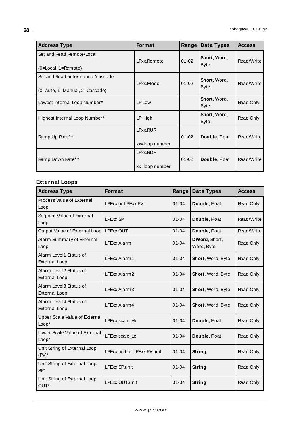| <b>Address Type</b>                                                       | <b>Format</b>              | Range     | Data Types                  | <b>Access</b>    |
|---------------------------------------------------------------------------|----------------------------|-----------|-----------------------------|------------------|
| Set and Read Remote/Local<br>$(0 = Local, 1 = Remove)$                    | LPxx.Remote                | $01 - 02$ | Short, Word,<br><b>Byte</b> | Read/Write       |
| Set and Read auto/manual/cascade<br>$(0 = Auto, 1 = Manual, 2 = Cascade)$ | LPxx.Mode                  | $01 - 02$ | Short, Word,<br><b>Byte</b> | Read/Write       |
| Lowest Internal Loop Number*                                              | LP.Low                     |           | Short, Word,<br><b>Byte</b> | <b>Read Only</b> |
| Highest Internal Loop Number*                                             | LP.High                    |           | Short, Word,<br><b>Byte</b> | <b>Read Only</b> |
| Ramp Up Rate**                                                            | LPxx.RUR<br>xx=loop number | $01 - 02$ | Double, Float               | Read/Write       |
| Ramp Down Rate**                                                          | LPxx.RDR<br>xx=loop number | $01 - 02$ | Double, Float               | Read/Write       |

# **External Loops**

| <b>Address Type</b>                            | <b>Format</b>               | Range     | Data Types                  | <b>Access</b> |
|------------------------------------------------|-----------------------------|-----------|-----------------------------|---------------|
| Process Value of External<br>Loop              | LPExx or LPExx.PV           | $01 - 04$ | Double, Float               | Read Only     |
| Setpoint Value of External<br>Loop             | LPExx.SP                    | $01 - 04$ | Double, Float               | Read/Write    |
| Output Value of External Loop                  | LPExx.OUT                   | $01 - 04$ | Double, Float               | Read/Write    |
| Alarm Summary of External<br>Loop              | LPExx.Alarm                 | $01 - 04$ | DWord, Short,<br>Word, Byte | Read Only     |
| Alarm Level1 Status of<br><b>External Loop</b> | LPExx.Alarm1                | $01 - 04$ | Short, Word, Byte           | Read Only     |
| Alarm Level2 Status of<br><b>External Loop</b> | LPExx.Alarm2                | $01 - 04$ | Short, Word, Byte           | Read Only     |
| Alarm Level3 Status of<br><b>External Loop</b> | LPExx.Alarm3                | $01 - 04$ | Short, Word, Byte           | Read Only     |
| Alarm Level4 Status of<br><b>External Loop</b> | LPExx.Alarm4                | $01 - 04$ | Short, Word, Byte           | Read Only     |
| Upper Scale Value of External<br>Loop*         | LPExx.scale_Hi              | $01 - 04$ | Double, Float               | Read Only     |
| Lower Scale Value of External<br>Loop*         | LPExx.scale_Lo              | $01 - 04$ | Double, Float               | Read Only     |
| Unit String of External Loop<br>$(PV)^*$       | LPExx.unit or LPExx.PV.unit | $01 - 04$ | <b>String</b>               | Read Only     |
| Unit String of External Loop<br>$SP*$          | LPExx.SP.unit               | $01 - 04$ | String                      | Read Only     |
| Unit String of External Loop<br>OUT*           | LPExx.OUT.unit              | $01 - 04$ | String                      | Read Only     |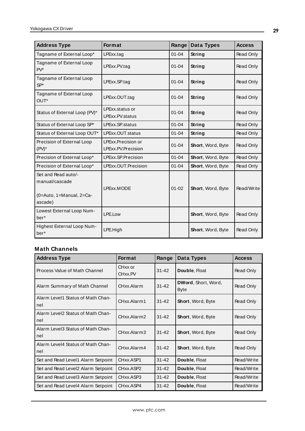| <b>Address Type</b>                                                          | <b>Format</b>                            | Range     | <b>Data Types</b> | <b>Access</b> |
|------------------------------------------------------------------------------|------------------------------------------|-----------|-------------------|---------------|
| Tagname of External Loop*                                                    | LPExx.tag                                | $01 - 04$ | <b>String</b>     | Read Only     |
| Tagname of External Loop<br>$PV^*$                                           | LPExx.PV.tag                             | $01 - 04$ | String            | Read Only     |
| Tagname of External Loop<br>$SP*$                                            | LPExx.SP.tag                             | $01 - 04$ | String            | Read Only     |
| Tagname of External Loop<br>OUT*                                             | LPExx.OUT.tag                            | $01 - 04$ | String            | Read Only     |
| Status of External Loop (PV)*                                                | LPExx.status or<br>LPExx.PV.status       | $01 - 04$ | String            | Read Only     |
| Status of External Loop SP*                                                  | LPExx.SP.status                          | $01 - 04$ | <b>String</b>     | Read Only     |
| Status of External Loop OUT*                                                 | LPExx.OUT.status                         | $01 - 04$ | <b>String</b>     | Read Only     |
| Precision of External Loop<br>$(PV)^*$                                       | LPExx.Precision or<br>LPExx.PV.Precision | $01 - 04$ | Short, Word, Byte | Read Only     |
| Precision of External Loop*                                                  | LPExx.SP.Precision                       | $01 - 04$ | Short, Word, Byte | Read Only     |
| Precision of External Loop*                                                  | LPExx.OUT.Precision                      | $01 - 04$ | Short, Word, Byte | Read Only     |
| Set and Read auto/-<br>manual/cascade<br>(0=Auto, 1=Manual, 2=Ca-<br>ascade) | LPExx.MODE                               | $01 - 02$ | Short, Word, Byte | Read/Write    |
| Lowest External Loop Num-<br>ber*                                            | LPE.Low                                  |           | Short, Word, Byte | Read Only     |
| Highest External Loop Num-<br>ber*                                           | LPE.High                                 |           | Short, Word, Byte | Read Only     |

# **Math Channels**

| <b>Address Type</b>                      | <b>Format</b>                   | Range     | Data Types                         | <b>Access</b> |
|------------------------------------------|---------------------------------|-----------|------------------------------------|---------------|
| Process Value of Math Channel            | CHxx or<br>CH <sub>xx</sub> .PV | $31 - 42$ | Double, Float                      | Read Only     |
| Alarm Summary of Math Channel            | CHxx.Alarm                      | $31 - 42$ | DWord, Short, Word,<br><b>Byte</b> | Read Only     |
| Alarm Level1 Status of Math Chan-<br>nel | CHxx.Alarm1                     | $31 - 42$ | Short, Word, Byte                  | Read Only     |
| Alarm Level2 Status of Math Chan-<br>nel | CHxx.Alarm2                     | $31 - 42$ | <b>Short, Word, Byte</b>           | Read Only     |
| Alarm Level3 Status of Math Chan-<br>nel | CHxx.Alarm3                     | $31 - 42$ | <b>Short, Word, Byte</b>           | Read Only     |
| Alarm Level4 Status of Math Chan-<br>nel | CHxx.Alarm4                     | $31 - 42$ | <b>Short, Word, Byte</b>           | Read Only     |
| Set and Read Level1 Alarm Setpoint       | CHxx.ASP1                       | $31 - 42$ | Double, Float                      | Read/Write    |
| Set and Read Level2 Alarm Setpoint       | CHxx.ASP2                       | $31 - 42$ | Double, Float                      | Read/Write    |
| Set and Read Level3 Alarm Setpoint       | CHxx.ASP3                       | $31 - 42$ | Double, Float                      | Read/Write    |
| Set and Read Level4 Alarm Setpoint       | CHxx.ASP4                       | $31 - 42$ | Double, Float                      | Read/Write    |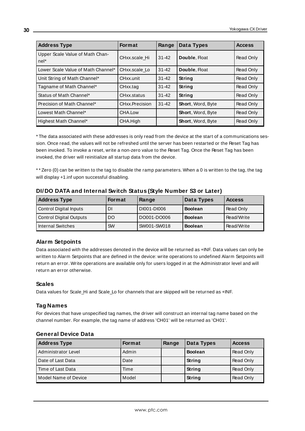| <b>Address Type</b>                     | <b>Format</b>  | Range     | Data Types               | <b>Access</b> |
|-----------------------------------------|----------------|-----------|--------------------------|---------------|
| Upper Scale Value of Math Chan-<br>nel* | CHxx.scale Hi  | $31 - 42$ | Double, Float            | Read Only     |
| Lower Scale Value of Math Channel*      | CHxx.scale Lo  | $31 - 42$ | Double, Float            | Read Only     |
| Unit String of Math Channel*            | CHxx.unit      | $31 - 42$ | <b>String</b>            | Read Only     |
| Tagname of Math Channel*                | CHxx.tag       | $31 - 42$ | String                   | Read Only     |
| Status of Math Channel*                 | CHxx.status    | $31 - 42$ | <b>String</b>            | Read Only     |
| Precision of Math Channel*              | CHxx.Precision | $31 - 42$ | <b>Short, Word, Byte</b> | Read Only     |
| Lowest Math Channel*                    | CHA.Low        |           | <b>Short, Word, Byte</b> | Read Only     |
| Highest Math Channel*                   | CHA.High       |           | Short, Word, Byte        | Read Only     |

\* The data associated with these addresses is only read from the device at the start of a communications session. Once read, the values will not be refreshed until the server has been restarted or the Reset Tag has been invoked. To invoke a reset, write a non-zero value to the Reset Tag. Once the Reset Tag has been invoked, the driver will reinitialize all startup data from the device.

\* \* Zero (0) can be written to the tag to disable the ramp parameters. When a 0 is written to the tag, the tag will display +1.inf upon successful disabling.

| <b>Address Type</b>     | <b>Format</b> | Range       | Data Types     | <b>Access</b> |
|-------------------------|---------------|-------------|----------------|---------------|
| Control Digital Inputs  | DI            | DI001-DI006 | <b>Boolean</b> | Read Only     |
| Control Digital Outputs | <b>DO</b>     | DO001-DO006 | <b>Boolean</b> | Read/Write    |
| Internal Switches       | <b>SW</b>     | SW001-SW018 | <b>Boolean</b> | Read/Write    |

#### **DI/DO DATA and Internal Switch Status (Style Number S3 or Later)**

# **Alarm Setpoints**

Data associated with the addresses denoted in the device will be returned as +INF. Data values can only be written to Alarm Setpoints that are defined in the device: write operations to undefined Alarm Setpoints will return an error. Write operations are available only for users logged in at the Administrator level and will return an error otherwise.

#### **Scales**

Data values for Scale\_Hi and Scale\_Lo for channels that are skipped will be returned as +INF.

#### **Tag Names**

For devices that have unspecified tag names, the driver will construct an internal tag name based on the channel number. For example, the tag name of address 'CH01' will be returned as 'CH01'.

| <b>Address Type</b>  | <b>Format</b> | Range | Data Types     | <b>Access</b> |
|----------------------|---------------|-------|----------------|---------------|
| Administrator Level  | Admin         |       | <b>Boolean</b> | Read Only     |
| Date of Last Data    | Date          |       | String         | Read Only     |
| Time of Last Data    | Time          |       | String         | Read Only     |
| Model Name of Device | Model         |       | String         | Read Only     |

#### **General Device Data**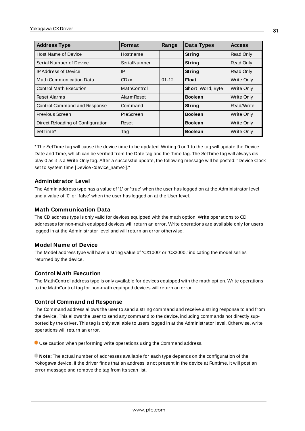| <b>Address Type</b>               | <b>Format</b>      | Range     | Data Types        | <b>Access</b>     |
|-----------------------------------|--------------------|-----------|-------------------|-------------------|
| <b>Host Name of Device</b>        | Hostname           |           | String            | Read Only         |
| Serial Number of Device           | SerialNumber       |           | String            | Read Only         |
| <b>IP Address of Device</b>       | IP                 |           | String            | <b>Read Only</b>  |
| <b>Math Communication Data</b>    | <b>CDxx</b>        | $01 - 12$ | <b>Float</b>      | Write Only        |
| <b>Control Math Execution</b>     | MathControl        |           | Short, Word, Byte | Write Only        |
| <b>Reset Alarms</b>               | <b>Alarm Reset</b> |           | <b>Boolean</b>    | <b>Write Only</b> |
| Control Command and Response      | Command            |           | String            | Read/Write        |
| Previous Screen                   | PreScreen          |           | <b>Boolean</b>    | Write Only        |
| Direct Reloading of Configuration | Reset              |           | <b>Boolean</b>    | Write Only        |
| SetTime*                          | Tag                |           | <b>Boolean</b>    | Write Only        |

\* The SetTime tag will cause the device time to be updated. Writing 0 or 1 to the tag will update the Device Date and Time, which can be verified from the Date tag and the Time tag. The SetTime tag will always display 0 as it is a Write Only tag. After a successful update, the following message will be posted: "Device Clock set to system time [Device <device\_name>]."

#### **Administrator Level**

The Admin address type has a value of '1' or 'true' when the user has logged on at the Administrator level and a value of '0' or 'false' when the user has logged on at the User level.

#### **Math Communication Data**

The CD address type is only valid for devices equipped with the math option. Write operations to CD addresses for non-math equipped devices will return an error. Write operations are available only for users logged in at the Administrator level and will return an error otherwise.

#### **Model Name of Device**

The Model address type will have a string value of 'CX1000' or 'CX2000,' indicating the model series returned by the device.

# **Control Math Execution**

The MathControl address type is only available for devices equipped with the math option. Write operations to the MathControl tag for non-math equipped devices will return an error.

#### **Control Command nd Response**

The Command address allows the user to send a string command and receive a string response to and from the device. This allows the user to send any command to the device, including commands not directly supported by the driver. This tag is only available to users logged in at the Administrator level. Otherwise, write operations will return an error.

Use caution when performing write operations using the Command address.

**Note:** The actual number of addresses available for each type depends on the configuration of the Yokogawa device. If the driver finds that an address is not present in the device at Runtime, it will post an error message and remove the tag from its scan list.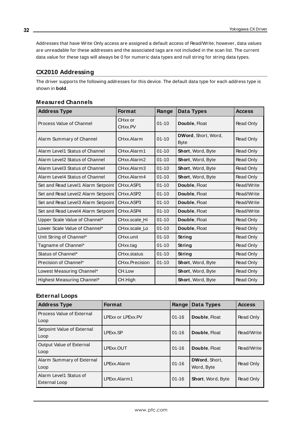Addresses that have Write Only access are assigned a default access of Read/Write; however, data values are unreadable for these addresses and the associated tags are not included in the scan list. The current data value for these tags will always be 0 for numeric data types and null string for string data types.

# <span id="page-31-0"></span>**CX2010 Addressing**

The driver supports the following addresses for this device. The default data type for each address type is shown in **bold**.

| <b>Address Type</b>                | <b>Format</b>      | Range     | Data Types                         | <b>Access</b>    |
|------------------------------------|--------------------|-----------|------------------------------------|------------------|
| Process Value of Channel           | CHxx or<br>CHxx.PV | $01 - 10$ | Double, Float                      | <b>Read Only</b> |
| Alarm Summary of Channel           | CHxx.Alarm         | $01 - 10$ | DWord, Short, Word,<br><b>Byte</b> | <b>Read Only</b> |
| Alarm Level1 Status of Channel     | CHxx.Alarm1        | $01 - 10$ | Short, Word, Byte                  | <b>Read Only</b> |
| Alarm Level2 Status of Channel     | CHxx.Alarm2        | $01 - 10$ | <b>Short, Word, Byte</b>           | <b>Read Only</b> |
| Alarm Level3 Status of Channel     | CHxx.Alarm3        | $01 - 10$ | Short, Word, Byte                  | Read Only        |
| Alarm Level4 Status of Channel     | CHxx.Alarm4        | $01 - 10$ | Short, Word, Byte                  | Read Only        |
| Set and Read Level1 Alarm Setpoint | CHxx.ASP1          | $01 - 10$ | Double, Float                      | Read/Write       |
| Set and Read Level2 Alarm Setpoint | CHxx.ASP2          | $01 - 10$ | Double, Float                      | Read/Write       |
| Set and Read Level3 Alarm Setpoint | CHxx.ASP3          | $01 - 10$ | Double, Float                      | Read/Write       |
| Set and Read Level4 Alarm Setpoint | CHxx.ASP4          | $01 - 10$ | Double, Float                      | Read/Write       |
| Upper Scale Value of Channel*      | CHxx.scale_Hi      | $01 - 10$ | Double, Float                      | Read Only        |
| Lower Scale Value of Channel*      | CHxx.scale_Lo      | $01 - 10$ | Double, Float                      | Read Only        |
| Unit String of Channel*            | CHxx.unit          | $01 - 10$ | String                             | Read Only        |
| Tagname of Channel*                | CHxx.tag           | $01 - 10$ | String                             | Read Only        |
| Status of Channel*                 | CHxx.status        | $01 - 10$ | String                             | Read Only        |
| Precision of Channel*              | CHxx.Precision     | $01 - 10$ | Short, Word, Byte                  | Read Only        |
| Lowest Measuring Channel*          | CH.Low             |           | <b>Short, Word, Byte</b>           | Read Only        |
| Highest Measuring Channel*         | CH.High            |           | Short, Word, Byte                  | Read Only        |

#### **Measured Channels**

# **External Loops**

| <b>Address Type</b>                     | <b>Format</b>     | Range     | Data Types                  | <b>Access</b>    |
|-----------------------------------------|-------------------|-----------|-----------------------------|------------------|
| Process Value of External<br>Loop       | LPExx or LPExx.PV | $01 - 16$ | Double, Float               | Read Only        |
| Setpoint Value of External<br>Loop      | LPExx.SP          | $01 - 16$ | Double, Float               | Read/Write       |
| Output Value of External<br>Loop        | LPExx.OUT         | $01 - 16$ | Double, Float               | Read/Write       |
| Alarm Summary of External<br>Loop       | LPExx.Alarm       | $01 - 16$ | DWord, Short,<br>Word, Byte | <b>Read Only</b> |
| Alarm Level1 Status of<br>External Loop | LPExx.Alarm1      | $01 - 16$ | <b>Short, Word, Byte</b>    | Read Only        |

**32**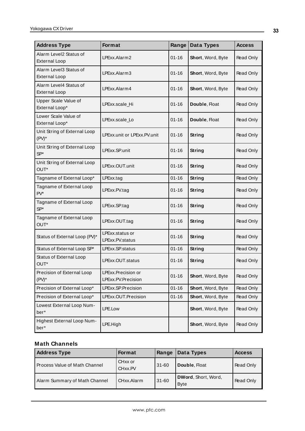| <b>Address Type</b>                            | <b>Format</b>                            | Range     | Data Types        | <b>Access</b>    |
|------------------------------------------------|------------------------------------------|-----------|-------------------|------------------|
| Alarm Level2 Status of<br><b>External Loop</b> | LPExx.Alarm2                             | $01 - 16$ | Short, Word, Byte | Read Only        |
| Alarm Level3 Status of<br><b>External Loop</b> | LPExx.Alarm3                             | $01 - 16$ | Short, Word, Byte | Read Only        |
| Alarm Level4 Status of<br><b>External Loop</b> | LPExx.Alarm4                             | $01 - 16$ | Short, Word, Byte | Read Only        |
| Upper Scale Value of<br>External Loop*         | LPExx.scale_Hi                           | $01 - 16$ | Double, Float     | Read Only        |
| Lower Scale Value of<br>External Loop*         | LPExx.scale_Lo                           | $01 - 16$ | Double, Float     | <b>Read Only</b> |
| Unit String of External Loop<br>$(PV)^*$       | LPExx.unit or LPExx.PV.unit              | $01 - 16$ | <b>String</b>     | Read Only        |
| Unit String of External Loop<br>$SP*$          | LPExx.SP.unit                            | $01 - 16$ | String            | <b>Read Only</b> |
| Unit String of External Loop<br>OUT*           | LPExx.OUT.unit                           | $01 - 16$ | String            | Read Only        |
| Tagname of External Loop*                      | LPExx.tag                                | $01 - 16$ | String            | Read Only        |
| Tagname of External Loop<br>$PV^*$             | LPExx.PV.tag                             | $01 - 16$ | String            | Read Only        |
| Tagname of External Loop<br>$SP*$              | LPExx.SP.tag<br>$01 - 16$<br>String      |           |                   | <b>Read Only</b> |
| Tagname of External Loop<br>OUT*               | LPExx.OUT.tag                            | $01 - 16$ | <b>String</b>     | Read Only        |
| Status of External Loop (PV)*                  | LPExx.status or<br>LPExx.PV.status       | $01 - 16$ | String            | Read Only        |
| Status of External Loop SP*                    | LPExx.SP.status                          | $01 - 16$ | String            | Read Only        |
| Status of External Loop<br>OUT*                | LPExx.OUT.status                         | $01 - 16$ | String            | <b>Read Only</b> |
| Precision of External Loop<br>$(PV)^*$         | LPExx.Precision or<br>LPExx.PV.Precision | $01 - 16$ | Short, Word, Byte | <b>Read Only</b> |
| Precision of External Loop*                    | LPExx.SP.Precision                       | $01 - 16$ | Short, Word, Byte | Read Only        |
| Precision of External Loop*                    | LPExx.OUT.Precision                      | $01 - 16$ | Short, Word, Byte | Read Only        |
| Lowest External Loop Num-<br>ber*              | LPE.Low                                  |           | Short, Word, Byte | Read Only        |
| Highest External Loop Num-<br>ber*             | LPE.High                                 |           | Short, Word, Byte | Read Only        |

# **Math Channels**

| <b>Address Type</b>           | <b>Format</b>                  | Range     | Data Types                         | <b>Access</b> |
|-------------------------------|--------------------------------|-----------|------------------------------------|---------------|
| Process Value of Math Channel | CH <sub>xx</sub> or<br>CHxx.PV | $31 - 60$ | Double, Float                      | Read Only     |
| Alarm Summary of Math Channel | CHxx.Alarm                     | $31 - 60$ | DWord, Short, Word,<br><b>Byte</b> | Read Only     |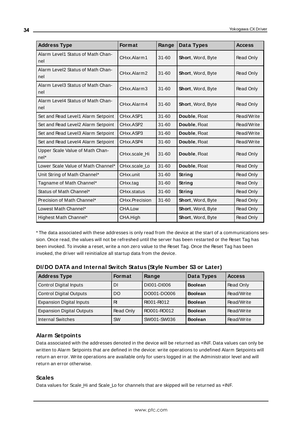| <b>Address Type</b>                       | <b>Format</b>  | Range     | Data Types               | <b>Access</b> |
|-------------------------------------------|----------------|-----------|--------------------------|---------------|
| Alarm Level1 Status of Math Chan-<br>nel  | CHxx.Alarm1    | $31 - 60$ | <b>Short, Word, Byte</b> | Read Only     |
| Alarm Level2 Status of Math Chan-<br>nel  | CHxx.Alarm2    | $31 - 60$ | Short, Word, Byte        | Read Only     |
| Alarm Level3 Status of Math Chan-<br>nel  | CHxx.Alarm3    | $31 - 60$ | Short, Word, Byte        | Read Only     |
| Alarm Level4 Status of Math Chan-<br>nel  | CHxx.Alarm4    | $31 - 60$ | Short, Word, Byte        | Read Only     |
| Set and Read Level1 Alarm Setpoint        | CHxx.ASP1      | $31 - 60$ | Double, Float            | Read/Write    |
| Set and Read Level2 Alarm Setpoint        | CHxx.ASP2      | $31 - 60$ | Double, Float            | Read/Write    |
| Set and Read Level3 Alarm Setpoint        | CHxx.ASP3      | $31 - 60$ | Double, Float            | Read/Write    |
| Set and Read Level4 Alarm Setpoint        | CHxx.ASP4      | $31 - 60$ | Double, Float            | Read/Write    |
| Upper Scale Value of Math Chan-<br>$nel*$ | CHxx.scale Hi  | $31 - 60$ | Double, Float            | Read Only     |
| Lower Scale Value of Math Channel*        | CHxx.scale Lo  | $31 - 60$ | Double, Float            | Read Only     |
| Unit String of Math Channel*              | CHxx.unit      | $31 - 60$ | String                   | Read Only     |
| Tagname of Math Channel*                  | CHxx.tag       | $31 - 60$ | String                   | Read Only     |
| Status of Math Channel*                   | CHxx.status    | $31 - 60$ | String                   | Read Only     |
| Precision of Math Channel*                | CHxx.Precision | $31 - 60$ | Short, Word, Byte        | Read Only     |
| Lowest Math Channel*                      | CHA.Low        |           | Short, Word, Byte        | Read Only     |
| Highest Math Channel*                     | CHA.High       |           | Short, Word, Byte        | Read Only     |

\* The data associated with these addresses is only read from the device at the start of a communications session. Once read, the values will not be refreshed until the server has been restarted or the Reset Tag has been invoked. To invoke a reset, write a non zero value to the Reset Tag. Once the Reset Tag has been invoked, the driver will reinitialize all startup data from the device.

| <b>Address Type</b>              | <b>Format</b> | Range       | Data Types     | <b>Access</b> |
|----------------------------------|---------------|-------------|----------------|---------------|
| Control Digital Inputs           | DI            | DI001-DI006 | <b>Boolean</b> | Read Only     |
| Control Digital Outputs          | DO            | DO001-DO006 | <b>Boolean</b> | Read/Write    |
| <b>Expansion Digital Inputs</b>  | RI            | RI001-RI012 | <b>Boolean</b> | Read/Write    |
| <b>Expansion Digital Outputs</b> | Read Only     | RO001-RO012 | <b>Boolean</b> | Read/Write    |
| I Internal Switches              | <b>SW</b>     | SW001-SW036 | <b>Boolean</b> | Read/Write    |

**DI/DO DATA and Internal Switch Status (Style Number S3 or Later)**

# **Alarm Setpoints**

Data associated with the addresses denoted in the device will be returned as +INF. Data values can only be written to Alarm Setpoints that are defined in the device: write operations to undefined Alarm Setpoints will return an error. Write operations are available only for users logged in at the Administrator level and will return an error otherwise.

# **Scales**

Data values for Scale\_Hi and Scale\_Lo for channels that are skipped will be returned as +INF.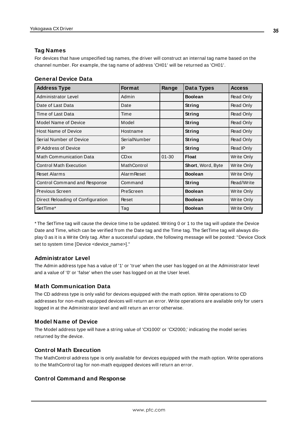# **Tag Names**

For devices that have unspecified tag names, the driver will construct an internal tag name based on the channel number. For example, the tag name of address 'CH01' will be returned as 'CH01'.

| <b>Address Type</b>               | <b>Format</b>      | Range     | Data Types        | <b>Access</b> |
|-----------------------------------|--------------------|-----------|-------------------|---------------|
| Administrator Level               | Admin              |           | <b>Boolean</b>    | Read Only     |
| Date of Last Data                 | Date               |           | String            | Read Only     |
| Time of Last Data                 | Time               |           | String            | Read Only     |
| Model Name of Device              | Model              |           | String            | Read Only     |
| <b>Host Name of Device</b>        | Hostname           |           | String            | Read Only     |
| Serial Number of Device           | SerialNumber       |           | String            | Read Only     |
| <b>IP Address of Device</b>       | IP                 |           | String            | Read Only     |
| <b>Math Communication Data</b>    | <b>CDxx</b>        | $01 - 30$ | <b>Float</b>      | Write Only    |
| <b>Control Math Execution</b>     | MathControl        |           | Short, Word, Byte | Write Only    |
| <b>Reset Alarms</b>               | <b>Alarm Reset</b> |           | <b>Boolean</b>    | Write Only    |
| Control Command and Response      | Command            |           | String            | Read/Write    |
| Previous Screen                   | PreScreen          |           | <b>Boolean</b>    | Write Only    |
| Direct Reloading of Configuration | Reset              |           | <b>Boolean</b>    | Write Only    |
| SetTime*                          | Tag                |           | <b>Boolean</b>    | Write Only    |

\* The SetTime tag will cause the device time to be updated. Writing 0 or 1 to the tag will update the Device Date and Time, which can be verified from the Date tag and the Time tag. The SetTime tag will always display 0 as it is a Write Only tag. After a successful update, the following message will be posted: "Device Clock set to system time [Device <device\_name>]."

# **Administrator Level**

The Admin address type has a value of '1' or 'true' when the user has logged on at the Administrator level and a value of '0' or 'false' when the user has logged on at the User level.

# **Math Communication Data**

The CD address type is only valid for devices equipped with the math option. Write operations to CD addresses for non-math equipped devices will return an error. Write operations are available only for users logged in at the Administrator level and will return an error otherwise.

# **Model Name of Device**

The Model address type will have a string value of 'CX1000' or 'CX2000,' indicating the model series returned by the device.

# **Control Math Execution**

The MathControl address type is only available for devices equipped with the math option. Write operations to the MathControl tag for non-math equipped devices will return an error.

# **Control Command and Response**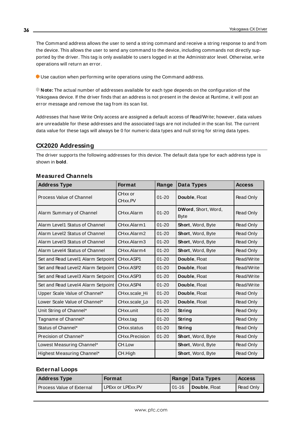The Command address allows the user to send a string command and receive a string response to and from the device. This allows the user to send any command to the device, including commands not directly supported by the driver. This tag is only available to users logged in at the Administrator level. Otherwise, write operations will return an error.

Use caution when performing write operations using the Command address.

**Note:** The actual number of addresses available for each type depends on the configuration of the Yokogawa device. If the driver finds that an address is not present in the device at Runtime, it will post an error message and remove the tag from its scan list.

Addresses that have Write Only access are assigned a default access of Read/Write; however, data values are unreadable for these addresses and the associated tags are not included in the scan list. The current data value for these tags will always be 0 for numeric data types and null string for string data types.

# <span id="page-35-0"></span>**CX2020 Addressing**

The driver supports the following addresses for this device. The default data type for each address type is shown in **bold**.

| <b>Address Type</b>                | <b>Format</b>      | Range     | Data Types                         | <b>Access</b> |
|------------------------------------|--------------------|-----------|------------------------------------|---------------|
| Process Value of Channel           | CHxx or<br>CHxx.PV | $01 - 20$ | Double, Float                      | Read Only     |
| Alarm Summary of Channel           | CHxx.Alarm         | $01 - 20$ | DWord, Short, Word,<br><b>Byte</b> | Read Only     |
| Alarm Level1 Status of Channel     | CHxx.Alarm1        | $01 - 20$ | Short, Word, Byte                  | Read Only     |
| Alarm Level2 Status of Channel     | CHxx.Alarm2        | $01 - 20$ | Short, Word, Byte                  | Read Only     |
| Alarm Level3 Status of Channel     | CHxx.Alarm3        | $01 - 20$ | Short, Word, Byte                  | Read Only     |
| Alarm Level4 Status of Channel     | CHxx.Alarm4        | $01 - 20$ | Short, Word, Byte                  | Read Only     |
| Set and Read Level1 Alarm Setpoint | CHxx.ASP1          | $01 - 20$ | Double, Float                      | Read/Write    |
| Set and Read Level2 Alarm Setpoint | CHxx.ASP2          | $01 - 20$ | Double, Float                      | Read/Write    |
| Set and Read Level3 Alarm Setpoint | CHxx.ASP3          | $01 - 20$ | Double, Float                      | Read/Write    |
| Set and Read Level4 Alarm Setpoint | CHxx.ASP4          | $01 - 20$ | Double, Float                      | Read/Write    |
| Upper Scale Value of Channel*      | CHxx.scale Hi      | $01 - 20$ | Double, Float                      | Read Only     |
| Lower Scale Value of Channel*      | CHxx.scale_Lo      | $01 - 20$ | Double, Float                      | Read Only     |
| Unit String of Channel*            | CHxx.unit          | $01 - 20$ | String                             | Read Only     |
| Tagname of Channel*                | CHxx.tag           | $01 - 20$ | String                             | Read Only     |
| Status of Channel*                 | CHxx.status        | $01 - 20$ | String                             | Read Only     |
| Precision of Channel*              | CHxx.Precision     | $01 - 20$ | Short, Word, Byte                  | Read Only     |
| Lowest Measuring Channel*          | CH.Low             |           | Short, Word, Byte                  | Read Only     |
| Highest Measuring Channel*         | CH.High            |           | Short, Word, Byte                  | Read Only     |

#### **Measured Channels**

#### **External Loops**

| <b>Address Type</b>              | Format            |           | Range   Data Types     | <b>Access</b>    |
|----------------------------------|-------------------|-----------|------------------------|------------------|
| <b>Process Value of External</b> | LPExx or LPExx.PV | $01 - 16$ | <b>I</b> Double, Float | <b>Read Only</b> |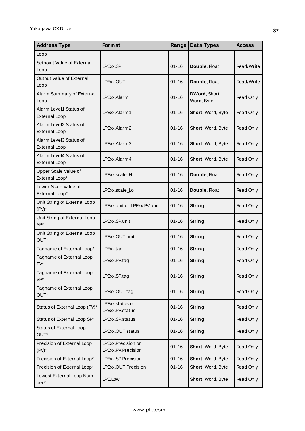| <b>Address Type</b>                            | Format                                   | Range     | Data Types                  | <b>Access</b> |
|------------------------------------------------|------------------------------------------|-----------|-----------------------------|---------------|
| Loop                                           |                                          |           |                             |               |
| Setpoint Value of External<br>Loop             | LPExx.SP                                 | $01 - 16$ | Double, Float               | Read/Write    |
| Output Value of External<br>Loop               | LPExx.OUT                                | $01 - 16$ | Double, Float               | Read/Write    |
| Alarm Summary of External<br>Loop              | LPExx.Alarm                              | $01 - 16$ | DWord, Short,<br>Word, Byte | Read Only     |
| Alarm Level1 Status of<br><b>External Loop</b> | LPExx.Alarm1                             | $01 - 16$ | Short, Word, Byte           | Read Only     |
| Alarm Level2 Status of<br><b>External Loop</b> | LPExx.Alarm2                             | $01 - 16$ | Short, Word, Byte           | Read Only     |
| Alarm Level3 Status of<br><b>External Loop</b> | LPExx.Alarm3                             | $01 - 16$ | Short, Word, Byte           | Read Only     |
| Alarm Level4 Status of<br><b>External Loop</b> | LPExx.Alarm4                             | $01 - 16$ | Short, Word, Byte           | Read Only     |
| Upper Scale Value of<br>External Loop*         | LPExx.scale Hi                           | $01 - 16$ | Double, Float               | Read Only     |
| Lower Scale Value of<br>External Loop*         | LPExx.scale Lo                           | $01 - 16$ | Double, Float               | Read Only     |
| Unit String of External Loop<br>$(PV)^*$       | LPExx.unit or LPExx.PV.unit              | $01 - 16$ | String                      | Read Only     |
| Unit String of External Loop<br>$SP*$          | LPExx.SP.unit                            | $01 - 16$ | <b>String</b>               | Read Only     |
| Unit String of External Loop<br>OUT*           | LPExx.OUT.unit                           | $01 - 16$ | String                      | Read Only     |
| Tagname of External Loop*                      | LPExx.tag                                | $01 - 16$ | <b>String</b>               | Read Only     |
| Tagname of External Loop<br>$PV^*$             | LPExx.PV.tag                             | $01 - 16$ | String                      | Read Only     |
| Tagname of External Loop<br>$SP*$              | LPExx.SP.tag                             | $01 - 16$ | String                      | Read Only     |
| Tagname of External Loop<br>OUT*               | LPExx.OUT.tag                            | $01 - 16$ | <b>String</b>               | Read Only     |
| Status of External Loop (PV)*                  | LPExx.status or<br>LPExx.PV.status       | $01 - 16$ | String                      | Read Only     |
| Status of External Loop SP*                    | LPExx.SP.status                          | $01 - 16$ | String                      | Read Only     |
| Status of External Loop<br>OUT*                | LPExx.OUT.status                         | $01 - 16$ | String                      | Read Only     |
| Precision of External Loop<br>$(PV)^*$         | LPExx.Precision or<br>LPExx.PV.Precision | $01 - 16$ | Short, Word, Byte           | Read Only     |
| Precision of External Loop*                    | LPExx.SP.Precision                       | $01 - 16$ | Short, Word, Byte           | Read Only     |
| Precision of External Loop*                    | LPExx.OUT.Precision                      | $01 - 16$ | Short, Word, Byte           | Read Only     |
| Lowest External Loop Num-<br>ber*              | LPE.Low                                  |           | Short, Word, Byte           | Read Only     |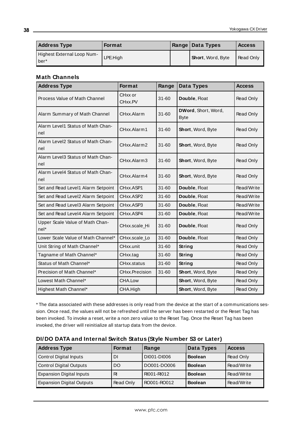| <b>Address Type</b>                | Format   | <b>Range Data Types</b>  | <b>Access</b> |
|------------------------------------|----------|--------------------------|---------------|
| Highest External Loop Num-<br>ber* | LPE.High | <b>Short, Word, Byte</b> | Read Only     |

## **Math Channels**

| <b>Address Type</b>                       | <b>Format</b>         | Range     | Data Types                         | <b>Access</b> |
|-------------------------------------------|-----------------------|-----------|------------------------------------|---------------|
| Process Value of Math Channel             | CHxx or<br>CHxx.PV    | $31 - 60$ | Double, Float                      | Read Only     |
| Alarm Summary of Math Channel             | CHxx.Alarm            | $31 - 60$ | DWord, Short, Word,<br><b>Byte</b> | Read Only     |
| Alarm Level1 Status of Math Chan-<br>nel  | CHxx.Alarm1           | $31 - 60$ | Short, Word, Byte                  | Read Only     |
| Alarm Level2 Status of Math Chan-<br>nel  | CHxx.Alarm2           | $31 - 60$ | Short, Word, Byte                  | Read Only     |
| Alarm Level3 Status of Math Chan-<br>nel  | CHxx.Alarm3           | $31 - 60$ | Short, Word, Byte                  | Read Only     |
| Alarm Level4 Status of Math Chan-<br>nel  | CHxx.Alarm4           | $31 - 60$ | Short, Word, Byte                  | Read Only     |
| Set and Read Level1 Alarm Setpoint        | CHxx.ASP1             | 31-60     | Double, Float                      | Read/Write    |
| Set and Read Level2 Alarm Setpoint        | CHxx.ASP2             | $31 - 60$ | Double, Float                      | Read/Write    |
| Set and Read Level3 Alarm Setpoint        | CHxx.ASP3             | $31 - 60$ | Double, Float                      | Read/Write    |
| Set and Read Level4 Alarm Setpoint        | CHxx.ASP4             | $31 - 60$ | Double, Float                      | Read/Write    |
| Upper Scale Value of Math Chan-<br>$nel*$ | CHxx.scale Hi         | $31 - 60$ | Double, Float                      | Read Only     |
| Lower Scale Value of Math Channel*        | CHxx.scale_Lo         | $31 - 60$ | Double, Float                      | Read Only     |
| Unit String of Math Channel*              | CHxx.unit             | $31 - 60$ | String                             | Read Only     |
| Tagname of Math Channel*                  | CHxx.tag              | $31 - 60$ | String                             | Read Only     |
| Status of Math Channel*                   | CHxx.status           | $31 - 60$ | String                             | Read Only     |
| Precision of Math Channel*                | <b>CHxx.Precision</b> | $31 - 60$ | Short, Word, Byte                  | Read Only     |
| Lowest Math Channel*                      | CHA.Low               |           | Short, Word, Byte                  | Read Only     |
| Highest Math Channel*                     | CHA.High              |           | Short, Word, Byte                  | Read Only     |

\* The data associated with these addresses is only read from the device at the start of a communications session. Once read, the values will not be refreshed until the server has been restarted or the Reset Tag has been invoked. To invoke a reset, write a non zero value to the Reset Tag. Once the Reset Tag has been invoked, the driver will reinitialize all startup data from the device.

| <b>Address Type</b>              | <b>Format</b> | Range       | Data Types     | <b>Access</b> |  |
|----------------------------------|---------------|-------------|----------------|---------------|--|
| <b>Control Digital Inputs</b>    | DI            | DI001-DI006 | <b>Boolean</b> | Read Only     |  |
| <b>Control Digital Outputs</b>   | DO            | DO001-DO006 | <b>Boolean</b> | Read/Write    |  |
| <b>Expansion Digital Inputs</b>  | R             | RI001-RI012 | <b>Boolean</b> | Read/Write    |  |
| <b>Expansion Digital Outputs</b> | Read Only     | RO001-RO012 | <b>Boolean</b> | Read/Write    |  |

## **DI/DO DATA and Internal Switch Status (Style Number S3 or Later)**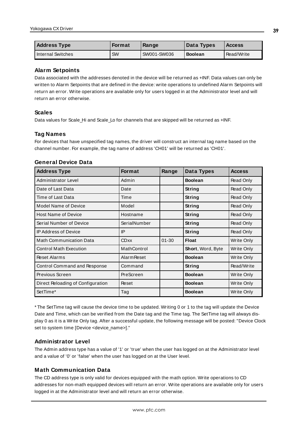| <b>Address Type</b> | <b>Format</b> | Range       | Data Types     | <b>Access</b> |
|---------------------|---------------|-------------|----------------|---------------|
| l Internal Switches | SW            | SW001-SW036 | <b>Boolean</b> | Read/Write    |

### **Alarm Setpoints**

Data associated with the addresses denoted in the device will be returned as +INF. Data values can only be written to Alarm Setpoints that are defined in the device: write operations to undefined Alarm Setpoints will return an error. Write operations are available only for users logged in at the Administrator level and will return an error otherwise.

## **Scales**

Data values for Scale\_Hi and Scale\_Lo for channels that are skipped will be returned as +INF.

## **Tag Names**

For devices that have unspecified tag names, the driver will construct an internal tag name based on the channel number. For example, the tag name of address 'CH01' will be returned as 'CH01'.

#### **General Device Data**

| <b>Address Type</b>               | <b>Format</b>      | Range     | Data Types        | <b>Access</b>     |
|-----------------------------------|--------------------|-----------|-------------------|-------------------|
| Administrator Level               | Admin              |           | <b>Boolean</b>    | Read Only         |
| Date of Last Data                 | Date               |           | String            | Read Only         |
| Time of Last Data                 | Time               |           | String            | Read Only         |
| <b>Model Name of Device</b>       | Model              |           | String            | Read Only         |
| <b>Host Name of Device</b>        | Hostname           |           | String            | Read Only         |
| Serial Number of Device           | SerialNumber       |           | String            | Read Only         |
| <b>IP Address of Device</b>       | IP                 |           | String            | Read Only         |
| <b>Math Communication Data</b>    | <b>CDxx</b>        | $01 - 30$ | <b>Float</b>      | Write Only        |
| <b>Control Math Execution</b>     | MathControl        |           | Short, Word, Byte | Write Only        |
| <b>Reset Alarms</b>               | <b>Alarm Reset</b> |           | <b>Boolean</b>    | Write Only        |
| Control Command and Response      | Command            |           | String            | Read/Write        |
| Previous Screen                   | PreScreen          |           | <b>Boolean</b>    | Write Only        |
| Direct Reloading of Configuration | Reset              |           | <b>Boolean</b>    | Write Only        |
| SetTime*                          | Tag                |           | <b>Boolean</b>    | <b>Write Only</b> |

\* The SetTime tag will cause the device time to be updated. Writing 0 or 1 to the tag will update the Device Date and Time, which can be verified from the Date tag and the Time tag. The SetTime tag will always display 0 as it is a Write Only tag. After a successful update, the following message will be posted: "Device Clock set to system time [Device <device\_name>]."

## **Administrator Level**

The Admin address type has a value of '1' or 'true' when the user has logged on at the Administrator level and a value of '0' or 'false' when the user has logged on at the User level.

## **Math Communication Data**

The CD address type is only valid for devices equipped with the math option. Write operations to CD addresses for non-math equipped devices will return an error. Write operations are available only for users logged in at the Administrator level and will return an error otherwise.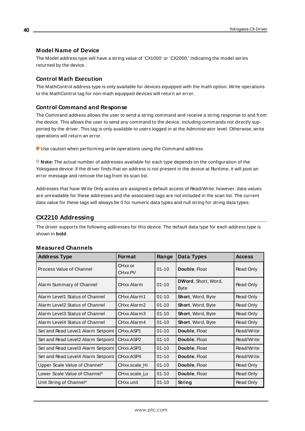### **Model Name of Device**

The Model address type will have a string value of 'CX1000' or 'CX2000,' indicating the model series returned by the device.

### **Control Math Execution**

The MathControl address type is only available for devices equipped with the math option. Write operations to the MathControl tag for non-math equipped devices will return an error.

### **Control Command and Response**

The Command address allows the user to send a string command and receive a string response to and from the device. This allows the user to send any command to the device, including commands not directly supported by the driver. This tag is only available to users logged in at the Administrator level. Otherwise, write operations will return an error.

Use caution when performing write operations using the Command address.

**Note:** The actual number of addresses available for each type depends on the configuration of the Yokogawa device. If the driver finds that an address is not present in the device at Runtime, it will post an error message and remove the tag from its scan list.

Addresses that have Write Only access are assigned a default access of Read/Write; however, data values are unreadable for these addresses and the associated tags are not included in the scan list. The current data value for these tags will always be 0 for numeric data types and null string for string data types.

## **CX2210 Addressing**

The driver supports the following addresses for this device. The default data type for each address type is shown in **bold**.

| <b>Address Type</b>                 | <b>Format</b>                   | Range     | Data Types                  | <b>Access</b> |
|-------------------------------------|---------------------------------|-----------|-----------------------------|---------------|
| Process Value of Channel            | CHxx or<br>CH <sub>xx</sub> .PV | $01 - 10$ | Double, Float               | Read Only     |
| Alarm Summary of Channel            | CHxx.Alarm                      | $01 - 10$ | DWord, Short, Word,<br>Byte | Read Only     |
| Alarm Level1 Status of Channel      | CHxx.Alarm1                     | $01 - 10$ | <b>Short, Word, Byte</b>    | Read Only     |
| Alarm Level2 Status of Channel      | CHxx.Alarm2                     | $01 - 10$ | <b>Short, Word, Byte</b>    | Read Only     |
| Alarm Level3 Status of Channel      | CHxx.Alarm3                     | $01 - 10$ | Short, Word, Byte           | Read Only     |
| Alarm Level4 Status of Channel      | CHxx.Alarm4                     | $01 - 10$ | Short, Word, Byte           | Read Only     |
| Set and Read Level1 Alarm Setpoint  | CHxx.ASP1                       | $01 - 10$ | Double, Float               | Read/Write    |
| Set and Read Level2 Alarm Setpoint  | CHxx.ASP2                       | $01 - 10$ | Double, Float               | Read/Write    |
| Set and Read Level 3 Alarm Setpoint | CHxx.ASP3                       | $01 - 10$ | Double, Float               | Read/Write    |
| Set and Read Level4 Alarm Setpoint  | CH <sub>xx</sub> .ASP4          | $01 - 10$ | Double, Float               | Read/Write    |
| Upper Scale Value of Channel*       | CHxx.scale Hi                   | $01 - 10$ | Double, Float               | Read Only     |
| Lower Scale Value of Channel*       | CHxx.scale_Lo                   | $01 - 10$ | Double, Float               | Read Only     |
| Unit String of Channel*             | CHxx.unit                       | $01 - 10$ | String                      | Read Only     |

### **Measured Channels**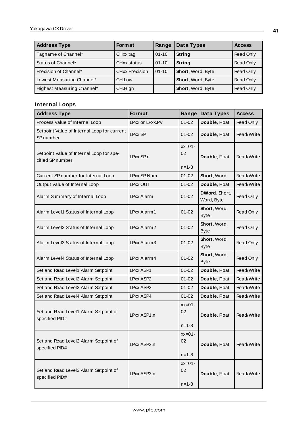| <b>Address Type</b>        | <b>Format</b>  | Range     | Data Types        | <b>Access</b> |
|----------------------------|----------------|-----------|-------------------|---------------|
| Tagname of Channel*        | CHxx.tag       | $01 - 10$ | String            | Read Only     |
| Status of Channel*         | CHxx.status    | $01 - 10$ | String            | Read Only     |
| Precision of Channel*      | CHxx.Precision | $01 - 10$ | Short, Word, Byte | Read Only     |
| Lowest Measuring Channel*  | CH.Low         |           | Short, Word, Byte | Read Only     |
| Highest Measuring Channel* | CH.High        |           | Short, Word, Byte | Read Only     |

# **Internal Loops**

| <b>Address Type</b>                                          | Format          | Range                         | Data Types                  | <b>Access</b> |
|--------------------------------------------------------------|-----------------|-------------------------------|-----------------------------|---------------|
| Process Value of Internal Loop                               | LPxx or LPxx.PV | $01 - 02$                     | Double, Float               | Read Only     |
| Setpoint Value of Internal Loop for current<br>SP number     | LPxx.SP         | $01 - 02$                     | Double, Float               | Read/Write    |
| Setpoint Value of Internal Loop for spe-<br>cified SP number | LPxx.SP.n       | $xx=01-$<br>02<br>$n = 1 - 8$ | Double, Float               | Read/Write    |
| Current SP number for Internal Loop                          | LPxx.SP.Num     | $01 - 02$                     | Short, Word                 | Read/Write    |
| Output Value of Internal Loop                                | LPxx.OUT        | $01 - 02$                     | Double, Float               | Read/Write    |
| Alarm Summary of Internal Loop                               | LPxx.Alarm      | $01 - 02$                     | DWord, Short,<br>Word, Byte | Read Only     |
| Alarm Level1 Status of Internal Loop                         | LPxx.Alarm1     | $01 - 02$                     | Short, Word,<br><b>Byte</b> | Read Only     |
| Alarm Level2 Status of Internal Loop                         | LPxx.Alarm2     | $01 - 02$                     | Short, Word,<br><b>Byte</b> | Read Only     |
| Alarm Level3 Status of Internal Loop                         | LPxx.Alarm3     | $01 - 02$                     | Short, Word,<br><b>Byte</b> | Read Only     |
| Alarm Level4 Status of Internal Loop                         | LPxx.Alarm4     | $01 - 02$                     | Short, Word,<br><b>Byte</b> | Read Only     |
| Set and Read Level1 Alarm Setpoint                           | LPxx.ASP1       | $01 - 02$                     | Double, Float               | Read/Write    |
| Set and Read Level2 Alarm Setpoint                           | LPxx.ASP2       | $01 - 02$                     | Double, Float               | Read/Write    |
| Set and Read Level3 Alarm Setpoint                           | LPxx.ASP3       | $01 - 02$                     | Double, Float               | Read/Write    |
| Set and Read Level4 Alarm Setpoint                           | LPxx.ASP4       | $01 - 02$                     | Double, Float               | Read/Write    |
| Set and Read Level1 Alarm Setpoint of<br>specified PID#      | LPxx.ASP1.n     | $xx=01-$<br>02<br>$n = 1 - 8$ | Double, Float               | Read/Write    |
| Set and Read Level2 Alarm Setpoint of<br>specified PID#      | LPxx.ASP2.n     | $xx=01-$<br>02<br>$n = 1 - 8$ | Double, Float               | Read/Write    |
| Set and Read Level3 Alarm Setpoint of<br>specified PID#      | LPxx.ASP3.n     | $xx=01-$<br>02<br>$n = 1 - 8$ | Double, Float               | Read/Write    |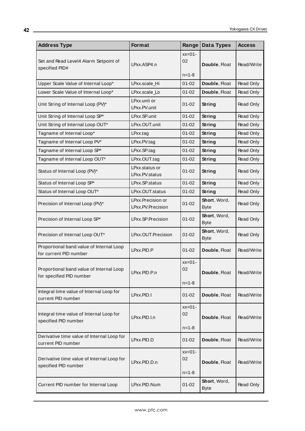| <b>Address Type</b>                                                  | Format                                 | Range                         | Data Types                  | <b>Access</b> |
|----------------------------------------------------------------------|----------------------------------------|-------------------------------|-----------------------------|---------------|
| Set and Read Level4 Alarm Setpoint of<br>specified PID#              | LPxx.ASP4.n                            | $xx=01-$<br>02<br>$n = 1 - 8$ | Double, Float               | Read/Write    |
| Upper Scale Value of Internal Loop*                                  | LPxx.scale_Hi                          | $01 - 02$                     | Double, Float               | Read Only     |
| Lower Scale Value of Internal Loop*                                  | LPxx.scale_Lo                          | $01 - 02$                     | Double, Float               | Read Only     |
| Unit String of Internal Loop (PV)*                                   | LPxx.unit or<br>LPxx.PV.unit           | $01 - 02$                     | String                      | Read Only     |
| Unit String of Internal Loop SP*                                     | LPxx.SP.unit                           | $01 - 02$                     | <b>String</b>               | Read Only     |
| Unit String of Internal Loop OUT*                                    | LPxx.OUT.unit                          | $01 - 02$                     | <b>String</b>               | Read Only     |
| Tagname of Internal Loop*                                            | LPxx.tag                               | $01 - 02$                     | String                      | Read Only     |
| Tagname of Internal Loop PV*                                         | LPxx.PV.tag                            | $01 - 02$                     | String                      | Read Only     |
| Tagname of Internal Loop SP*                                         | LPxx.SP.tag                            | $01 - 02$                     | <b>String</b>               | Read Only     |
| Tagname of Internal Loop OUT*                                        | LPxx.OUT.tag                           | $01 - 02$                     | <b>String</b>               | Read Only     |
| Status of Internal Loop (PV)*                                        | LPxx.status or<br>LPxx.PV.status       | 01-02                         | String                      | Read Only     |
| Status of Internal Loop SP*                                          | LPxx.SP.status                         | $01 - 02$                     | <b>String</b>               | Read Only     |
| Status of Internal Loop OUT*                                         | LPxx.OUT.status                        | $01 - 02$                     | <b>String</b>               | Read Only     |
| Precision of Internal Loop (PV)*                                     | LPxx.Precision or<br>LPxx.PV.Precision | $01 - 02$                     | Short, Word,<br><b>Byte</b> | Read Only     |
| Precision of Internal Loop SP*                                       | LPxx.SP.Precision                      | $01 - 02$                     | Short, Word,<br><b>Byte</b> | Read Only     |
| Precision of Internal Loop OUT*                                      | LPxx.OUT.Precision                     | $01 - 02$                     | Short, Word,<br><b>Byte</b> | Read Only     |
| Proportional band value of Internal Loop<br>for current PID number   | LPxx.PID.P                             | $01 - 02$                     | Double, Float               | Read/Write    |
| Proportional band value of Internal Loop<br>for specified PID number | LPxx.PID.P.n                           | $xx=01-$<br>02<br>$n = 1 - 8$ | Double, Float               | Read/Write    |
| Integral time value of Internal Loop for<br>current PID number       | LPxx.PID.I                             | $01 - 02$                     | Double, Float               | Read/Write    |
| Integral time value of Internal Loop for<br>specified PID number     | LPxx.PID.I.n                           | $xx=01-$<br>02<br>$n = 1 - 8$ | Double, Float               | Read/Write    |
| Derivative time value of Internal Loop for<br>current PID number     | LPxx.PID.D                             | $01 - 02$                     | Double, Float               | Read/Write    |
| Derivative time value of Internal Loop for<br>specified PID number   | LPxx.PID.D.n                           | $xx=01-$<br>02<br>$n = 1 - 8$ | Double, Float               | Read/Write    |
| Current PID number for Internal Loop                                 | LPxx.PID.Num                           | $01 - 02$                     | Short, Word,<br><b>Byte</b> | Read Only     |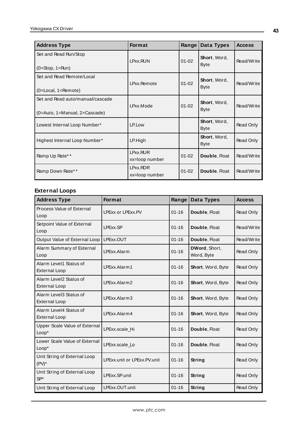| <b>Address Type</b>                                                       | Format                     | Range     | Data Types                  | <b>Access</b> |
|---------------------------------------------------------------------------|----------------------------|-----------|-----------------------------|---------------|
| Set and Read Run/Stop<br>$(0=Stop, 1=Run)$                                | LPxx.RUN                   | $01 - 02$ | Short, Word,<br><b>Byte</b> | Read/Write    |
| Set and Read Remote/Local<br>$(0 = Local, 1 = Remove)$                    | LPxx.Remote                | $01 - 02$ | Short, Word,<br><b>Byte</b> | Read/Write    |
| Set and Read auto/manual/cascade<br>$(0 = Auto, 1 = Manual, 2 = Cascade)$ | LPxx.Mode                  | $01 - 02$ | Short, Word,<br><b>Byte</b> | Read/Write    |
| Lowest Internal Loop Number*                                              | LP.Low                     |           | Short, Word,<br><b>Byte</b> | Read Only     |
| Highest Internal Loop Number*                                             | LP.High                    |           | Short, Word,<br><b>Byte</b> | Read Only     |
| Ramp Up Rate**                                                            | LPxx.RUR<br>xx=loop number | $01 - 02$ | Double, Float               | Read/Write    |
| Ramp Down Rate**                                                          | LPxx.RDR<br>xx=loop number | $01 - 02$ | Double, Float               | Read/Write    |

# **External Loops**

| <b>Address Type</b>                            | <b>Format</b>               | Range     | <b>Data Types</b>           | <b>Access</b> |
|------------------------------------------------|-----------------------------|-----------|-----------------------------|---------------|
| Process Value of External<br>Loop              | LPExx or LPExx.PV           | $01 - 16$ | Double, Float               | Read Only     |
| Setpoint Value of External<br>Loop             | LPExx.SP                    | $01 - 16$ | Double, Float               | Read/Write    |
| Output Value of External Loop                  | LPExx.OUT                   | $01 - 16$ | Double, Float               | Read/Write    |
| Alarm Summary of External<br>Loop              | LPExx.Alarm                 | $01 - 16$ | DWord, Short,<br>Word, Byte | Read Only     |
| Alarm Level1 Status of<br><b>External Loop</b> | LPExx.Alarm1                | $01 - 16$ | Short, Word, Byte           | Read Only     |
| Alarm Level2 Status of<br><b>External Loop</b> | LPExx.Alarm2                | $01 - 16$ | Short, Word, Byte           | Read Only     |
| Alarm Level3 Status of<br><b>External Loop</b> | LPExx.Alarm3                | $01 - 16$ | Short, Word, Byte           | Read Only     |
| Alarm Level4 Status of<br><b>External Loop</b> | LPExx.Alarm4                | $01 - 16$ | Short, Word, Byte           | Read Only     |
| Upper Scale Value of External<br>Loop*         | LPExx.scale Hi              | $01 - 16$ | Double, Float               | Read Only     |
| Lower Scale Value of External<br>$Loop*$       | LPExx.scale Lo              | $01 - 16$ | Double, Float               | Read Only     |
| Unit String of External Loop<br>$(PV)^*$       | LPExx.unit or LPExx.PV.unit | $01 - 16$ | String                      | Read Only     |
| Unit String of External Loop<br>$SP*$          | LPExx.SP.unit               | $01 - 16$ | <b>String</b>               | Read Only     |
| Unit String of External Loop                   | LPExx.OUT.unit              | $01 - 16$ | String                      | Read Only     |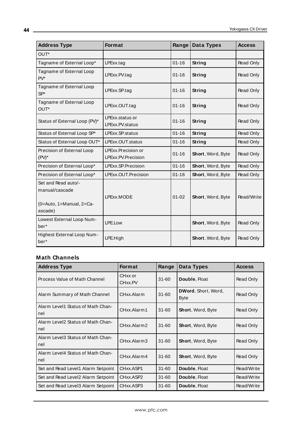| <b>Address Type</b>                                                          | Format                                   | Range     | <b>Data Types</b> | <b>Access</b> |
|------------------------------------------------------------------------------|------------------------------------------|-----------|-------------------|---------------|
| OUT*                                                                         |                                          |           |                   |               |
| Tagname of External Loop*                                                    | LPExx.tag                                | $01 - 16$ | String            | Read Only     |
| Tagname of External Loop<br>$PV^*$                                           | LPExx.PV.tag                             | $01 - 16$ | <b>String</b>     | Read Only     |
| Tagname of External Loop<br>$SP*$                                            | LPExx.SP.tag                             | $01 - 16$ | String            | Read Only     |
| Tagname of External Loop<br>OUT*                                             | LPExx.OUT.tag                            | $01 - 16$ | String            | Read Only     |
| Status of External Loop (PV)*                                                | LPExx.status or<br>LPExx.PV.status       | $01 - 16$ | String            | Read Only     |
| Status of External Loop SP*                                                  | LPExx.SP.status                          | $01 - 16$ | <b>String</b>     | Read Only     |
| Status of External Loop OUT*                                                 | LPExx.OUT.status                         | $01 - 16$ | <b>String</b>     | Read Only     |
| Precision of External Loop<br>$(PV)^*$                                       | LPExx.Precision or<br>LPExx.PV.Precision | $01 - 16$ | Short, Word, Byte | Read Only     |
| Precision of External Loop*                                                  | LPExx.SP.Precision                       | $01 - 16$ | Short, Word, Byte | Read Only     |
| Precision of External Loop*                                                  | LPExx.OUT.Precision                      | $01 - 16$ | Short, Word, Byte | Read Only     |
| Set and Read auto/-<br>manual/cascade<br>(0=Auto, 1=Manual, 2=Ca-<br>ascade) | LPExx.MODE                               | $01 - 02$ | Short, Word, Byte | Read/Write    |
| Lowest External Loop Num-<br>ber*                                            | LPE.Low                                  |           | Short, Word, Byte | Read Only     |
| Highest External Loop Num-<br>ber*                                           | LPE.High                                 |           | Short, Word, Byte | Read Only     |

<u> 1980 - Johann Barbara, martxa amerikan personal (</u>

## **Math Channels**

| <b>Address Type</b>                      | <b>Format</b>      | Range     | Data Types                         | <b>Access</b> |
|------------------------------------------|--------------------|-----------|------------------------------------|---------------|
| Process Value of Math Channel            | CHxx or<br>CHxx.PV | $31 - 60$ | Double, Float                      | Read Only     |
| Alarm Summary of Math Channel            | CHxx.Alarm         | $31 - 60$ | DWord, Short, Word,<br><b>Byte</b> | Read Only     |
| Alarm Level1 Status of Math Chan-<br>nel | CHxx.Alarm1        | $31 - 60$ | <b>Short, Word, Byte</b>           | Read Only     |
| Alarm Level2 Status of Math Chan-<br>nel | CHxx.Alarm2        | $31 - 60$ | <b>Short, Word, Byte</b>           | Read Only     |
| Alarm Level3 Status of Math Chan-<br>nel | CHxx.Alarm3        | $31 - 60$ | Short, Word, Byte                  | Read Only     |
| Alarm Level4 Status of Math Chan-<br>nel | CHxx.Alarm4        | $31 - 60$ | <b>Short, Word, Byte</b>           | Read Only     |
| Set and Read Level1 Alarm Setpoint       | CHxx.ASP1          | $31 - 60$ | Double, Float                      | Read/Write    |
| Set and Read Level2 Alarm Setpoint       | CHxx.ASP2          | $31 - 60$ | Double, Float                      | Read/Write    |
| Set and Read Level3 Alarm Setpoint       | CHxx.ASP3          | $31 - 60$ | Double, Float                      | Read/Write    |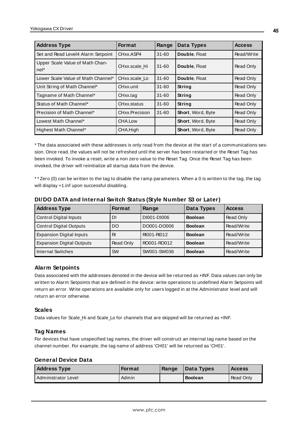| <b>Address Type</b>                     | <b>Format</b>  | Range     | Data Types               | <b>Access</b> |
|-----------------------------------------|----------------|-----------|--------------------------|---------------|
| Set and Read Level4 Alarm Setpoint      | CHxx.ASP4      | $31 - 60$ | Double, Float            | Read/Write    |
| Upper Scale Value of Math Chan-<br>nel* | CHxx.scale Hi  | $31 - 60$ | Double, Float            | Read Only     |
| Lower Scale Value of Math Channel*      | CHxx.scale Lo  | $31 - 60$ | Double, Float            | Read Only     |
| Unit String of Math Channel*            | CHxx.unit      | $31 - 60$ | <b>String</b>            | Read Only     |
| Tagname of Math Channel*                | CHxx.tag       | $31 - 60$ | <b>String</b>            | Read Only     |
| Status of Math Channel*                 | CHxx.status    | $31 - 60$ | String                   | Read Only     |
| Precision of Math Channel*              | CHxx.Precision | $31 - 60$ | Short, Word, Byte        | Read Only     |
| Lowest Math Channel*                    | CHA.Low        |           | Short, Word, Byte        | Read Only     |
| Highest Math Channel*                   | CHA.High       |           | <b>Short, Word, Byte</b> | Read Only     |

\* The data associated with these addresses is only read from the device at the start of a communications session. Once read, the values will not be refreshed until the server has been restarted or the Reset Tag has been invoked. To invoke a reset, write a non zero value to the Reset Tag. Once the Reset Tag has been invoked, the driver will reinitialize all startup data from the device.

\* \* Zero (0) can be written to the tag to disable the ramp parameters. When a 0 is written to the tag, the tag will display +1.inf upon successful disabling.

| <b>Address Type</b>              | <b>Format</b> | Range       | Data Types     | <b>Access</b> |
|----------------------------------|---------------|-------------|----------------|---------------|
| <b>Control Digital Inputs</b>    | DΙ            | DI001-DI006 | <b>Boolean</b> | Read Only     |
| <b>Control Digital Outputs</b>   | DO            | DO001-DO006 | <b>Boolean</b> | Read/Write    |
| <b>Expansion Digital Inputs</b>  | R             | RI001-RI012 | <b>Boolean</b> | Read/Write    |
| <b>Expansion Digital Outputs</b> | Read Only     | RO001-RO012 | <b>Boolean</b> | Read/Write    |
| <b>Internal Switches</b>         | <b>SW</b>     | SW001-SW036 | <b>Boolean</b> | Read/Write    |

### **DI/DO DATA and Internal Switch Status (Style Number S3 or Later)**

### **Alarm Setpoints**

Data associated with the addresses denoted in the device will be returned as +INF. Data values can only be written to Alarm Setpoints that are defined in the device: write operations to undefined Alarm Setpoints will return an error. Write operations are available only for users logged in at the Administrator level and will return an error otherwise.

### **Scales**

Data values for Scale Hi and Scale Lo for channels that are skipped will be returned as +INF.

### **Tag Names**

For devices that have unspecified tag names, the driver will construct an internal tag name based on the channel number. For example, the tag name of address 'CH01' will be returned as 'CH01'.

#### **General Device Data**

| <b>Address Type</b>   | <b>Format</b> | Range | Data Types     | <b>Access</b>    |
|-----------------------|---------------|-------|----------------|------------------|
| l Administrator Level | Admin         |       | <b>Boolean</b> | <b>Read Only</b> |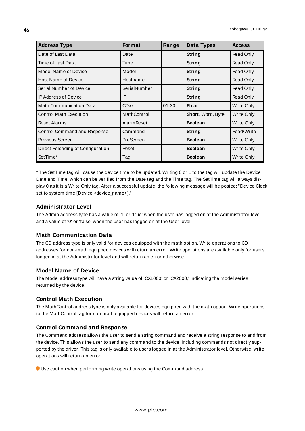| <b>Address Type</b>               | <b>Format</b>      | Range     | Data Types        | <b>Access</b> |
|-----------------------------------|--------------------|-----------|-------------------|---------------|
| Date of Last Data                 | Date               |           | String            | Read Only     |
| Time of Last Data                 | Time               |           | String            | Read Only     |
| Model Name of Device              | Model              |           | String            | Read Only     |
| <b>Host Name of Device</b>        | Hostname           |           | String            | Read Only     |
| Serial Number of Device           | SerialNumber       |           | String            | Read Only     |
| <b>IP Address of Device</b>       | IP                 |           | String            | Read Only     |
| <b>Math Communication Data</b>    | <b>CDxx</b>        | $01 - 30$ | <b>Float</b>      | Write Only    |
| <b>Control Math Execution</b>     | MathControl        |           | Short, Word, Byte | Write Only    |
| <b>Reset Alarms</b>               | <b>Alarm Reset</b> |           | <b>Boolean</b>    | Write Only    |
| Control Command and Response      | Command            |           | String            | Read/Write    |
| Previous Screen                   | PreScreen          |           | <b>Boolean</b>    | Write Only    |
| Direct Reloading of Configuration | Reset              |           | <b>Boolean</b>    | Write Only    |
| SetTime*                          | Tag                |           | <b>Boolean</b>    | Write Only    |

\* The SetTime tag will cause the device time to be updated. Writing 0 or 1 to the tag will update the Device Date and Time, which can be verified from the Date tag and the Time tag. The SetTime tag will always display 0 as it is a Write Only tag. After a successful update, the following message will be posted: "Device Clock set to system time [Device <device\_name>]."

## **Administrator Level**

The Admin address type has a value of '1' or 'true' when the user has logged on at the Administrator level and a value of '0' or 'false' when the user has logged on at the User level.

## **Math Communication Data**

The CD address type is only valid for devices equipped with the math option. Write operations to CD addresses for non-math equipped devices will return an error. Write operations are available only for users logged in at the Administrator level and will return an error otherwise.

### **Model Name of Device**

The Model address type will have a string value of 'CX1000' or 'CX2000,' indicating the model series returned by the device.

### **Control Math Execution**

The MathControl address type is only available for devices equipped with the math option. Write operations to the MathControl tag for non-math equipped devices will return an error.

### **Control Command and Response**

The Command address allows the user to send a string command and receive a string response to and from the device. This allows the user to send any command to the device, including commands not directly supported by the driver. This tag is only available to users logged in at the Administrator level. Otherwise, write operations will return an error.

Use caution when performing write operations using the Command address.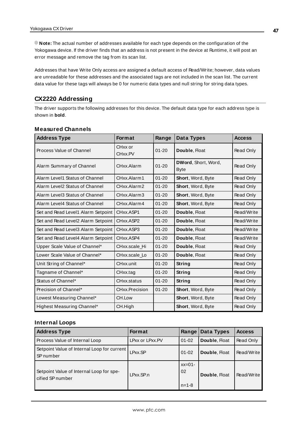**Note:** The actual number of addresses available for each type depends on the configuration of the Yokogawa device. If the driver finds that an address is not present in the device at Runtime, it will post an error message and remove the tag from its scan list.

Addresses that have Write Only access are assigned a default access of Read/Write; however, data values are unreadable for these addresses and the associated tags are not included in the scan list. The current data value for these tags will always be 0 for numeric data types and null string for string data types.

## **CX2220 Addressing**

The driver supports the following addresses for this device. The default data type for each address type is shown in **bold**.

| <b>Address Type</b>                | <b>Format</b>      | Range     | Data Types                  | <b>Access</b> |
|------------------------------------|--------------------|-----------|-----------------------------|---------------|
| Process Value of Channel           | CHxx or<br>CHxx.PV | $01 - 20$ | Double, Float               | Read Only     |
| Alarm Summary of Channel           | CHxx.Alarm         | $01 - 20$ | DWord, Short, Word,<br>Byte | Read Only     |
| Alarm Level1 Status of Channel     | CHxx.Alarm1        | $01 - 20$ | Short, Word, Byte           | Read Only     |
| Alarm Level2 Status of Channel     | CHxx.Alarm2        | $01 - 20$ | Short, Word, Byte           | Read Only     |
| Alarm Level3 Status of Channel     | CHxx.Alarm3        | $01 - 20$ | Short, Word, Byte           | Read Only     |
| Alarm Level4 Status of Channel     | CHxx.Alarm4        | $01 - 20$ | <b>Short, Word, Byte</b>    | Read Only     |
| Set and Read Level1 Alarm Setpoint | CHxx.ASP1          | $01 - 20$ | Double, Float               | Read/Write    |
| Set and Read Level2 Alarm Setpoint | CHxx.ASP2          | $01 - 20$ | Double, Float               | Read/Write    |
| Set and Read Level3 Alarm Setpoint | CHxx ASP3          | $01 - 20$ | Double, Float               | Read/Write    |
| Set and Read Level4 Alarm Setpoint | CHxx.ASP4          | $01 - 20$ | Double, Float               | Read/Write    |
| Upper Scale Value of Channel*      | CHxx.scale Hi      | $01 - 20$ | Double, Float               | Read Only     |
| Lower Scale Value of Channel*      | CHxx.scale_Lo      | $01 - 20$ | Double, Float               | Read Only     |
| Unit String of Channel*            | CHxx.unit          | $01 - 20$ | String                      | Read Only     |
| Tagname of Channel*                | CHxx.tag           | $01 - 20$ | String                      | Read Only     |
| Status of Channel*                 | CHxx.status        | $01 - 20$ | String                      | Read Only     |
| Precision of Channel*              | CHxx.Precision     | $01 - 20$ | Short, Word, Byte           | Read Only     |
| Lowest Measuring Channel*          | CH.Low             |           | Short, Word, Byte           | Read Only     |
| Highest Measuring Channel*         | CH.High            |           | Short, Word, Byte           | Read Only     |

### **Measured Channels**

## **Internal Loops**

| <b>Address Type</b>                                          | <b>Format</b>   | Range                          | Data Types    | <b>Access</b> |
|--------------------------------------------------------------|-----------------|--------------------------------|---------------|---------------|
| Process Value of Internal Loop                               | LPxx or LPxx.PV | $01 - 02$                      | Double, Float | Read Only     |
| Setpoint Value of Internal Loop for current<br>SP number     | LPxx.SP         | $01 - 02$                      | Double, Float | Read/Write    |
| Setpoint Value of Internal Loop for spe-<br>cified SP number | $L$ Pxx.SP.n    | $xx=01$ -<br>02<br>$n = 1 - 8$ | Double, Float | Read/Write    |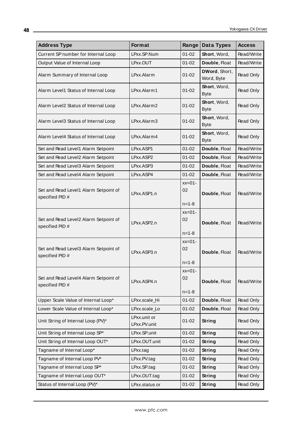| <b>Address Type</b>                                      | Format                       | Range          | Data Types                  | <b>Access</b> |
|----------------------------------------------------------|------------------------------|----------------|-----------------------------|---------------|
| Current SP number for Internal Loop                      | LPxx.SP.Num                  | $01 - 02$      | Short, Word,                | Read/Write    |
| Output Value of Internal Loop                            | LPxx.OUT                     | $01 - 02$      | Double, Float               | Read/Write    |
| Alarm Summary of Internal Loop                           | LPxx.Alarm                   | $01 - 02$      | DWord, Short,<br>Word, Byte | Read Only     |
| Alarm Level1 Status of Internal Loop                     | LPxx.Alarm1                  | $01 - 02$      | Short, Word,<br><b>Byte</b> | Read Only     |
| Alarm Level2 Status of Internal Loop                     | LPxx.Alarm2                  | $01 - 02$      | Short, Word,<br><b>Byte</b> | Read Only     |
| Alarm Level3 Status of Internal Loop                     | LPxx.Alarm3                  | $01 - 02$      | Short, Word,<br><b>Byte</b> | Read Only     |
| Alarm Level4 Status of Internal Loop                     | LPxx.Alarm4                  | $01 - 02$      | Short, Word,<br><b>Byte</b> | Read Only     |
| Set and Read Level1 Alarm Setpoint                       | LPxx.ASP1                    | $01 - 02$      | Double, Float               | Read/Write    |
| Set and Read Level2 Alarm Setpoint                       | LPxx.ASP2                    | $01 - 02$      | Double, Float               | Read/Write    |
| Set and Read Level3 Alarm Setpoint                       | LPxx.ASP3                    | $01 - 02$      | Double, Float               | Read/Write    |
| Set and Read Level4 Alarm Setpoint                       | LPxx.ASP4                    | $01 - 02$      | Double, Float               | Read/Write    |
| Set and Read Level1 Alarm Setpoint of<br>specified PID # | LPxx.ASP1.n                  | $xx=01-$<br>02 | Double, Float               | Read/Write    |
|                                                          |                              | $n = 1 - 8$    |                             |               |
| Set and Read Level2 Alarm Setpoint of<br>specified PID # | LPxx.ASP2.n                  | $xx=01-$<br>02 | Double, Float               | Read/Write    |
|                                                          |                              | $n = 1 - 8$    |                             |               |
| Set and Read Level3 Alarm Setpoint of<br>specified PID # | LPxx.ASP3.n                  | $xx=01-$<br>02 | Double, Float               | Read/Write    |
|                                                          |                              | $n = 1 - 8$    |                             |               |
| Set and Read Level4 Alarm Setpoint of<br>specified PID # | LPxx.ASP4.n                  | $xx=01-$<br>02 | Double, Float               | Read/Write    |
|                                                          |                              | $n = 1 - 8$    |                             |               |
| Upper Scale Value of Internal Loop*                      | LPxx.scale_Hi                | $01 - 02$      | Double, Float               | Read Only     |
| Lower Scale Value of Internal Loop*                      | LPxx.scale_Lo                | $01 - 02$      | Double, Float               | Read Only     |
| Unit String of Internal Loop (PV)*                       | LPxx.unit or<br>LPxx.PV.unit | $01 - 02$      | String                      | Read Only     |
| Unit String of Internal Loop SP*                         | LPxx.SP.unit                 | $01 - 02$      | <b>String</b>               | Read Only     |
| Unit String of Internal Loop OUT*                        | LPxx.OUT.unit                | $01 - 02$      | String                      | Read Only     |
| Tagname of Internal Loop*                                | LPxx.tag                     | $01 - 02$      | String                      | Read Only     |
| Tagname of Internal Loop PV*                             | LPxx.PV.tag                  | $01 - 02$      | String                      | Read Only     |
| Tagname of Internal Loop SP*                             | LPxx.SP.tag                  | $01 - 02$      | <b>String</b>               | Read Only     |
| Tagname of Internal Loop OUT*                            | LPxx.OUT.tag                 | $01 - 02$      | <b>String</b>               | Read Only     |
| Status of Internal Loop (PV)*                            | LPxx.status or               | $01 - 02$      | <b>String</b>               | Read Only     |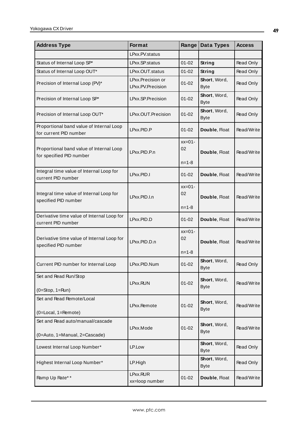| <b>Address Type</b>                                                  | Format                                 | Range                         | Data Types                  | <b>Access</b> |
|----------------------------------------------------------------------|----------------------------------------|-------------------------------|-----------------------------|---------------|
|                                                                      | LPxx.PV.status                         |                               |                             |               |
| Status of Internal Loop SP*                                          | LPxx.SP.status                         | $01 - 02$                     | String                      | Read Only     |
| Status of Internal Loop OUT*                                         | LPxx.OUT.status                        | $01 - 02$                     | String                      | Read Only     |
| Precision of Internal Loop (PV)*                                     | LPxx.Precision or<br>LPxx.PV.Precision | $01 - 02$                     | Short, Word,<br><b>Byte</b> | Read Only     |
| Precision of Internal Loop SP*                                       | LPxx.SP.Precision                      | $01 - 02$                     | Short, Word,<br><b>Byte</b> | Read Only     |
| Precision of Internal Loop OUT*                                      | LPxx.OUT.Precision                     | $01 - 02$                     | Short, Word,<br><b>Byte</b> | Read Only     |
| Proportional band value of Internal Loop<br>for current PID number   | LPxx.PID.P                             | $01 - 02$                     | Double, Float               | Read/Write    |
| Proportional band value of Internal Loop<br>for specified PID number | LPxx.PID.P.n                           | $xx=01-$<br>02<br>$n = 1 - 8$ | Double, Float               | Read/Write    |
| Integral time value of Internal Loop for<br>current PID number       | LPxx.PID.I                             | $01 - 02$                     | Double, Float               | Read/Write    |
| Integral time value of Internal Loop for<br>specified PID number     | LPxx.PID.I.n                           | $xx=01-$<br>02<br>$n = 1 - 8$ | Double, Float               | Read/Write    |
| Derivative time value of Internal Loop for<br>current PID number     | LPxx.PID.D                             | $01 - 02$                     | Double, Float               | Read/Write    |
| Derivative time value of Internal Loop for<br>specified PID number   | LPxx.PID.D.n                           | $xx=01-$<br>02<br>$n = 1 - 8$ | Double, Float               | Read/Write    |
| Current PID number for Internal Loop                                 | LPxx.PID.Num                           | $01 - 02$                     | Short, Word,<br>Byte        | Read Only     |
| Set and Read Run/Stop<br>$(0=Stop, 1=Run)$                           | LPxx.RUN                               | $01 - 02$                     | Short, Word,<br><b>Byte</b> | Read/Write    |
| Set and Read Remote/Local<br>(0=Local, 1=Remote)                     | LPxx.Remote                            | $01 - 02$                     | Short, Word,<br><b>Byte</b> | Read/Write    |
| Set and Read auto/manual/cascade<br>(0=Auto, 1=Manual, 2=Cascade)    | LPxx.Mode                              | $01 - 02$                     | Short, Word,<br><b>Byte</b> | Read/Write    |
| Lowest Internal Loop Number*                                         | LP.Low                                 |                               | Short, Word,<br><b>Byte</b> | Read Only     |
| Highest Internal Loop Number*                                        | LP.High                                |                               | Short, Word,<br><b>Byte</b> | Read Only     |
| Ramp Up Rate**                                                       | LPxx.RUR<br>xx=loop number             | $01 - 02$                     | Double, Float               | Read/Write    |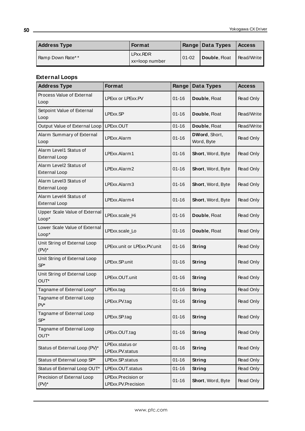| <b>Address Type</b> | <b>Format</b>              |          | Range   Data Types | <b>Access</b> |
|---------------------|----------------------------|----------|--------------------|---------------|
| Ramp Down Rate**    | LPxx.RDR<br>xx=loop number | $101-02$ | Double, Float      | Read/Write    |

<u> 1980 - Johann Barbara, martxa amerikan personal (h. 1980).</u>

# **External Loops**

| <b>Address Type</b>                            | Format                                   | Range     | Data Types                  | <b>Access</b> |
|------------------------------------------------|------------------------------------------|-----------|-----------------------------|---------------|
| Process Value of External<br>Loop              | LPExx or LPExx.PV                        | $01 - 16$ | Double, Float               | Read Only     |
| Setpoint Value of External<br>Loop             | LPExx.SP                                 | $01 - 16$ | Double, Float               | Read/Write    |
| Output Value of External Loop                  | LPExx.OUT                                | $01 - 16$ | Double, Float               | Read/Write    |
| Alarm Summary of External<br>Loop              | LPExx.Alarm                              | $01 - 16$ | DWord, Short,<br>Word, Byte | Read Only     |
| Alarm Level1 Status of<br><b>External Loop</b> | LPExx.Alarm1                             | $01 - 16$ | Short, Word, Byte           | Read Only     |
| Alarm Level2 Status of<br><b>External Loop</b> | LPExx.Alarm2                             | $01 - 16$ | Short, Word, Byte           | Read Only     |
| Alarm Level3 Status of<br><b>External Loop</b> | LPExx.Alarm3                             | $01 - 16$ | Short, Word, Byte           | Read Only     |
| Alarm Level4 Status of<br><b>External Loop</b> | LPExx.Alarm4                             | $01 - 16$ | Short, Word, Byte           | Read Only     |
| Upper Scale Value of External<br>Loop*         | LPExx.scale_Hi                           | $01 - 16$ | Double, Float               | Read Only     |
| Lower Scale Value of External<br>Loop*         | LPExx.scale_Lo                           | $01 - 16$ | Double, Float               | Read Only     |
| Unit String of External Loop<br>$(PV)^*$       | LPExx.unit or LPExx.PV.unit              | $01 - 16$ | String                      | Read Only     |
| Unit String of External Loop<br>$SP*$          | LPExx.SP.unit                            | $01 - 16$ | <b>String</b>               | Read Only     |
| Unit String of External Loop<br>OUT*           | LPExx.OUT.unit                           | $01 - 16$ | <b>String</b>               | Read Only     |
| Tagname of External Loop*                      | LPExx.tag                                | $01 - 16$ | <b>String</b>               | Read Only     |
| Tagname of External Loop<br>PV*                | LPExx.PV.tag                             | $01 - 16$ | <b>String</b>               | Read Only     |
| Tagname of External Loop<br>$SP*$              | LPExx.SP.tag                             | $01 - 16$ | String                      | Read Only     |
| Tagname of External Loop<br>OUT*               | LPExx.OUT.tag                            | $01 - 16$ | String                      | Read Only     |
| Status of External Loop (PV)*                  | LPExx.status or<br>LPExx.PV.status       | $01 - 16$ | <b>String</b>               | Read Only     |
| Status of External Loop SP*                    | LPExx.SP.status                          | $01 - 16$ | <b>String</b>               | Read Only     |
| Status of External Loop OUT*                   | LPExx.OUT.status                         | $01 - 16$ | <b>String</b>               | Read Only     |
| Precision of External Loop<br>$(PV)^*$         | LPExx.Precision or<br>LPExx.PV.Precision | $01 - 16$ | Short, Word, Byte           | Read Only     |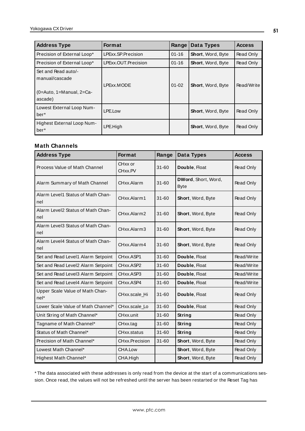| <b>Address Type</b>                                                             | <b>Format</b>       | Range     | Data Types               | <b>Access</b> |
|---------------------------------------------------------------------------------|---------------------|-----------|--------------------------|---------------|
| Precision of External Loop*                                                     | LPExx.SP.Precision  | $01 - 16$ | <b>Short, Word, Byte</b> | Read Only     |
| Precision of External Loop*                                                     | LPExx.OUT.Precision | $01 - 16$ | <b>Short, Word, Byte</b> | Read Only     |
| Set and Read auto/-<br>manual/cascade<br>$(0=Aut_0, 1=Manual, 2=Ca-$<br>ascade) | LPExx.MODE          | $01 - 02$ | Short, Word, Byte        | Read/Write    |
| Lowest External Loop Num-<br>ber <sup>*</sup>                                   | LPE.Low             |           | <b>Short, Word, Byte</b> | Read Only     |
| Highest External Loop Num-<br>ber <sup>*</sup>                                  | LPE.High            |           | Short, Word, Byte        | Read Only     |

## **Math Channels**

| <b>Address Type</b>                       | Format             | Range     | Data Types                         | <b>Access</b> |
|-------------------------------------------|--------------------|-----------|------------------------------------|---------------|
| Process Value of Math Channel             | CHxx or<br>CHxx.PV | $31 - 60$ | Double, Float                      | Read Only     |
| Alarm Summary of Math Channel             | CHxx.Alarm         | $31 - 60$ | DWord, Short, Word,<br><b>Byte</b> | Read Only     |
| Alarm Level1 Status of Math Chan-<br>nel  | CHxx.Alarm1        | $31 - 60$ | Short, Word, Byte                  | Read Only     |
| Alarm Level2 Status of Math Chan-<br>nel  | CHxx.Alarm2        | $31 - 60$ | Short, Word, Byte                  | Read Only     |
| Alarm Level3 Status of Math Chan-<br>nel  | CHxx.Alarm3        | $31 - 60$ | Short, Word, Byte                  | Read Only     |
| Alarm Level4 Status of Math Chan-<br>nel  | CHxx.Alarm4        | $31 - 60$ | Short, Word, Byte                  | Read Only     |
| Set and Read Level1 Alarm Setpoint        | CHxx.ASP1          | $31 - 60$ | Double, Float                      | Read/Write    |
| Set and Read Level2 Alarm Setpoint        | CHxx.ASP2          | $31 - 60$ | Double, Float                      | Read/Write    |
| Set and Read Level3 Alarm Setpoint        | CHxx.ASP3          | $31 - 60$ | Double, Float                      | Read/Write    |
| Set and Read Level4 Alarm Setpoint        | CHxx.ASP4          | $31 - 60$ | Double, Float                      | Read/Write    |
| Upper Scale Value of Math Chan-<br>$nel*$ | CHxx.scale_Hi      | $31 - 60$ | Double, Float                      | Read Only     |
| Lower Scale Value of Math Channel*        | CHxx.scale Lo      | $31 - 60$ | Double, Float                      | Read Only     |
| Unit String of Math Channel*              | CHxx.unit          | $31 - 60$ | String                             | Read Only     |
| Tagname of Math Channel*                  | CHxx.tag           | $31 - 60$ | String                             | Read Only     |
| Status of Math Channel*                   | CHxx.status        | $31 - 60$ | String                             | Read Only     |
| Precision of Math Channel*                | CHxx.Precision     | $31 - 60$ | Short, Word, Byte                  | Read Only     |
| Lowest Math Channel*                      | CHA.Low            |           | Short, Word, Byte                  | Read Only     |
| Highest Math Channel*                     | CHA.High           |           | Short, Word, Byte                  | Read Only     |

\* The data associated with these addresses is only read from the device at the start of a communications session. Once read, the values will not be refreshed until the server has been restarted or the Reset Tag has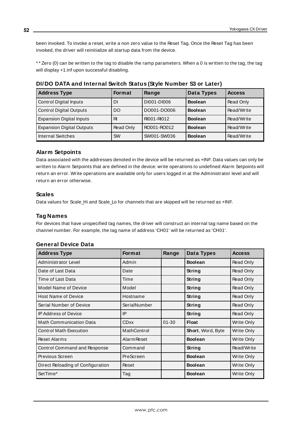been invoked. To invoke a reset, write a non zero value to the Reset Tag. Once the Reset Tag has been invoked, the driver will reinitialize all startup data from the device.

\* \* Zero (0) can be written to the tag to disable the ramp parameters. When a 0 is written to the tag, the tag will display +1.inf upon successful disabling.

| <b>Address Type</b>              | Format    | Range       | Data Types     | <b>Access</b> |
|----------------------------------|-----------|-------------|----------------|---------------|
| <b>Control Digital Inputs</b>    | DΙ        | DI001-DI006 | <b>Boolean</b> | Read Only     |
| <b>Control Digital Outputs</b>   | DO        | DO001-DO006 | <b>Boolean</b> | Read/Write    |
| <b>Expansion Digital Inputs</b>  | RI        | RI001-RI012 | <b>Boolean</b> | Read/Write    |
| <b>Expansion Digital Outputs</b> | Read Only | RO001-RO012 | <b>Boolean</b> | Read/Write    |
| <b>Internal Switches</b>         | <b>SW</b> | SW001-SW036 | <b>Boolean</b> | Read/Write    |

**DI/DO DATA and Internal Switch Status (Style Number S3 or Later)**

## **Alarm Setpoints**

Data associated with the addresses denoted in the device will be returned as +INF. Data values can only be written to Alarm Setpoints that are defined in the device: write operations to undefined Alarm Setpoints will return an error. Write operations are available only for users logged in at the Administrator level and will return an error otherwise.

### **Scales**

Data values for Scale\_Hi and Scale\_Lo for channels that are skipped will be returned as +INF.

### **Tag Names**

For devices that have unspecified tag names, the driver will construct an internal tag name based on the channel number. For example, the tag name of address 'CH01' will be returned as 'CH01'.

## **General Device Data**

| <b>Address Type</b>               | <b>Format</b>      | Range     | <b>Data Types</b> | <b>Access</b>     |
|-----------------------------------|--------------------|-----------|-------------------|-------------------|
| Administrator Level               | Admin              |           | <b>Boolean</b>    | Read Only         |
| Date of Last Data                 | Date               |           | String            | Read Only         |
| Time of Last Data                 | Time               |           | String            | Read Only         |
| <b>Model Name of Device</b>       | Model              |           | String            | Read Only         |
| <b>Host Name of Device</b>        | Hostname           |           | <b>String</b>     | Read Only         |
| Serial Number of Device           | SerialNumber       |           | String            | Read Only         |
| <b>IP Address of Device</b>       | IP                 |           | String            | Read Only         |
| <b>Math Communication Data</b>    | <b>CDxx</b>        | $01 - 30$ | <b>Float</b>      | Write Only        |
| <b>Control Math Execution</b>     | MathControl        |           | Short, Word, Byte | Write Only        |
| <b>Reset Alarms</b>               | <b>Alarm Reset</b> |           | <b>Boolean</b>    | Write Only        |
| Control Command and Response      | Command            |           | String            | Read/Write        |
| Previous Screen                   | PreScreen          |           | <b>Boolean</b>    | Write Only        |
| Direct Reloading of Configuration | Reset              |           | <b>Boolean</b>    | Write Only        |
| SetTime*                          | Tag                |           | <b>Boolean</b>    | <b>Write Only</b> |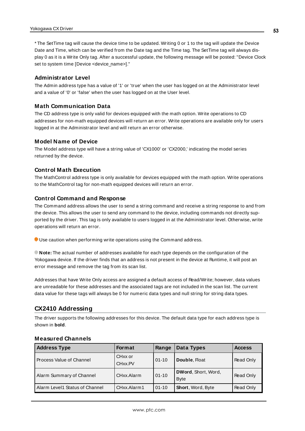\* The SetTime tag will cause the device time to be updated. Writing 0 or 1 to the tag will update the Device Date and Time, which can be verified from the Date tag and the Time tag. The SetTime tag will always display 0 as it is a Write Only tag. After a successful update, the following message will be posted: "Device Clock set to system time [Device <device\_name>]."

### **Administrator Level**

The Admin address type has a value of '1' or 'true' when the user has logged on at the Administrator level and a value of '0' or 'false' when the user has logged on at the User level.

### **Math Communication Data**

The CD address type is only valid for devices equipped with the math option. Write operations to CD addresses for non-math equipped devices will return an error. Write operations are available only for users logged in at the Administrator level and will return an error otherwise.

### **Model Name of Device**

The Model address type will have a string value of 'CX1000' or 'CX2000,' indicating the model series returned by the device.

### **Control Math Execution**

The MathControl address type is only available for devices equipped with the math option. Write operations to the MathControl tag for non-math equipped devices will return an error.

### **Control Command and Response**

The Command address allows the user to send a string command and receive a string response to and from the device. This allows the user to send any command to the device, including commands not directly supported by the driver. This tag is only available to users logged in at the Administrator level. Otherwise, write operations will return an error.

Use caution when performing write operations using the Command address.

**Note:** The actual number of addresses available for each type depends on the configuration of the Yokogawa device. If the driver finds that an address is not present in the device at Runtime, it will post an error message and remove the tag from its scan list.

Addresses that have Write Only access are assigned a default access of Read/Write; however, data values are unreadable for these addresses and the associated tags are not included in the scan list. The current data value for these tags will always be 0 for numeric data types and null string for string data types.

## **CX2410 Addressing**

The driver supports the following addresses for this device. The default data type for each address type is shown in **bold**.

| <b>Address Type</b>            | <b>Format</b>                  | Range     | Data Types                         | <b>Access</b> |
|--------------------------------|--------------------------------|-----------|------------------------------------|---------------|
| Process Value of Channel       | CH <sub>xx</sub> or<br>CHxx.PV | $01 - 10$ | Double, Float                      | Read Only     |
| Alarm Summary of Channel       | CHxx.Alarm                     | $01 - 10$ | DWord, Short, Word,<br><b>Byte</b> | Read Only     |
| Alarm Level1 Status of Channel | CHxx.Alarm1                    | $01 - 10$ | Short, Word, Byte                  | Read Only     |

### **Measured Channels**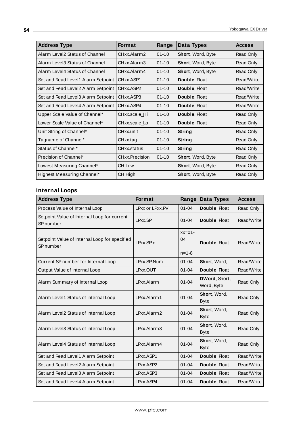| <b>Address Type</b>                | <b>Format</b>                      | Range     | Data Types               | <b>Access</b> |
|------------------------------------|------------------------------------|-----------|--------------------------|---------------|
| Alarm Level2 Status of Channel     | CHxx.Alarm2                        | $01 - 10$ | Short, Word, Byte        | Read Only     |
| Alarm Level3 Status of Channel     | CHxx.Alarm3                        | $01 - 10$ | Short, Word, Byte        | Read Only     |
| Alarm Level4 Status of Channel     | CHxx Alarm4                        | $01 - 10$ | <b>Short, Word, Byte</b> | Read Only     |
| Set and Read Level1 Alarm Setpoint | CHxx.ASP1                          | $01 - 10$ | Double, Float            | Read/Write    |
| Set and Read Level2 Alarm Setpoint | CH <sub>xx</sub> .ASP <sub>2</sub> | $01 - 10$ | Double, Float            | Read/Write    |
| Set and Read Level3 Alarm Setpoint | CH <sub>xx</sub> .ASP3             | $01 - 10$ | Double, Float            | Read/Write    |
| Set and Read Level4 Alarm Setpoint | CHxx.ASP4                          | $01 - 10$ | Double, Float            | Read/Write    |
| Upper Scale Value of Channel*      | CHxx.scale Hi                      | $01 - 10$ | Double, Float            | Read Only     |
| Lower Scale Value of Channel*      | CHxx.scale Lo                      | $01 - 10$ | Double, Float            | Read Only     |
| Unit String of Channel*            | CHxx.unit                          | $01 - 10$ | String                   | Read Only     |
| Tagname of Channel*                | CHxx.tag                           | $01 - 10$ | String                   | Read Only     |
| Status of Channel*                 | CHxx.status                        | $01 - 10$ | String                   | Read Only     |
| Precision of Channel*              | CHxx.Precision                     | $01 - 10$ | <b>Short, Word, Byte</b> | Read Only     |
| Lowest Measuring Channel*          | CH.Low                             |           | Short, Word, Byte        | Read Only     |
| Highest Measuring Channel*         | CH.High                            |           | Short, Word, Byte        | Read Only     |

# **Internal Loops**

| <b>Address Type</b>                                                 | Format          | Range                         | Data Types                  | <b>Access</b> |
|---------------------------------------------------------------------|-----------------|-------------------------------|-----------------------------|---------------|
| Process Value of Internal Loop                                      | LPxx or LPxx.PV | $01 - 04$                     | Double, Float               | Read Only     |
| Setpoint Value of Internal Loop for current<br>SP <sub>number</sub> | LPxx.SP         | $01 - 04$                     | Double, Float               | Read/Write    |
| Setpoint Value of Internal Loop for specified<br>SP number          | LPxx.SP.n       | $xx=01-$<br>04<br>$n = 1 - 8$ | Double, Float               | Read/Write    |
| Current SP number for Internal Loop                                 | LPxx.SP.Num     | $01 - 04$                     | Short, Word,                | Read/Write    |
| Output Value of Internal Loop                                       | LPxx.OUT        | $01 - 04$                     | Double, Float               | Read/Write    |
| Alarm Summary of Internal Loop                                      | LPxx.Alarm      | $01 - 04$                     | DWord, Short,<br>Word, Byte | Read Only     |
| Alarm Level1 Status of Internal Loop                                | LPxx.Alarm1     | $01 - 04$                     | Short, Word,<br><b>Byte</b> | Read Only     |
| Alarm Level2 Status of Internal Loop                                | LPxx.Alarm2     | $01 - 04$                     | Short, Word,<br><b>Byte</b> | Read Only     |
| Alarm Level3 Status of Internal Loop                                | LPxx.Alarm3     | $01 - 04$                     | Short, Word,<br><b>Byte</b> | Read Only     |
| Alarm Level4 Status of Internal Loop                                | LPxx.Alarm4     | $01 - 04$                     | Short, Word,<br><b>Byte</b> | Read Only     |
| Set and Read Level1 Alarm Setpoint                                  | LPxx.ASP1       | $01 - 04$                     | Double, Float               | Read/Write    |
| Set and Read Level2 Alarm Setpoint                                  | LPxx.ASP2       | $01 - 04$                     | Double, Float               | Read/Write    |
| Set and Read Level3 Alarm Setpoint                                  | LPxx.ASP3       | $01 - 04$                     | Double, Float               | Read/Write    |
| Set and Read Level4 Alarm Setpoint                                  | LPxx.ASP4       | $01 - 04$                     | Double, Float               | Read/Write    |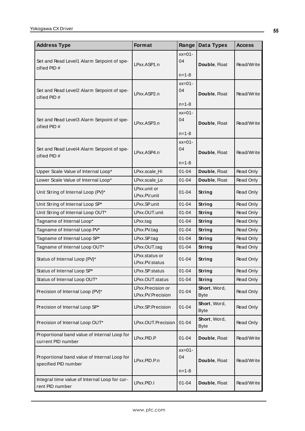| <b>Address Type</b>                                                  | Format                                 | Range                         | Data Types                  | <b>Access</b> |
|----------------------------------------------------------------------|----------------------------------------|-------------------------------|-----------------------------|---------------|
| Set and Read Level1 Alarm Setpoint of spe-<br>cified PID#            | LPxx.ASP1.n                            | $xx=01-$<br>04<br>$n = 1 - 8$ | Double, Float               | Read/Write    |
| Set and Read Level2 Alarm Setpoint of spe-<br>cified PID#            | LPxx.ASP2.n                            | $xx=01-$<br>04<br>$n = 1 - 8$ | Double, Float               | Read/Write    |
| Set and Read Level3 Alarm Setpoint of spe-<br>cified PID #           | LPxx.ASP3.n                            | $xx=01-$<br>04<br>$n = 1 - 8$ | Double, Float               | Read/Write    |
| Set and Read Level4 Alarm Setpoint of spe-<br>cified $PID#$          | LPxx.ASP4.n                            | $xx=01-$<br>04<br>$n = 1 - 8$ | Double, Float               | Read/Write    |
| Upper Scale Value of Internal Loop*                                  | LPxx.scale_Hi                          | $01 - 04$                     | Double, Float               | Read Only     |
| Lower Scale Value of Internal Loop*                                  | LPxx.scale_Lo                          | $01 - 04$                     | Double, Float               | Read Only     |
| Unit String of Internal Loop (PV)*                                   | LPxx.unit or<br>LPxx.PV.unit           | 01-04                         | String                      | Read Only     |
| Unit String of Internal Loop SP*                                     | LPxx.SP.unit                           | $01 - 04$                     | String                      | Read Only     |
| Unit String of Internal Loop OUT*                                    | LPxx.OUT.unit                          | $01 - 04$                     | String                      | Read Only     |
| Tagname of Internal Loop*                                            | LPxx.tag                               | $01 - 04$                     | String                      | Read Only     |
| Tagname of Internal Loop PV*                                         | LPxx.PV.tag                            | $01 - 04$                     | <b>String</b>               | Read Only     |
| Tagname of Internal Loop SP*                                         | LPxx.SP.tag                            | $01 - 04$                     | <b>String</b>               | Read Only     |
| Tagname of Internal Loop OUT*                                        | LPxx.OUT.tag                           | $01 - 04$                     | <b>String</b>               | Read Only     |
| Status of Internal Loop (PV)*                                        | LPxx.status or<br>LPxx.PV.status       | $01 - 04$                     | String                      | Read Only     |
| Status of Internal Loop SP*                                          | LPxx.SP.status                         | $01 - 04$                     | String                      | Read Only     |
| Status of Internal Loop OUT*                                         | LPxx.OUT.status                        | $01 - 04$                     | <b>String</b>               | Read Only     |
| Precision of Internal Loop (PV)*                                     | LPxx.Precision or<br>LPxx.PV.Precision | 01-04                         | Short, Word,<br><b>Byte</b> | Read Only     |
| Precision of Internal Loop SP*                                       | LPxx.SP.Precision                      | $01 - 04$                     | Short, Word,<br><b>Byte</b> | Read Only     |
| Precision of Internal Loop OUT*                                      | LPxx.OUT.Precision                     | $01 - 04$                     | Short, Word,<br><b>Byte</b> | Read Only     |
| Proportional band value of Internal Loop for<br>current PID number   | LPxx.PID.P                             | $01 - 04$                     | Double, Float               | Read/Write    |
| Proportional band value of Internal Loop for<br>specified PID number | LPxx.PID.P.n                           | $xx=01-$<br>04<br>$n = 1 - 8$ | Double, Float               | Read/Write    |
| Integral time value of Internal Loop for cur-<br>rent PID number     | LPxx.PID.I                             | $01 - 04$                     | Double, Float               | Read/Write    |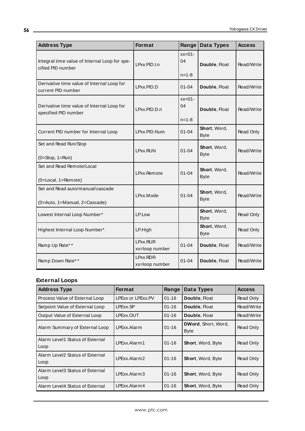| <b>Address Type</b>                                                | Format                     | Range                         | Data Types                  | <b>Access</b> |
|--------------------------------------------------------------------|----------------------------|-------------------------------|-----------------------------|---------------|
| Integral time value of Internal Loop for spe-<br>cified PID number | LPxx.PID.I.n               | $xx=01-$<br>04<br>$n = 1 - 8$ | Double, Float               | Read/Write    |
| Derivative time value of Internal Loop for<br>current PID number   | LPxx.PID.D                 | 01-04                         | Double, Float               | Read/Write    |
| Derivative time value of Internal Loop for<br>specified PID number | LPxx.PID.D.n               | $xx=01-$<br>04<br>$n = 1 - 8$ | Double, Float               | Read/Write    |
| Current PID number for Internal Loop                               | LPxx.PID.Num               | $01 - 04$                     | Short, Word,<br><b>Byte</b> | Read Only     |
| Set and Read Run/Stop<br>$(0=Stop, 1=Run)$                         | LPxx.RUN                   | $01 - 04$                     | Short, Word,<br><b>Byte</b> | Read/Write    |
| Set and Read Remote/Local<br>(0=Local, 1=Remote)                   | LPxx.Remote                | $01 - 04$                     | Short, Word,<br><b>Byte</b> | Read/Write    |
| Set and Read auto/manual/cascade<br>(0=Auto, 1=Manual, 2=Cascade)  | LPxx.Mode                  | $01 - 04$                     | Short, Word,<br><b>Byte</b> | Read/Write    |
| Lowest Internal Loop Number*                                       | LP.Low                     |                               | Short, Word,<br><b>Byte</b> | Read Only     |
| Highest Internal Loop Number*                                      | LP.High                    |                               | Short, Word,<br><b>Byte</b> | Read Only     |
| Ramp Up Rate**                                                     | LPxx.RUR<br>xx=loop number | $01 - 04$                     | Double, Float               | Read/Write    |
| Ramp Down Rate**                                                   | LPxx.RDR<br>xx=loop number | $01 - 04$                     | Double, Float               | Read/Write    |

# **External Loops**

| <b>Address Type</b>                       | <b>Format</b>     | Range     | Data Types                         | <b>Access</b> |
|-------------------------------------------|-------------------|-----------|------------------------------------|---------------|
| Process Value of External Loop            | LPExx or LPExx.PV | $01 - 16$ | Double, Float                      | Read Only     |
| Setpoint Value of External Loop           | LPExx.SP          | $01 - 16$ | Double, Float                      | Read/Write    |
| Output Value of External Loop             | LPExx.OUT         | $01 - 16$ | <b>Double, Float</b>               | Read/Write    |
| Alarm Summary of External Loop            | LPExx Alarm       | $01 - 16$ | <b>DWord, Short, Word,</b><br>Byte | Read Only     |
| Alarm Level1 Status of External<br>  Loop | LPFxx.Alarm1      | $01 - 16$ | <b>Short, Word, Byte</b>           | Read Only     |
| Alarm Level2 Status of External<br>Loop   | LPExx.Alarm2      | $01 - 16$ | <b>Short, Word, Byte</b>           | Read Only     |
| Alarm Level3 Status of External<br>Loop   | LPFxx Alarm3      | $01 - 16$ | <b>Short, Word, Byte</b>           | Read Only     |
| Alarm Level4 Status of External           | LPExx.Alarm4      | $01 - 16$ | <b>Short, Word, Byte</b>           | Read Only     |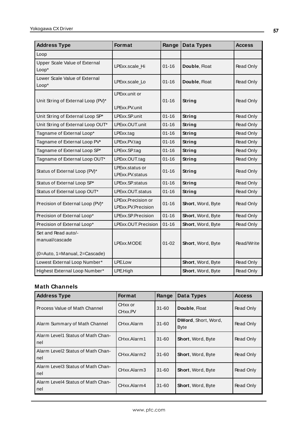| <b>Address Type</b>                    | Format                                   | Range     | Data Types        | <b>Access</b> |
|----------------------------------------|------------------------------------------|-----------|-------------------|---------------|
| Loop                                   |                                          |           |                   |               |
| Upper Scale Value of External<br>Loop* | LPExx.scale Hi                           | $01 - 16$ | Double, Float     | Read Only     |
| Lower Scale Value of External<br>Loop* | LPExx.scale_Lo                           | $01 - 16$ | Double, Float     | Read Only     |
| Unit String of External Loop (PV)*     | LPExx.unit or<br>LPExx.PV.unit           | $01 - 16$ | String            | Read Only     |
| Unit String of External Loop SP*       | LPExx.SP.unit                            | $01 - 16$ | String            | Read Only     |
| Unit String of External Loop OUT*      | LPExx.OUT.unit                           | $01 - 16$ | String            | Read Only     |
| Tagname of External Loop*              | LPExx.tag                                | $01 - 16$ | String            | Read Only     |
| Tagname of External Loop PV*           | LPExx.PV.tag                             | $01 - 16$ | String            | Read Only     |
| Tagname of External Loop SP*           | LPExx.SP.tag                             | $01 - 16$ | <b>String</b>     | Read Only     |
| Tagname of External Loop OUT*          | LPExx.OUT.tag                            | $01 - 16$ | String            | Read Only     |
| Status of External Loop (PV)*          | LPExx.status or<br>LPExx.PV.status       | $01 - 16$ | String            | Read Only     |
| Status of External Loop SP*            | LPExx.SP.status                          | $01 - 16$ | String            | Read Only     |
| Status of External Loop OUT*           | LPExx.OUT.status                         | $01 - 16$ | <b>String</b>     | Read Only     |
| Precision of External Loop (PV)*       | LPExx.Precision or<br>LPExx.PV.Precision | $01 - 16$ | Short, Word, Byte | Read Only     |
| Precision of External Loop*            | LPExx.SP.Precision                       | $01 - 16$ | Short, Word, Byte | Read Only     |
| Precision of External Loop*            | LPExx.OUT.Precision                      | $01 - 16$ | Short, Word, Byte | Read Only     |
| Set and Read auto/-<br>manual/cascade  | LPExx.MODE                               | $01 - 02$ | Short, Word, Byte | Read/Write    |
| (0=Auto, 1=Manual, 2=Cascade)          |                                          |           |                   |               |
| Lowest External Loop Number*           | LPE.Low                                  |           | Short, Word, Byte | Read Only     |
| Highest External Loop Number*          | LPE.High                                 |           | Short, Word, Byte | Read Only     |

## **Math Channels**

| <b>Address Type</b>                      | <b>Format</b>      | Range     | Data Types                                | <b>Access</b> |
|------------------------------------------|--------------------|-----------|-------------------------------------------|---------------|
| Process Value of Math Channel            | CHxx or<br>CHxx.PV | $31 - 60$ | Double, Float                             | Read Only     |
| Alarm Summary of Math Channel            | CHxx.Alarm         | $31 - 60$ | <b>DWord, Short, Word,</b><br><b>Byte</b> | Read Only     |
| Alarm Level1 Status of Math Chan-<br>nel | CHxx.Alarm1        | $31 - 60$ | Short, Word, Byte                         | Read Only     |
| Alarm Level2 Status of Math Chan-<br>nel | CHxx.Alarm2        | $31 - 60$ | <b>Short, Word, Byte</b>                  | Read Only     |
| Alarm Level3 Status of Math Chan-<br>nel | CHxx.Alarm3        | $31 - 60$ | <b>Short, Word, Byte</b>                  | Read Only     |
| Alarm Level4 Status of Math Chan-<br>nel | CHxx.Alarm4        | $31 - 60$ | <b>Short, Word, Byte</b>                  | Read Only     |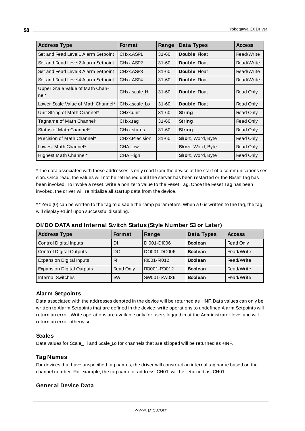| <b>Address Type</b>                     | <b>Format</b>  | Range     | Data Types        | <b>Access</b> |
|-----------------------------------------|----------------|-----------|-------------------|---------------|
| Set and Read Level1 Alarm Setpoint      | CHxx.ASP1      | $31 - 60$ | Double, Float     | Read/Write    |
| Set and Read Level2 Alarm Setpoint      | CHxx.ASP2      | $31 - 60$ | Double, Float     | Read/Write    |
| Set and Read Level 3 Alarm Setpoint     | CHxx.ASP3      | $31 - 60$ | Double, Float     | Read/Write    |
| Set and Read Level4 Alarm Setpoint      | CHxx.ASP4      | $31 - 60$ | Double, Float     | Read/Write    |
| Upper Scale Value of Math Chan-<br>nel* | CHxx.scale Hi  | $31 - 60$ | Double, Float     | Read Only     |
| Lower Scale Value of Math Channel*      | CHxx.scale Lo  | $31 - 60$ | Double, Float     | Read Only     |
| Unit String of Math Channel*            | CHxx.unit      | $31 - 60$ | <b>String</b>     | Read Only     |
| Tagname of Math Channel*                | CHxx.tag       | $31 - 60$ | <b>String</b>     | Read Only     |
| Status of Math Channel*                 | CHxx.status    | $31 - 60$ | <b>String</b>     | Read Only     |
| Precision of Math Channel*              | CHxx.Precision | $31 - 60$ | Short, Word, Byte | Read Only     |
| Lowest Math Channel*                    | CHA.Low        |           | Short, Word, Byte | Read Only     |
| Highest Math Channel*                   | CHA.High       |           | Short, Word, Byte | Read Only     |

\* The data associated with these addresses is only read from the device at the start of a communications session. Once read, the values will not be refreshed until the server has been restarted or the Reset Tag has been invoked. To invoke a reset, write a non zero value to the Reset Tag. Once the Reset Tag has been invoked, the driver will reinitialize all startup data from the device.

\* \* Zero (0) can be written to the tag to disable the ramp parameters. When a 0 is written to the tag, the tag will display +1.inf upon successful disabling.

| <b>Address Type</b>              | <b>Format</b> | Range       | Data Types     | <b>Access</b> |
|----------------------------------|---------------|-------------|----------------|---------------|
| <b>Control Digital Inputs</b>    | DI            | DI001-DI006 | <b>Boolean</b> | Read Only     |
| <b>Control Digital Outputs</b>   | DO            | DO001-DO006 | <b>Boolean</b> | Read/Write    |
| <b>Expansion Digital Inputs</b>  | RI            | RI001-RI012 | <b>Boolean</b> | Read/Write    |
| <b>Expansion Digital Outputs</b> | Read Only     | RO001-RO012 | <b>Boolean</b> | Read/Write    |
| Internal Switches                | <b>SW</b>     | SW001-SW036 | <b>Boolean</b> | Read/Write    |

**DI/DO DATA and Internal Switch Status (Style Number S3 or Later)**

## **Alarm Setpoints**

Data associated with the addresses denoted in the device will be returned as +INF. Data values can only be written to Alarm Setpoints that are defined in the device: write operations to undefined Alarm Setpoints will return an error. Write operations are available only for users logged in at the Administrator level and will return an error otherwise.

## **Scales**

Data values for Scale\_Hi and Scale\_Lo for channels that are skipped will be returned as +INF.

## **Tag Names**

For devices that have unspecified tag names, the driver will construct an internal tag name based on the channel number. For example, the tag name of address 'CH01' will be returned as 'CH01'.

## **General Device Data**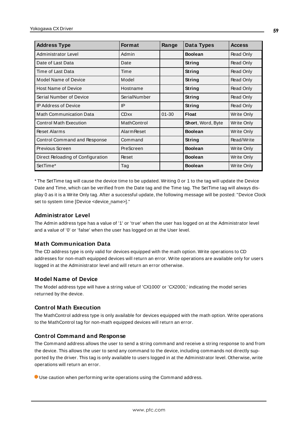| <b>Address Type</b>               | <b>Format</b>      | Range     | Data Types        | <b>Access</b> |
|-----------------------------------|--------------------|-----------|-------------------|---------------|
| Administrator Level               | Admin              |           | <b>Boolean</b>    | Read Only     |
| Date of Last Data                 | Date               |           | String            | Read Only     |
| Time of Last Data                 | Time               |           | String            | Read Only     |
| Model Name of Device              | Model              |           | String            | Read Only     |
| <b>Host Name of Device</b>        | Hostname           |           | String            | Read Only     |
| Serial Number of Device           | SerialNumber       |           | String            | Read Only     |
| <b>IP Address of Device</b>       | IP                 |           | String            | Read Only     |
| <b>Math Communication Data</b>    | <b>CDxx</b>        | $01 - 30$ | <b>Float</b>      | Write Only    |
| <b>Control Math Execution</b>     | MathControl        |           | Short, Word, Byte | Write Only    |
| <b>Reset Alarms</b>               | <b>Alarm Reset</b> |           | <b>Boolean</b>    | Write Only    |
| Control Command and Response      | Command            |           | String            | Read/Write    |
| Previous Screen                   | PreScreen          |           | <b>Boolean</b>    | Write Only    |
| Direct Reloading of Configuration | Reset              |           | <b>Boolean</b>    | Write Only    |
| SetTime*                          | Tag                |           | <b>Boolean</b>    | Write Only    |

\* The SetTime tag will cause the device time to be updated. Writing 0 or 1 to the tag will update the Device Date and Time, which can be verified from the Date tag and the Time tag. The SetTime tag will always display 0 as it is a Write Only tag. After a successful update, the following message will be posted: "Device Clock set to system time [Device <device\_name>]."

### **Administrator Level**

The Admin address type has a value of '1' or 'true' when the user has logged on at the Administrator level and a value of '0' or 'false' when the user has logged on at the User level.

## **Math Communication Data**

The CD address type is only valid for devices equipped with the math option. Write operations to CD addresses for non-math equipped devices will return an error. Write operations are available only for users logged in at the Administrator level and will return an error otherwise.

### **Model Name of Device**

The Model address type will have a string value of 'CX1000' or 'CX2000,' indicating the model series returned by the device.

### **Control Math Execution**

The MathControl address type is only available for devices equipped with the math option. Write operations to the MathControl tag for non-math equipped devices will return an error.

## **Control Command and Response**

The Command address allows the user to send a string command and receive a string response to and from the device. This allows the user to send any command to the device, including commands not directly supported by the driver. This tag is only available to users logged in at the Administrator level. Otherwise, write operations will return an error.

Use caution when performing write operations using the Command address.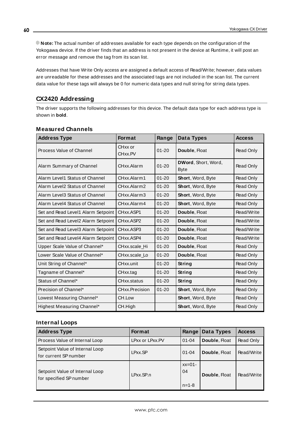**Note:** The actual number of addresses available for each type depends on the configuration of the Yokogawa device. If the driver finds that an address is not present in the device at Runtime, it will post an error message and remove the tag from its scan list.

Addresses that have Write Only access are assigned a default access of Read/Write; however, data values are unreadable for these addresses and the associated tags are not included in the scan list. The current data value for these tags will always be 0 for numeric data types and null string for string data types.

# **CX2420 Addressing**

The driver supports the following addresses for this device. The default data type for each address type is shown in **bold**.

| <b>Address Type</b>                | <b>Format</b>                   | Range     | Data Types                                | <b>Access</b> |
|------------------------------------|---------------------------------|-----------|-------------------------------------------|---------------|
| Process Value of Channel           | CHxx or<br>CH <sub>xx</sub> .PV | $01 - 20$ | Double, Float                             | Read Only     |
| Alarm Summary of Channel           | CHxx.Alarm                      | $01 - 20$ | <b>DWord, Short, Word,</b><br><b>Byte</b> | Read Only     |
| Alarm Level1 Status of Channel     | CHxx.Alarm1                     | $01 - 20$ | Short, Word, Byte                         | Read Only     |
| Alarm Level2 Status of Channel     | CHxx.Alarm2                     | $01 - 20$ | Short, Word, Byte                         | Read Only     |
| Alarm Level3 Status of Channel     | CHxx.Alarm3                     | $01 - 20$ | <b>Short, Word, Byte</b>                  | Read Only     |
| Alarm Level4 Status of Channel     | CHxx.Alarm4                     | $01 - 20$ | Short, Word, Byte                         | Read Only     |
| Set and Read Level1 Alarm Setpoint | CHxx.ASP1                       | $01 - 20$ | Double, Float                             | Read/Write    |
| Set and Read Level2 Alarm Setpoint | CHxx.ASP2                       | $01 - 20$ | Double, Float                             | Read/Write    |
| Set and Read Level3 Alarm Setpoint | CHxx.ASP3                       | $01 - 20$ | Double, Float                             | Read/Write    |
| Set and Read Level4 Alarm Setpoint | CHxx.ASP4                       | $01 - 20$ | Double, Float                             | Read/Write    |
| Upper Scale Value of Channel*      | CHxx.scale Hi                   | $01 - 20$ | Double, Float                             | Read Only     |
| Lower Scale Value of Channel*      | CHxx.scale Lo                   | $01 - 20$ | Double, Float                             | Read Only     |
| Unit String of Channel*            | CHxx.unit                       | $01 - 20$ | String                                    | Read Only     |
| Tagname of Channel*                | CHxx.tag                        | $01 - 20$ | String                                    | Read Only     |
| Status of Channel*                 | CHxx.status                     | $01 - 20$ | String                                    | Read Only     |
| Precision of Channel*              | CHxx.Precision                  | $01 - 20$ | Short, Word, Byte                         | Read Only     |
| Lowest Measuring Channel*          | CH.Low                          |           | Short, Word, Byte                         | Read Only     |
| Highest Measuring Channel*         | CH.High                         |           | Short, Word, Byte                         | Read Only     |

## **Measured Channels**

## **Internal Loops**

| <b>Address Type</b>                                        | <b>Format</b>   | Range                         | Data Types    | <b>Access</b> |
|------------------------------------------------------------|-----------------|-------------------------------|---------------|---------------|
| Process Value of Internal Loop                             | LPxx or LPxx.PV | $01 - 04$                     | Double, Float | Read Only     |
| Setpoint Value of Internal Loop<br>I for current SP number | LPxx.SP         | $01 - 04$                     | Double, Float | Read/Write    |
| Setpoint Value of Internal Loop<br>for specified SP number | LPxx.SP.n       | $xx=01-$<br>04<br>$n = 1 - 8$ | Double, Float | Read/Write    |

**60**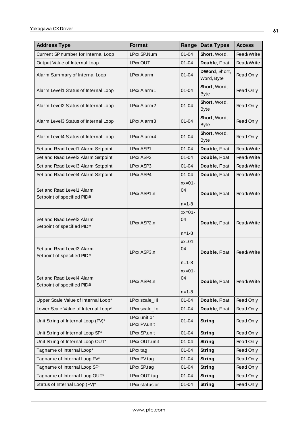| <b>Address Type</b>                                     | Format<br>Range              |                                          | Data Types                  | <b>Access</b> |
|---------------------------------------------------------|------------------------------|------------------------------------------|-----------------------------|---------------|
| Current SP number for Internal Loop                     | LPxx.SP.Num                  | $01 - 04$                                | Short, Word,                | Read/Write    |
| Output Value of Internal Loop                           | LPxx.OUT                     | $01 - 04$                                | Double, Float               | Read/Write    |
| Alarm Summary of Internal Loop                          | LPxx.Alarm                   | $01 - 04$                                | DWord, Short,<br>Word, Byte | Read Only     |
| Alarm Level1 Status of Internal Loop                    | LPxx.Alarm1                  | $01 - 04$                                | Short, Word,<br><b>Byte</b> | Read Only     |
| Alarm Level2 Status of Internal Loop                    | LPxx.Alarm2                  | $01 - 04$                                | Short, Word,<br><b>Byte</b> | Read Only     |
| Alarm Level3 Status of Internal Loop                    | LPxx.Alarm3                  | Short, Word,<br>$01 - 04$<br><b>Byte</b> |                             | Read Only     |
| Alarm Level4 Status of Internal Loop                    | LPxx.Alarm4                  | $01 - 04$                                | Short, Word,<br><b>Byte</b> | Read Only     |
| Set and Read Level1 Alarm Setpoint                      | LPxx.ASP1                    | $01 - 04$                                | Double, Float               | Read/Write    |
| Set and Read Level2 Alarm Setpoint                      | LPxx.ASP2                    | $01 - 04$                                | Double, Float               | Read/Write    |
| Set and Read Level3 Alarm Setpoint                      | LPxx.ASP3                    | $01 - 04$                                | Double, Float               | Read/Write    |
| Set and Read Level4 Alarm Setpoint                      | LPxx.ASP4                    | $01 - 04$                                | Double, Float               | Read/Write    |
| Set and Read Level1 Alarm<br>Setpoint of specified PID# | LPxx.ASP1.n                  | $xx=01-$<br>04                           | Double, Float               | Read/Write    |
|                                                         |                              | $n = 1 - 8$                              |                             |               |
| Set and Read Level2 Alarm<br>Setpoint of specified PID# | LPxx.ASP2.n                  | $xx=01-$<br>04                           | Double, Float               | Read/Write    |
|                                                         |                              | $n = 1 - 8$                              |                             |               |
| Set and Read Level3 Alarm<br>Setpoint of specified PID# | LPxx.ASP3.n                  | $xx=01-$<br>04                           | Double, Float               | Read/Write    |
|                                                         |                              | $n = 1 - 8$                              |                             |               |
| Set and Read Level4 Alarm<br>Setpoint of specified PID# | LPxx.ASP4.n                  | $xx=01-$<br>04                           | Double, Float               | Read/Write    |
|                                                         |                              | $n = 1 - 8$                              |                             |               |
| Upper Scale Value of Internal Loop*                     | LPxx.scale_Hi                | $01 - 04$                                | Double, Float               | Read Only     |
| Lower Scale Value of Internal Loop*                     | LPxx.scale_Lo                | $01 - 04$                                | Double, Float               | Read Only     |
| Unit String of Internal Loop (PV)*                      | LPxx.unit or<br>LPxx.PV.unit | $01 - 04$                                | <b>String</b>               | Read Only     |
| Unit String of Internal Loop SP*                        | LPxx.SP.unit                 | $01 - 04$                                | String                      | Read Only     |
| Unit String of Internal Loop OUT*                       | LPxx.OUT.unit                | $01 - 04$                                | String                      | Read Only     |
| Tagname of Internal Loop*                               | LPxx.tag                     | $01 - 04$                                | <b>String</b>               | Read Only     |
| Tagname of Internal Loop PV*                            | LPxx.PV.tag                  | $01 - 04$                                | <b>String</b>               | Read Only     |
| Tagname of Internal Loop SP*                            | LPxx.SP.tag                  | $01 - 04$                                | <b>String</b>               | Read Only     |
| Tagname of Internal Loop OUT*                           | LPxx.OUT.tag                 | $01 - 04$                                | String                      | Read Only     |
| Status of Internal Loop (PV)*                           | LPxx.status or               | $01 - 04$                                | <b>String</b>               | Read Only     |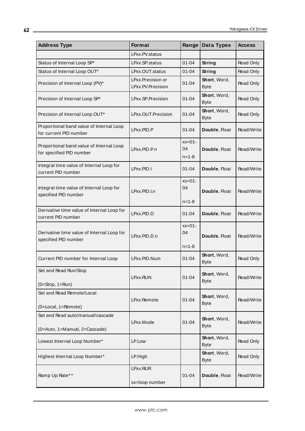| <b>Address Type</b>                                                  | <b>Format</b><br>Range                 |                                          | Data Types                          | <b>Access</b> |
|----------------------------------------------------------------------|----------------------------------------|------------------------------------------|-------------------------------------|---------------|
|                                                                      | LPxx.PV.status                         |                                          |                                     |               |
| Status of Internal Loop SP*                                          | LPxx.SP.status                         | $01 - 04$                                | <b>String</b>                       | Read Only     |
| Status of Internal Loop OUT*                                         | LPxx.OUT.status                        | $01 - 04$                                | String                              | Read Only     |
| Precision of Internal Loop (PV)*                                     | LPxx.Precision or<br>LPxx.PV.Precision | $01 - 04$                                | Short, Word,<br><b>Byte</b>         | Read Only     |
| Precision of Internal Loop SP*                                       | LPxx.SP.Precision                      | Short, Word,<br>$01 - 04$<br><b>Byte</b> |                                     | Read Only     |
| Precision of Internal Loop OUT*                                      | LPxx.OUT.Precision                     | Short, Word,<br>$01 - 04$<br><b>Byte</b> |                                     | Read Only     |
| Proportional band value of Internal Loop<br>for current PID number   | LPxx.PID.P                             | $01 - 04$                                | Double, Float                       | Read/Write    |
| Proportional band value of Internal Loop<br>for specified PID number | LPxx.PID.P.n                           | $xx=01-$<br>04<br>$n = 1 - 8$            | Double, Float                       | Read/Write    |
| Integral time value of Internal Loop for<br>current PID number       | LPxx.PID.I                             | $01 - 04$                                | Double, Float                       | Read/Write    |
| Integral time value of Internal Loop for<br>specified PID number     | LPxx.PID.I.n                           | $xx=01-$<br>04<br>$n = 1 - 8$            | Double, Float                       | Read/Write    |
| Derivative time value of Internal Loop for<br>current PID number     | LPxx.PID.D                             | $01 - 04$                                | Double, Float                       | Read/Write    |
| Derivative time value of Internal Loop for<br>specified PID number   | LPxx.PID.D.n                           | $xx=01-$<br>04<br>$n = 1 - 8$            | Double, Float                       | Read/Write    |
| Current PID number for Internal Loop                                 | LPxx.PID.Num                           | $01 - 04$                                | Short, Word,<br><b>Byte</b>         | Read Only     |
| Set and Read Run/Stop<br>$(0=Stop, 1=Run)$                           | LPxx.RUN                               | $01 - 04$                                | Short, Word,<br><b>Byte</b>         | Read/Write    |
| Set and Read Remote/Local<br>(0=Local, 1=Remote)                     | LPxx.Remote                            | $01 - 04$                                | Short, Word,<br><b>Byte</b>         | Read/Write    |
| Set and Read auto/manual/cascade<br>(0=Auto, 1=Manual, 2=Cascade)    | LPxx.Mode                              | $01 - 04$                                | Short, Word,<br><b>Byte</b>         | Read/Write    |
| Lowest Internal Loop Number*                                         | LP.Low                                 |                                          | <b>Short</b> , Word,<br><b>Byte</b> | Read Only     |
| Highest Internal Loop Number*                                        | LP.High                                |                                          | Short, Word,<br><b>Byte</b>         | Read Only     |
|                                                                      | LPxx.RUR                               |                                          |                                     |               |
| Ramp Up Rate**                                                       | xx=loop number                         | $01 - 04$                                | Double, Float                       | Read/Write    |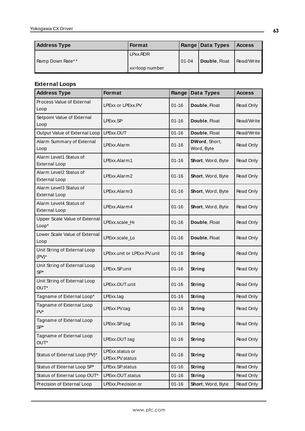| <b>Address Type</b> | <b>Format</b>  |         | Range   Data Types | <b>Access</b> |
|---------------------|----------------|---------|--------------------|---------------|
| Ramp Down Rate**    | LPxx.RDR       | l 01-04 | Double, Float      | Read/Write    |
|                     | xx=loop number |         |                    |               |

# **External Loops**

| <b>Address Type</b>                            | Format                             | Range     | Data Types                  | <b>Access</b> |
|------------------------------------------------|------------------------------------|-----------|-----------------------------|---------------|
| Process Value of External<br>Loop              | LPExx or LPExx.PV                  | $01 - 16$ | Double, Float               | Read Only     |
| Setpoint Value of External<br>Loop             | LPExx.SP                           | $01 - 16$ | Double, Float               | Read/Write    |
| Output Value of External Loop                  | LPExx.OUT                          | $01 - 16$ | Double, Float               | Read/Write    |
| Alarm Summary of External<br>Loop              | LPExx.Alarm                        | $01 - 16$ | DWord, Short,<br>Word, Byte | Read Only     |
| Alarm Level1 Status of<br><b>External Loop</b> | LPExx.Alarm1                       | $01 - 16$ | Short, Word, Byte           | Read Only     |
| Alarm Level2 Status of<br><b>External Loop</b> | LPExx.Alarm2                       | $01 - 16$ | Short, Word, Byte           | Read Only     |
| Alarm Level3 Status of<br><b>External Loop</b> | LPExx.Alarm3                       | $01 - 16$ | Short, Word, Byte           | Read Only     |
| Alarm Level4 Status of<br><b>External Loop</b> | LPExx.Alarm4                       | $01 - 16$ | Short, Word, Byte           | Read Only     |
| Upper Scale Value of External<br>Loop*         | LPExx.scale_Hi                     | $01 - 16$ | Double, Float               | Read Only     |
| Lower Scale Value of External<br>Loop          | LPExx.scale_Lo                     | $01 - 16$ | Double, Float               | Read Only     |
| Unit String of External Loop<br>$(PV)^*$       | LPExx.unit or LPExx.PV.unit        | $01 - 16$ | <b>String</b>               | Read Only     |
| Unit String of External Loop<br>$SP*$          | LPExx.SP.unit                      | $01 - 16$ | <b>String</b>               | Read Only     |
| Unit String of External Loop<br>OUT*           | LPExx.OUT.unit                     | $01 - 16$ | <b>String</b>               | Read Only     |
| Tagname of External Loop*                      | LPExx.tag                          | $01 - 16$ | <b>String</b>               | Read Only     |
| Tagname of External Loop<br>$PV^*$             | LPExx.PV.tag                       | $01 - 16$ | String                      | Read Only     |
| Tagname of External Loop<br>$SP*$              | LPExx.SP.tag                       | $01 - 16$ | <b>String</b>               | Read Only     |
| Tagname of External Loop<br>OUT*               | LPExx.OUT.tag                      | $01 - 16$ | <b>String</b>               | Read Only     |
| Status of External Loop (PV)*                  | LPExx.status or<br>LPExx.PV.status | $01 - 16$ | <b>String</b>               | Read Only     |
| Status of External Loop SP*                    | LPExx.SP.status                    | $01 - 16$ | <b>String</b>               | Read Only     |
| Status of External Loop OUT*                   | LPExx.OUT.status                   | $01 - 16$ | <b>String</b>               | Read Only     |
| Precision of External Loop                     | LPExx.Precision or                 | $01 - 16$ | Short, Word, Byte           | Read Only     |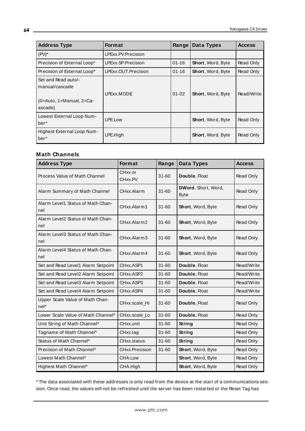| <b>Address Type</b>                                                             | <b>Format</b>       | Range     | Data Types               | <b>Access</b> |
|---------------------------------------------------------------------------------|---------------------|-----------|--------------------------|---------------|
| $(PV)^*$                                                                        | LPExx.PV.Precision  |           |                          |               |
| Precision of External Loop*                                                     | LPExx.SP.Precision  | $01 - 16$ | Short, Word, Byte        | Read Only     |
| Precision of External Loop*                                                     | LPExx.OUT.Precision | $01 - 16$ | <b>Short, Word, Byte</b> | Read Only     |
| Set and Read auto/-<br>manual/cascade<br>$(0=Aut_0, 1=Manual, 2=Ca-$<br>ascade) | LPExx.MODE          | $01 - 02$ | Short, Word, Byte        | Read/Write    |
| Lowest External Loop Num-<br>ber*                                               | LPE.Low             |           | <b>Short, Word, Byte</b> | Read Only     |
| Highest External Loop Num-<br>ber*                                              | LPE.High            |           | Short, Word, Byte        | Read Only     |

## **Math Channels**

| <b>Address Type</b>                      | Format                | Range     | Data Types                         | <b>Access</b> |
|------------------------------------------|-----------------------|-----------|------------------------------------|---------------|
| Process Value of Math Channel            | CHxx or<br>CHxx.PV    | $31 - 60$ | Double, Float                      | Read Only     |
| Alarm Summary of Math Channel            | CHxx.Alarm            | $31 - 60$ | DWord, Short, Word,<br><b>Byte</b> | Read Only     |
| Alarm Level1 Status of Math Chan-<br>nel | CHxx.Alarm1           | $31 - 60$ | Short, Word, Byte                  | Read Only     |
| Alarm Level2 Status of Math Chan-<br>nel | CHxx.Alarm2           | $31 - 60$ | Short, Word, Byte                  | Read Only     |
| Alarm Level3 Status of Math Chan-<br>nel | CHxx.Alarm3           | $31 - 60$ | Short, Word, Byte                  | Read Only     |
| Alarm Level4 Status of Math Chan-<br>nel | CHxx.Alarm4           | $31 - 60$ | Short, Word, Byte                  | Read Only     |
| Set and Read Level1 Alarm Setpoint       | CHxx.ASP1             | $31 - 60$ | Double, Float                      | Read/Write    |
| Set and Read Level2 Alarm Setpoint       | CHxx.ASP2             | $31 - 60$ | Double, Float                      | Read/Write    |
| Set and Read Level3 Alarm Setpoint       | CHxx.ASP3             | $31 - 60$ | Double, Float                      | Read/Write    |
| Set and Read Level4 Alarm Setpoint       | CHxx.ASP4             | $31 - 60$ | Double, Float                      | Read/Write    |
| Upper Scale Value of Math Chan-<br>nel*  | CHxx.scale Hi         | $31 - 60$ | Double, Float                      | Read Only     |
| Lower Scale Value of Math Channel*       | CHxx.scale Lo         | $31 - 60$ | Double, Float                      | Read Only     |
| Unit String of Math Channel*             | CHxx.unit             | $31 - 60$ | String                             | Read Only     |
| Tagname of Math Channel*                 | CHxx.tag              | $31 - 60$ | String                             | Read Only     |
| Status of Math Channel*                  | CHxx.status           | $31 - 60$ | String                             | Read Only     |
| Precision of Math Channel*               | <b>CHxx.Precision</b> | $31 - 60$ | Short, Word, Byte                  | Read Only     |
| Lowest Math Channel*                     | CHA.Low               |           | Short, Word, Byte                  | Read Only     |
| Highest Math Channel*                    | CHA.High              |           | Short, Word, Byte                  | Read Only     |

\* The data associated with these addresses is only read from the device at the start of a communications session. Once read, the values will not be refreshed until the server has been restarted or the Reset Tag has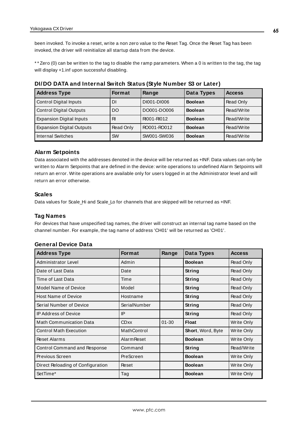been invoked. To invoke a reset, write a non zero value to the Reset Tag. Once the Reset Tag has been invoked, the driver will reinitialize all startup data from the device.

\* \* Zero (0) can be written to the tag to disable the ramp parameters. When a 0 is written to the tag, the tag will display +1.inf upon successful disabling.

| <b>Address Type</b>              | <b>Format</b> | Range       | Data Types     | <b>Access</b> |
|----------------------------------|---------------|-------------|----------------|---------------|
| <b>Control Digital Inputs</b>    | DΙ            | DI001-DI006 | <b>Boolean</b> | Read Only     |
| <b>Control Digital Outputs</b>   | DO            | DO001-DO006 | <b>Boolean</b> | Read/Write    |
| <b>Expansion Digital Inputs</b>  | RI            | RI001-RI012 | <b>Boolean</b> | Read/Write    |
| <b>Expansion Digital Outputs</b> | Read Only     | RO001-RO012 | <b>Boolean</b> | Read/Write    |
| <b>Internal Switches</b>         | <b>SW</b>     | SW001-SW036 | <b>Boolean</b> | Read/Write    |

#### **DI/DO DATA and Internal Switch Status (Style Number S3 or Later)**

## **Alarm Setpoints**

Data associated with the addresses denoted in the device will be returned as +INF. Data values can only be written to Alarm Setpoints that are defined in the device: write operations to undefined Alarm Setpoints will return an error. Write operations are available only for users logged in at the Administrator level and will return an error otherwise.

#### **Scales**

Data values for Scale\_Hi and Scale\_Lo for channels that are skipped will be returned as +INF.

#### **Tag Names**

For devices that have unspecified tag names, the driver will construct an internal tag name based on the channel number. For example, the tag name of address 'CH01' will be returned as 'CH01'.

### **General Device Data**

| <b>Address Type</b>               | <b>Format</b>      | Range     | Data Types        | <b>Access</b>     |
|-----------------------------------|--------------------|-----------|-------------------|-------------------|
| Administrator Level               | Admin              |           | <b>Boolean</b>    | Read Only         |
| Date of Last Data                 | Date               |           | String            | Read Only         |
| Time of Last Data                 | Time               |           | String            | Read Only         |
| Model Name of Device              | Model              |           | String            | Read Only         |
| <b>Host Name of Device</b>        | Hostname           |           | String            | Read Only         |
| Serial Number of Device           | SerialNumber       |           | String            | Read Only         |
| <b>IP Address of Device</b>       | IP                 |           | String            | Read Only         |
| <b>Math Communication Data</b>    | <b>CDxx</b>        | $01 - 30$ | Float             | Write Only        |
| <b>Control Math Execution</b>     | MathControl        |           | Short, Word, Byte | Write Only        |
| <b>Reset Alarms</b>               | <b>Alarm Reset</b> |           | <b>Boolean</b>    | Write Only        |
| Control Command and Response      | Command            |           | String            | Read/Write        |
| Previous Screen                   | PreScreen          |           | <b>Boolean</b>    | Write Only        |
| Direct Reloading of Configuration | Reset              |           | <b>Boolean</b>    | Write Only        |
| SetTime*                          | Tag                |           | <b>Boolean</b>    | <b>Write Only</b> |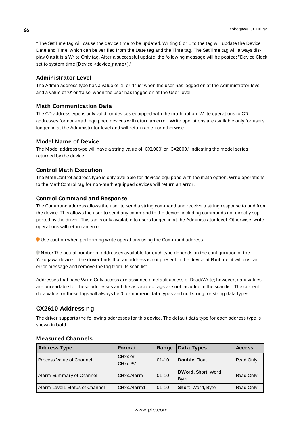\* The SetTime tag will cause the device time to be updated. Writing 0 or 1 to the tag will update the Device Date and Time, which can be verified from the Date tag and the Time tag. The SetTime tag will always display 0 as it is a Write Only tag. After a successful update, the following message will be posted: "Device Clock set to system time [Device <device\_name>]."

### **Administrator Level**

The Admin address type has a value of '1' or 'true' when the user has logged on at the Administrator level and a value of '0' or 'false' when the user has logged on at the User level.

### **Math Communication Data**

The CD address type is only valid for devices equipped with the math option. Write operations to CD addresses for non-math equipped devices will return an error. Write operations are available only for users logged in at the Administrator level and will return an error otherwise.

### **Model Name of Device**

The Model address type will have a string value of 'CX1000' or 'CX2000,' indicating the model series returned by the device.

### **Control Math Execution**

The MathControl address type is only available for devices equipped with the math option. Write operations to the MathControl tag for non-math equipped devices will return an error.

### **Control Command and Response**

The Command address allows the user to send a string command and receive a string response to and from the device. This allows the user to send any command to the device, including commands not directly supported by the driver. This tag is only available to users logged in at the Administrator level. Otherwise, write operations will return an error.

Use caution when performing write operations using the Command address.

**Note:** The actual number of addresses available for each type depends on the configuration of the Yokogawa device. If the driver finds that an address is not present in the device at Runtime, it will post an error message and remove the tag from its scan list.

Addresses that have Write Only access are assigned a default access of Read/Write; however, data values are unreadable for these addresses and the associated tags are not included in the scan list. The current data value for these tags will always be 0 for numeric data types and null string for string data types.

## **CX2610 Addressing**

The driver supports the following addresses for this device. The default data type for each address type is shown in **bold**.

| <b>Address Type</b>            | <b>Format</b>                  | Range     | Data Types                         | <b>Access</b> |
|--------------------------------|--------------------------------|-----------|------------------------------------|---------------|
| Process Value of Channel       | CH <sub>xx</sub> or<br>CHxx.PV | $01 - 10$ | Double, Float                      | Read Only     |
| Alarm Summary of Channel       | CHxx.Alarm                     | $01 - 10$ | DWord, Short, Word,<br><b>Byte</b> | Read Only     |
| Alarm Level1 Status of Channel | CHxx.Alarm1                    | $01 - 10$ | <b>Short, Word, Byte</b>           | Read Only     |

### **Measured Channels**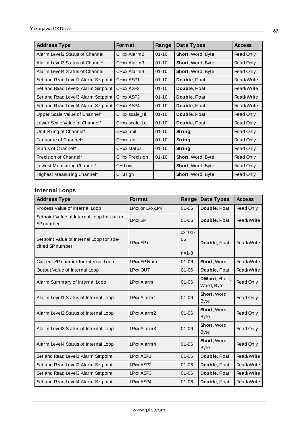| <b>Address Type</b>                | <b>Format</b>  | Range     | Data Types        | <b>Access</b> |
|------------------------------------|----------------|-----------|-------------------|---------------|
| Alarm Level2 Status of Channel     | CHxx.Alarm2    | $01 - 10$ | Short, Word, Byte | Read Only     |
| Alarm Level3 Status of Channel     | CHxx.Alarm3    | $01 - 10$ | Short, Word, Byte | Read Only     |
| Alarm Level4 Status of Channel     | CHxx.Alarm4    | $01 - 10$ | Short, Word, Byte | Read Only     |
| Set and Read Level1 Alarm Setpoint | CHxx.ASP1      | $01 - 10$ | Double, Float     | Read/Write    |
| Set and Read Level2 Alarm Setpoint | CHxx.ASP2      | $01 - 10$ | Double, Float     | Read/Write    |
| Set and Read Level3 Alarm Setpoint | CHxx.ASP3      | $01 - 10$ | Double, Float     | Read/Write    |
| Set and Read Level4 Alarm Setpoint | CHxx.ASP4      | $01 - 10$ | Double, Float     | Read/Write    |
| Upper Scale Value of Channel*      | CHxx.scale Hi  | $01 - 10$ | Double, Float     | Read Only     |
| Lower Scale Value of Channel*      | CHxx.scale Lo  | $01 - 10$ | Double, Float     | Read Only     |
| Unit String of Channel*            | CHxx.unit      | $01 - 10$ | String            | Read Only     |
| Tagname of Channel*                | CHxx.tag       | $01 - 10$ | String            | Read Only     |
| Status of Channel*                 | CHxx.status    | $01 - 10$ | String            | Read Only     |
| Precision of Channel*              | CHxx.Precision | $01 - 10$ | Short, Word, Byte | Read Only     |
| Lowest Measuring Channel*          | CH.Low         |           | Short, Word, Byte | Read Only     |
| Highest Measuring Channel*         | CH.High        |           | Short, Word, Byte | Read Only     |

# **Internal Loops**

| <b>Address Type</b>                                          | <b>Format</b>   | Range                         | Data Types                  | <b>Access</b> |
|--------------------------------------------------------------|-----------------|-------------------------------|-----------------------------|---------------|
| Process Value of Internal Loop                               | LPxx or LPxx.PV | $01 - 06$                     | Double, Float               | Read Only     |
| Setpoint Value of Internal Loop for current<br>SP number     | LPxx.SP         | $01 - 06$                     | Double, Float               | Read/Write    |
| Setpoint Value of Internal Loop for spe-<br>cified SP number | LPxx.SP.n       | $xx=01-$<br>06<br>$n = 1 - 8$ | Double, Float               | Read/Write    |
| Current SP number for Internal Loop                          | LPxx.SP.Num     | $01 - 06$                     | Short, Word,                | Read/Write    |
| Output Value of Internal Loop                                | LPxx.OUT        | $01 - 06$                     | Double, Float               | Read/Write    |
| Alarm Summary of Internal Loop                               | LPxx.Alarm      | $01 - 06$                     | DWord, Short,<br>Word, Byte | Read Only     |
| Alarm Level1 Status of Internal Loop                         | LPxx.Alarm1     | $01 - 06$                     | Short, Word,<br><b>Byte</b> | Read Only     |
| Alarm Level2 Status of Internal Loop                         | LPxx.Alarm2     | $01 - 06$                     | Short, Word,<br><b>Byte</b> | Read Only     |
| Alarm Level3 Status of Internal Loop                         | LPxx.Alarm3     | $01 - 06$                     | Short, Word,<br><b>Byte</b> | Read Only     |
| Alarm Level4 Status of Internal Loop                         | LPxx.Alarm4     | $01 - 06$                     | Short, Word,<br><b>Byte</b> | Read Only     |
| Set and Read Level1 Alarm Setpoint                           | LPxx.ASP1       | $01 - 06$                     | Double, Float               | Read/Write    |
| Set and Read Level2 Alarm Setpoint                           | LPxx.ASP2       | $01 - 06$                     | Double, Float               | Read/Write    |
| Set and Read Level3 Alarm Setpoint                           | LPxx.ASP3       | $01 - 06$                     | Double, Float               | Read/Write    |
| Set and Read Level4 Alarm Setpoint                           | LPxx.ASP4       | $01 - 06$                     | Double, Float               | Read/Write    |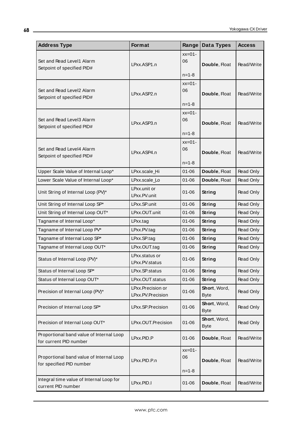| <b>Address Type</b>                                                  | Format                                 | Range                         | Data Types                  | <b>Access</b> |
|----------------------------------------------------------------------|----------------------------------------|-------------------------------|-----------------------------|---------------|
| Set and Read Level1 Alarm<br>Setpoint of specified PID#              | LPxx.ASP1.n                            | $xx=01-$<br>06<br>$n = 1 - 8$ | Double, Float               | Read/Write    |
| Set and Read Level2 Alarm<br>Setpoint of specified PID#              | LPxx.ASP2.n                            | $xx=01-$<br>06<br>$n = 1 - 8$ | Double, Float               | Read/Write    |
| Set and Read Level3 Alarm<br>Setpoint of specified PID#              | LPxx.ASP3.n                            | $xx=01-$<br>06<br>$n = 1 - 8$ | Double, Float               | Read/Write    |
| Set and Read Level4 Alarm<br>Setpoint of specified PID#              | LPxx.ASP4.n                            | $xx=01-$<br>06<br>$n = 1 - 8$ | Double, Float               | Read/Write    |
| Upper Scale Value of Internal Loop*                                  | LPxx.scale_Hi                          | $01 - 06$                     | Double, Float               | Read Only     |
| Lower Scale Value of Internal Loop*                                  | LPxx.scale_Lo                          | $01 - 06$                     | Double, Float               | Read Only     |
| Unit String of Internal Loop (PV)*                                   | LPxx.unit or<br>LPxx.PV.unit           | $01 - 06$                     | <b>String</b>               | Read Only     |
| Unit String of Internal Loop SP*                                     | LPxx.SP.unit                           | $01 - 06$                     | <b>String</b>               | Read Only     |
| Unit String of Internal Loop OUT*                                    | LPxx.OUT.unit                          | $01 - 06$                     | <b>String</b>               | Read Only     |
| Tagname of Internal Loop*                                            | LPxx.tag                               | $01 - 06$                     | <b>String</b>               | Read Only     |
| Tagname of Internal Loop PV*                                         | LPxx.PV.tag                            | $01 - 06$                     | <b>String</b>               | Read Only     |
| Tagname of Internal Loop SP*                                         | LPxx.SP.tag                            | $01 - 06$                     | <b>String</b>               | Read Only     |
| Tagname of Internal Loop OUT*                                        | LPxx.OUT.tag                           | $01 - 06$                     | <b>String</b>               | Read Only     |
| Status of Internal Loop (PV)*                                        | LPxx.status or<br>LPxx.PV.status       | $01 - 06$                     | String                      | Read Only     |
| Status of Internal Loop SP*                                          | LPxx.SP.status                         | $01 - 06$                     | String                      | Read Only     |
| Status of Internal Loop OUT*                                         | LPxx.OUT.status                        | $01 - 06$                     | <b>String</b>               | Read Only     |
| Precision of Internal Loop (PV)*                                     | LPxx.Precision or<br>LPxx.PV.Precision | $01 - 06$                     | Short, Word,<br><b>Byte</b> | Read Only     |
| Precision of Internal Loop SP*                                       | LPxx.SP.Precision                      | $01 - 06$                     | Short, Word,<br><b>Byte</b> | Read Only     |
| Precision of Internal Loop OUT*                                      | LPxx.OUT.Precision                     | $01 - 06$                     | Short, Word,<br><b>Byte</b> | Read Only     |
| Proportional band value of Internal Loop<br>for current PID number   | LPxx.PID.P                             | $01 - 06$                     | Double, Float               | Read/Write    |
| Proportional band value of Internal Loop<br>for specified PID number | LPxx.PID.P.n                           | $xx=01-$<br>06<br>$n = 1 - 8$ | Double, Float               | Read/Write    |
| Integral time value of Internal Loop for<br>current PID number       | LPxx.PID.I                             | $01 - 06$                     | Double, Float               | Read/Write    |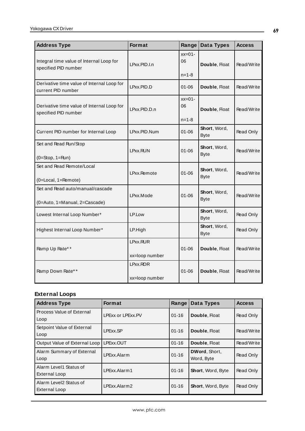| <b>Address Type</b>                                                | Format                     | Range                         | Data Types                  | <b>Access</b> |
|--------------------------------------------------------------------|----------------------------|-------------------------------|-----------------------------|---------------|
| Integral time value of Internal Loop for<br>specified PID number   | LPxx.PID.I.n               | $xx=01-$<br>06<br>$n = 1 - 8$ | Double, Float               | Read/Write    |
| Derivative time value of Internal Loop for<br>current PID number   | LPxx.PID.D                 | $01 - 06$                     | Double, Float               | Read/Write    |
| Derivative time value of Internal Loop for<br>specified PID number | LPxx.PID.D.n               | $xx=01-$<br>06                | Double, Float               | Read/Write    |
|                                                                    |                            | $n = 1 - 8$                   |                             |               |
| Current PID number for Internal Loop                               | LPxx.PID.Num               | $01 - 06$                     | Short, Word,<br><b>Byte</b> | Read Only     |
| Set and Read Run/Stop<br>$(0=Stop, 1=Run)$                         | LPxx.RUN                   | $01 - 06$                     | Short, Word,<br><b>Byte</b> | Read/Write    |
| Set and Read Remote/Local<br>$(0 = Local, 1 = Remove)$             | LPxx.Remote                | $01 - 06$                     | Short, Word,<br><b>Byte</b> | Read/Write    |
| Set and Read auto/manual/cascade<br>(0=Auto, 1=Manual, 2=Cascade)  | LPxx.Mode                  | $01 - 06$                     | Short, Word,<br><b>Byte</b> | Read/Write    |
| Lowest Internal Loop Number*                                       | LP.Low                     |                               | Short, Word,<br><b>Byte</b> | Read Only     |
| Highest Internal Loop Number*                                      | LP.High                    |                               | Short, Word,<br><b>Byte</b> | Read Only     |
| Ramp Up Rate**                                                     | LPxx.RUR<br>xx=loop number | $01 - 06$                     | Double, Float               | Read/Write    |
| Ramp Down Rate**                                                   | LPxx.RDR<br>xx=loop number | $01 - 06$                     | Double, Float               | Read/Write    |

# **External Loops**

| <b>Address Type</b>                     | <b>Format</b>     | Range     | Data Types                  | <b>Access</b> |
|-----------------------------------------|-------------------|-----------|-----------------------------|---------------|
| Process Value of External<br>Loop       | LPExx or LPExx.PV | $01 - 16$ | Double, Float               | Read Only     |
| Setpoint Value of External<br>Loop      | LPExx.SP          | $01 - 16$ | Double, Float               | Read/Write    |
| Output Value of External Loop           | LPExx.OUT         | $01 - 16$ | Double, Float               | Read/Write    |
| Alarm Summary of External<br>Loop       | LPExx Alarm       | $01 - 16$ | DWord, Short,<br>Word, Byte | Read Only     |
| Alarm Level1 Status of<br>External Loop | LPExx.Alarm1      | $01 - 16$ | <b>Short, Word, Byte</b>    | Read Only     |
| Alarm Level2 Status of<br>External Loop | LPExx.Alarm2      | $01 - 16$ | <b>Short, Word, Byte</b>    | Read Only     |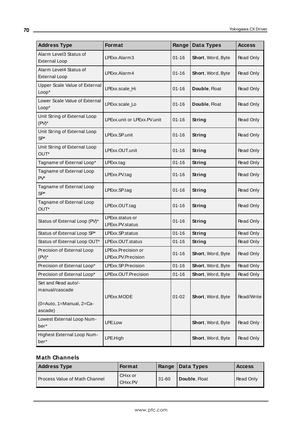| <b>Address Type</b>                                                          | Format                                   | Range                      | Data Types        | <b>Access</b> |
|------------------------------------------------------------------------------|------------------------------------------|----------------------------|-------------------|---------------|
| Alarm Level3 Status of<br><b>External Loop</b>                               | LPExx.Alarm3                             | $01 - 16$                  | Short, Word, Byte | Read Only     |
| Alarm Level4 Status of<br><b>External Loop</b>                               | LPExx.Alarm4<br>$01 - 16$                |                            | Short, Word, Byte | Read Only     |
| Upper Scale Value of External<br>Loop*                                       | LPExx.scale_Hi                           | $01 - 16$<br>Double, Float |                   | Read Only     |
| Lower Scale Value of External<br>Loop*                                       | LPExx.scale_Lo                           | $01 - 16$                  | Double, Float     | Read Only     |
| Unit String of External Loop<br>$(PV)^*$                                     | LPExx.unit or LPExx.PV.unit              | $01 - 16$                  | <b>String</b>     | Read Only     |
| Unit String of External Loop<br>$SP*$                                        | LPExx.SP.unit                            | $01 - 16$                  | <b>String</b>     | Read Only     |
| Unit String of External Loop<br>OUT*                                         | LPExx.OUT.unit                           | $01 - 16$                  | <b>String</b>     | Read Only     |
| Tagname of External Loop*                                                    | LPExx.tag                                | $01 - 16$<br><b>String</b> |                   | Read Only     |
| Tagname of External Loop<br>$PV^*$                                           | LPExx.PV.tag                             | $01 - 16$                  | String            | Read Only     |
| Tagname of External Loop<br>$SP*$                                            | LPExx.SP.tag                             | $01 - 16$                  | String            | Read Only     |
| Tagname of External Loop<br>OUT*                                             | LPExx.OUT.tag                            | $01 - 16$                  | <b>String</b>     | Read Only     |
| Status of External Loop (PV)*                                                | LPExx.status or<br>LPExx.PV.status       | $01 - 16$                  | <b>String</b>     | Read Only     |
| Status of External Loop SP*                                                  | LPExx.SP.status                          | $01 - 16$                  | <b>String</b>     | Read Only     |
| Status of External Loop OUT*                                                 | LPExx.OUT.status                         | $01 - 16$                  | String            | Read Only     |
| Precision of External Loop<br>$(PV)^*$                                       | LPExx.Precision or<br>LPExx.PV.Precision | $01 - 16$                  | Short, Word, Byte | Read Only     |
| Precision of External Loop*                                                  | LPExx.SP.Precision                       | $01 - 16$                  | Short, Word, Byte | Read Only     |
| Precision of External Loop*                                                  | LPExx.OUT.Precision                      | $01 - 16$                  | Short, Word, Byte | Read Only     |
| Set and Read auto/-<br>manual/cascade<br>(0=Auto, 1=Manual, 2=Ca-<br>ascade) | LPExx.MODE                               | $01 - 02$                  | Short, Word, Byte | Read/Write    |
| Lowest External Loop Num-<br>ber*                                            | LPE.Low                                  |                            | Short, Word, Byte | Read Only     |
| Highest External Loop Num-<br>ber*                                           | LPE.High                                 |                            | Short, Word, Byte | Read Only     |

# **Math Channels**

| <b>Address Type</b>           | <b>Format</b>                   |           | Range   Data Types | <b>Access</b> |
|-------------------------------|---------------------------------|-----------|--------------------|---------------|
| Process Value of Math Channel | CHxx or<br>CH <sub>xx</sub> .PV | $31 - 60$ | Double, Float      | Read Only     |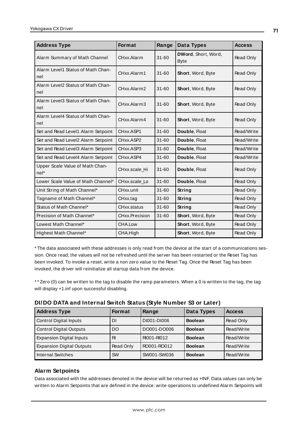| <b>Address Type</b>                       | <b>Format</b>  | Range     | Data Types                                | <b>Access</b>    |
|-------------------------------------------|----------------|-----------|-------------------------------------------|------------------|
| Alarm Summary of Math Channel             | CHxx.Alarm     | $31 - 60$ | <b>DWord, Short, Word,</b><br><b>Byte</b> | Read Only        |
| Alarm Level1 Status of Math Chan-<br>nel  | CHxx.Alarm1    | $31 - 60$ | Short, Word, Byte                         | Read Only        |
| Alarm Level2 Status of Math Chan-<br>nel  | CHxx.Alarm2    | $31 - 60$ | Short, Word, Byte                         | Read Only        |
| Alarm Level3 Status of Math Chan-<br>nel  | CHxx.Alarm3    | $31 - 60$ | Short, Word, Byte                         | <b>Read Only</b> |
| Alarm Level4 Status of Math Chan-<br>nel  | CHxx.Alarm4    | $31 - 60$ | Short, Word, Byte                         | Read Only        |
| Set and Read Level1 Alarm Setpoint        | CHxx.ASP1      | $31 - 60$ | Double, Float                             | Read/Write       |
| Set and Read Level2 Alarm Setpoint        | CHxx.ASP2      | $31 - 60$ | Double, Float                             | Read/Write       |
| Set and Read Level3 Alarm Setpoint        | CHxx.ASP3      | $31 - 60$ | Double, Float                             | Read/Write       |
| Set and Read Level4 Alarm Setpoint        | CHxx.ASP4      | $31 - 60$ | Double, Float                             | Read/Write       |
| Upper Scale Value of Math Chan-<br>$nel*$ | CHxx.scale Hi  | $31 - 60$ | Double, Float                             | Read Only        |
| Lower Scale Value of Math Channel*        | CHxx.scale_Lo  | $31 - 60$ | Double, Float                             | Read Only        |
| Unit String of Math Channel*              | CHxx.unit      | 31-60     | String                                    | Read Only        |
| Tagname of Math Channel*                  | CHxx.tag       | $31 - 60$ | String                                    | Read Only        |
| Status of Math Channel*                   | CHxx.status    | 31-60     | String                                    | Read Only        |
| Precision of Math Channel*                | CHxx.Precision | $31 - 60$ | Short, Word, Byte                         | Read Only        |
| Lowest Math Channel*                      | CHA.Low        |           | Short, Word, Byte                         | Read Only        |
| Highest Math Channel*                     | CHA.High       |           | Short, Word, Byte                         | Read Only        |

\* The data associated with these addresses is only read from the device at the start of a communications session. Once read, the values will not be refreshed until the server has been restarted or the Reset Tag has been invoked. To invoke a reset, write a non zero value to the Reset Tag. Once the Reset Tag has been invoked, the driver will reinitialize all startup data from the device.

\* \* Zero (0) can be written to the tag to disable the ramp parameters. When a 0 is written to the tag, the tag will display +1.inf upon successful disabling.

| DI/DO DATA and Internal Switch Status (Style Number S3 or Later) |  |
|------------------------------------------------------------------|--|
|------------------------------------------------------------------|--|

| <b>Address Type</b>              | <b>Format</b> | Range       | Data Types     | <b>Access</b> |
|----------------------------------|---------------|-------------|----------------|---------------|
| <b>Control Digital Inputs</b>    | DI            | DI001-DI006 | <b>Boolean</b> | Read Only     |
| <b>Control Digital Outputs</b>   | DO            | DO001-DO006 | <b>Boolean</b> | Read/Write    |
| <b>Expansion Digital Inputs</b>  | R             | RI001-RI012 | <b>Boolean</b> | Read/Write    |
| <b>Expansion Digital Outputs</b> | Read Only     | RO001-RO012 | <b>Boolean</b> | Read/Write    |
| <b>Internal Switches</b>         | <b>SW</b>     | SW001-SW036 | <b>Boolean</b> | Read/Write    |

## **Alarm Setpoints**

Data associated with the addresses denoted in the device will be returned as +INF. Data values can only be written to Alarm Setpoints that are defined in the device: write operations to undefined Alarm Setpoints will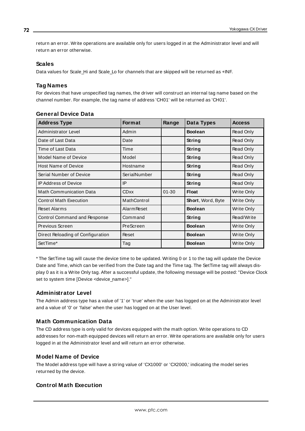return an error. Write operations are available only for users logged in at the Administrator level and will return an error otherwise.

### **Scales**

Data values for Scale Hi and Scale Lo for channels that are skipped will be returned as +INF.

## **Tag Names**

For devices that have unspecified tag names, the driver will construct an internal tag name based on the channel number. For example, the tag name of address 'CH01' will be returned as 'CH01'.

| <b>Address Type</b>               | <b>Format</b>      | Range     | <b>Data Types</b> | <b>Access</b>     |
|-----------------------------------|--------------------|-----------|-------------------|-------------------|
| Administrator Level               | Admin              |           | <b>Boolean</b>    | Read Only         |
| Date of Last Data                 | Date               |           | String            | Read Only         |
| Time of Last Data                 | Time               |           | String            | Read Only         |
| Model Name of Device              | Model              |           | String            | Read Only         |
| <b>Host Name of Device</b>        | Hostname           |           | String            | Read Only         |
| Serial Number of Device           | SerialNumber       |           | String            | Read Only         |
| <b>IP Address of Device</b>       | IP                 |           | String            | Read Only         |
| <b>Math Communication Data</b>    | <b>CDxx</b>        | $01 - 30$ | <b>Float</b>      | Write Only        |
| <b>Control Math Execution</b>     | MathControl        |           | Short, Word, Byte | Write Only        |
| <b>Reset Alarms</b>               | <b>Alarm Reset</b> |           | <b>Boolean</b>    | Write Only        |
| Control Command and Response      | Command            |           | String            | Read/Write        |
| Previous Screen                   | PreScreen          |           | <b>Boolean</b>    | Write Only        |
| Direct Reloading of Configuration | Reset              |           | <b>Boolean</b>    | Write Only        |
| SetTime*                          | Tag                |           | <b>Boolean</b>    | <b>Write Only</b> |

## **General Device Data**

\* The SetTime tag will cause the device time to be updated. Writing 0 or 1 to the tag will update the Device Date and Time, which can be verified from the Date tag and the Time tag. The SetTime tag will always display 0 as it is a Write Only tag. After a successful update, the following message will be posted: "Device Clock set to system time [Device <device\_name>]."

## **Administrator Level**

The Admin address type has a value of '1' or 'true' when the user has logged on at the Administrator level and a value of '0' or 'false' when the user has logged on at the User level.

## **Math Communication Data**

The CD address type is only valid for devices equipped with the math option. Write operations to CD addresses for non-math equipped devices will return an error. Write operations are available only for users logged in at the Administrator level and will return an error otherwise.

## **Model Name of Device**

The Model address type will have a string value of 'CX1000' or 'CX2000,' indicating the model series returned by the device.

## **Control Math Execution**

**72**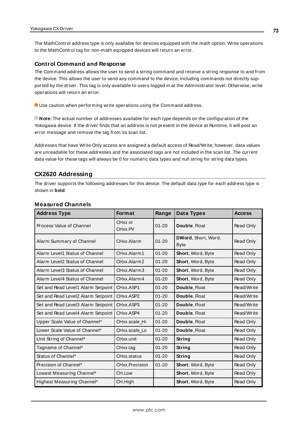The MathControl address type is only available for devices equipped with the math option. Write operations to the MathControl tag for non-math equipped devices will return an error.

#### **Control Command and Response**

The Command address allows the user to send a string command and receive a string response to and from the device. This allows the user to send any command to the device, including commands not directly supported by the driver. This tag is only available to users logged in at the Administrator level. Otherwise, write operations will return an error.

Use caution when performing write operations using the Command address.

**Note:** The actual number of addresses available for each type depends on the configuration of the Yokogawa device. If the driver finds that an address is not present in the device at Runtime, it will post an error message and remove the tag from its scan list.

Addresses that have Write Only access are assigned a default access of Read/Write; however, data values are unreadable for these addresses and the associated tags are not included in the scan list. The current data value for these tags will always be 0 for numeric data types and null string for string data types.

#### <span id="page-72-0"></span>**CX2620 Addressing**

The driver supports the following addresses for this device. The default data type for each address type is shown in **bold**.

| <b>Address Type</b>                | <b>Format</b>                  | Range     | Data Types                         | <b>Access</b> |
|------------------------------------|--------------------------------|-----------|------------------------------------|---------------|
| Process Value of Channel           | CH <sub>xx</sub> or<br>CHxx.PV | $01 - 20$ | Double, Float                      | Read Only     |
| Alarm Summary of Channel           | CHxx.Alarm                     | $01 - 20$ | DWord, Short, Word,<br><b>Byte</b> | Read Only     |
| Alarm Level1 Status of Channel     | CHxx.Alarm1                    | $01 - 20$ | Short, Word, Byte                  | Read Only     |
| Alarm Level2 Status of Channel     | CHxx.Alarm2                    | $01 - 20$ | <b>Short, Word, Byte</b>           | Read Only     |
| Alarm Level3 Status of Channel     | CHxx.Alarm3                    | $01 - 20$ | Short, Word, Byte                  | Read Only     |
| Alarm Level4 Status of Channel     | CHxx.Alarm4                    | $01 - 20$ | Short, Word, Byte                  | Read Only     |
| Set and Read Level1 Alarm Setpoint | CHxx.ASP1                      | $01 - 20$ | Double, Float                      | Read/Write    |
| Set and Read Level2 Alarm Setpoint | CHxx.ASP2                      | $01 - 20$ | Double, Float                      | Read/Write    |
| Set and Read Level3 Alarm Setpoint | CHxx.ASP3                      | $01 - 20$ | Double, Float                      | Read/Write    |
| Set and Read Level4 Alarm Setpoint | CHxx.ASP4                      | $01 - 20$ | Double, Float                      | Read/Write    |
| Upper Scale Value of Channel*      | CHxx.scale Hi                  | $01 - 20$ | Double, Float                      | Read Only     |
| Lower Scale Value of Channel*      | CHxx.scale Lo                  | $01 - 20$ | Double, Float                      | Read Only     |
| Unit String of Channel*            | CHxx.unit                      | $01 - 20$ | String                             | Read Only     |
| Tagname of Channel*                | CHxx.tag                       | $01 - 20$ | String                             | Read Only     |
| Status of Channel*                 | CHxx.status                    | $01 - 20$ | String                             | Read Only     |
| Precision of Channel*              | CHxx.Precision                 | $01 - 20$ | Short, Word, Byte                  | Read Only     |
| Lowest Measuring Channel*          | CH.Low                         |           | Short, Word, Byte                  | Read Only     |
| Highest Measuring Channel*         | CH.High                        |           | <b>Short, Word, Byte</b>           | Read Only     |

#### **Measured Channels**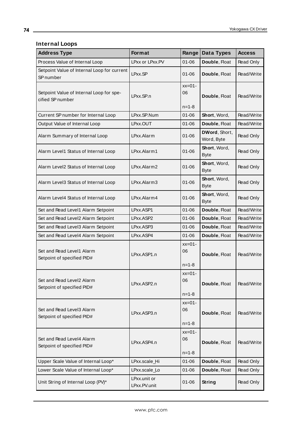# **Internal Loops**

<u> 1989 - Johann Stoff, deutscher Stoffen und der Stoffen und der Stoffen und der Stoffen und der Stoffen und der</u>

| <b>Address Type</b>                                          | Format                       | Range                         | Data Types                  | <b>Access</b> |
|--------------------------------------------------------------|------------------------------|-------------------------------|-----------------------------|---------------|
| Process Value of Internal Loop                               | LPxx or LPxx.PV              | $01 - 06$                     | Double, Float               | Read Only     |
| Setpoint Value of Internal Loop for current<br>SP number     | LPxx.SP                      | $01 - 06$                     | Double, Float               | Read/Write    |
| Setpoint Value of Internal Loop for spe-<br>cified SP number | LPxx.SP.n                    | $xx=01-$<br>06<br>$n = 1 - 8$ | Double, Float               | Read/Write    |
| Current SP number for Internal Loop                          | LPxx.SP.Num                  | $01 - 06$                     | Short, Word,                | Read/Write    |
| Output Value of Internal Loop                                | LPxx.OUT                     | $01 - 06$                     | Double, Float               | Read/Write    |
| Alarm Summary of Internal Loop                               | LPxx.Alarm                   | $01 - 06$                     | DWord, Short,<br>Word, Byte | Read Only     |
| Alarm Level1 Status of Internal Loop                         | LPxx.Alarm1                  | $01 - 06$                     | Short, Word,<br><b>Byte</b> | Read Only     |
| Alarm Level2 Status of Internal Loop                         | LPxx.Alarm2                  | $01 - 06$                     | Short, Word,<br><b>Byte</b> | Read Only     |
| Alarm Level3 Status of Internal Loop                         | LPxx.Alarm3                  | $01 - 06$                     | Short, Word,<br><b>Byte</b> | Read Only     |
| Alarm Level4 Status of Internal Loop                         | LPxx.Alarm4                  | $01 - 06$                     | Short, Word,<br><b>Byte</b> | Read Only     |
| Set and Read Level1 Alarm Setpoint                           | LPxx.ASP1                    | $01 - 06$                     | Double, Float               | Read/Write    |
| Set and Read Level2 Alarm Setpoint                           | LPxx.ASP2                    | $01 - 06$                     | Double, Float               | Read/Write    |
| Set and Read Level3 Alarm Setpoint                           | LPxx.ASP3                    | $01 - 06$                     | Double, Float               | Read/Write    |
| Set and Read Level4 Alarm Setpoint                           | LPxx.ASP4                    | $01 - 06$                     | Double, Float               | Read/Write    |
| Set and Read Level1 Alarm<br>Setpoint of specified PID#      | LPxx.ASP1.n                  | $xx=01-$<br>06<br>$n = 1 - 8$ | Double, Float               | Read/Write    |
| Set and Read Level2 Alarm<br>Setpoint of specified PID#      | LPxx.ASP2.n                  | $xx=01-$<br>06<br>$n = 1 - 8$ | Double, Float               | Read/Write    |
| Set and Read Level3 Alarm<br>Setpoint of specified PID#      | LPxx.ASP3.n                  | $xx=01-$<br>06<br>$n = 1 - 8$ | Double, Float               | Read/Write    |
| Set and Read Level4 Alarm<br>Setpoint of specified PID#      | LPxx.ASP4.n                  | $xx=01-$<br>06<br>$n = 1 - 8$ | Double, Float               | Read/Write    |
| Upper Scale Value of Internal Loop*                          | LPxx.scale_Hi                | $01 - 06$                     | Double, Float               | Read Only     |
| Lower Scale Value of Internal Loop*                          | LPxx.scale_Lo                | $01 - 06$                     | Double, Float               | Read Only     |
| Unit String of Internal Loop (PV)*                           | LPxx.unit or<br>LPxx.PV.unit | $01 - 06$                     | <b>String</b>               | Read Only     |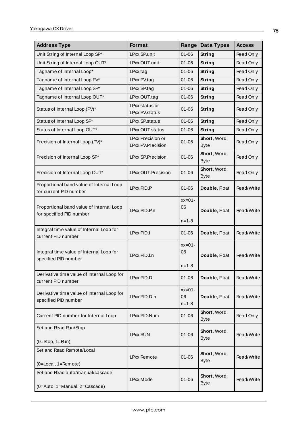| <b>Address Type</b>                                                  | Format                                 | Range                         | Data Types                  | <b>Access</b> |
|----------------------------------------------------------------------|----------------------------------------|-------------------------------|-----------------------------|---------------|
| Unit String of Internal Loop SP*                                     | LPxx.SP.unit                           | $01 - 06$                     | <b>String</b>               | Read Only     |
| Unit String of Internal Loop OUT*                                    | LPxx.OUT.unit                          | $01 - 06$                     | <b>String</b>               | Read Only     |
| Tagname of Internal Loop*                                            | $L$ Pxx.tag                            | $01 - 06$                     | String                      | Read Only     |
| Tagname of Internal Loop PV*                                         | LPxx.PV.tag                            | $01 - 06$                     | String                      | Read Only     |
| Tagname of Internal Loop SP*                                         | LPxx.SP.tag                            | $01 - 06$                     | <b>String</b>               | Read Only     |
| Tagname of Internal Loop OUT*                                        | LPxx.OUT.tag                           | $01 - 06$                     | <b>String</b>               | Read Only     |
| Status of Internal Loop (PV)*                                        | LPxx.status or<br>LPxx.PV.status       | $01 - 06$                     | String                      | Read Only     |
| Status of Internal Loop SP*                                          | LPxx.SP.status                         | $01 - 06$                     | <b>String</b>               | Read Only     |
| Status of Internal Loop OUT*                                         | LPxx.OUT.status                        | $01 - 06$                     | String                      | Read Only     |
| Precision of Internal Loop (PV)*                                     | LPxx.Precision or<br>LPxx.PV.Precision | $01 - 06$                     | Short, Word,<br><b>Byte</b> | Read Only     |
| Precision of Internal Loop SP*                                       | LPxx.SP.Precision                      | $01 - 06$                     | Short, Word,<br><b>Byte</b> | Read Only     |
| Precision of Internal Loop OUT*                                      | LPxx.OUT.Precision                     | $01 - 06$                     | Short, Word,<br><b>Byte</b> | Read Only     |
| Proportional band value of Internal Loop<br>for current PID number   | LPxx.PID.P                             | $01 - 06$                     | Double, Float               | Read/Write    |
| Proportional band value of Internal Loop<br>for specified PID number | LPxx.PID.P.n                           | $xx=01-$<br>06                | Double, Float               | Read/Write    |
|                                                                      |                                        | $n = 1 - 8$                   |                             |               |
| Integral time value of Internal Loop for<br>current PID number       | LPxx.PID.I                             | $01 - 06$                     | Double, Float               | Read/Write    |
| Integral time value of Internal Loop for<br>specified PID number     | LPxx.PID.I.n                           | $xx=01-$<br>06<br>$n = 1 - 8$ | Double, Float               | Read/Write    |
| Derivative time value of Internal Loop for<br>current PID number     | LPxx.PID.D                             | $01 - 06$                     | Double, Float               | Read/Write    |
| Derivative time value of Internal Loop for<br>specified PID number   | LPxx.PID.D.n                           | $xx=01-$<br>06<br>$n = 1 - 8$ | Double, Float               | Read/Write    |
| Current PID number for Internal Loop                                 | LPxx.PID.Num                           | 01-06                         | Short, Word,<br><b>Byte</b> | Read Only     |
| Set and Read Run/Stop                                                | LPxx.RUN                               | $01 - 06$                     | Short, Word,<br><b>Byte</b> | Read/Write    |
| $(0=Stop, 1=Run)$                                                    |                                        |                               |                             |               |
| Set and Read Remote/Local<br>(0=Local, 1=Remote)                     | LPxx.Remote                            | $01 - 06$                     | Short, Word,<br><b>Byte</b> | Read/Write    |
| Set and Read auto/manual/cascade<br>(0=Auto, 1=Manual, 2=Cascade)    | LPxx.Mode                              | $01 - 06$                     | Short, Word,<br><b>Byte</b> | Read/Write    |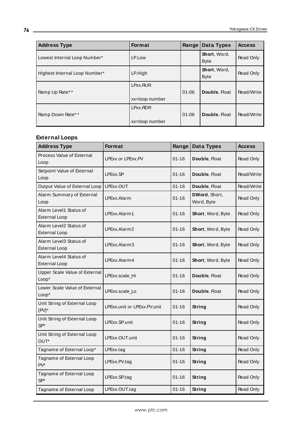| <b>Address Type</b>           | <b>Format</b>              | Range     | Data Types                  | <b>Access</b> |
|-------------------------------|----------------------------|-----------|-----------------------------|---------------|
| Lowest Internal Loop Number*  | LP.Low                     |           | Short, Word,<br><b>Byte</b> | Read Only     |
| Highest Internal Loop Number* | LP.High                    |           | Short, Word,<br><b>Byte</b> | Read Only     |
| Ramp Up Rate**                | LPxx.RUR<br>xx=loop number | $01 - 06$ | Double, Float               | Read/Write    |
| Ramp Down Rate**              | LPxx.RDR<br>xx=loop number | $01 - 06$ | Double, Float               | Read/Write    |

#### **External Loops**

| <b>Address Type</b>                            | Format                      | Range     | <b>Data Types</b>           | <b>Access</b> |
|------------------------------------------------|-----------------------------|-----------|-----------------------------|---------------|
| Process Value of External<br>Loop              | <b>LPExx or LPExx.PV</b>    | $01 - 16$ | Double, Float               | Read Only     |
| Setpoint Value of External<br>Loop             | LPExx.SP                    | $01 - 16$ | Double, Float               | Read/Write    |
| Output Value of External Loop                  | LPExx.OUT                   | $01 - 16$ | Double, Float               | Read/Write    |
| Alarm Summary of External<br>Loop              | LPExx.Alarm                 | $01 - 16$ | DWord, Short,<br>Word, Byte | Read Only     |
| Alarm Level1 Status of<br><b>External Loop</b> | LPExx.Alarm1                | $01 - 16$ | Short, Word, Byte           | Read Only     |
| Alarm Level2 Status of<br><b>External Loop</b> | LPExx.Alarm2                | $01 - 16$ | Short, Word, Byte           | Read Only     |
| Alarm Level3 Status of<br><b>External Loop</b> | LPExx.Alarm3                | $01 - 16$ | Short, Word, Byte           | Read Only     |
| Alarm Level4 Status of<br><b>External Loop</b> | LPExx.Alarm4                | $01 - 16$ | Short, Word, Byte           | Read Only     |
| Upper Scale Value of External<br>Loop*         | LPExx.scale_Hi              | $01 - 16$ | Double, Float               | Read Only     |
| Lower Scale Value of External<br>Loop*         | LPExx.scale_Lo              | $01 - 16$ | Double, Float               | Read Only     |
| Unit String of External Loop<br>$(PV)^*$       | LPExx.unit or LPExx.PV.unit | $01 - 16$ | <b>String</b>               | Read Only     |
| Unit String of External Loop<br>$SP*$          | LPExx.SP.unit               | $01 - 16$ | <b>String</b>               | Read Only     |
| Unit String of External Loop<br>OUT*           | LPExx.OUT.unit              | $01 - 16$ | String                      | Read Only     |
| Tagname of External Loop*                      | LPExx.tag                   | $01 - 16$ | <b>String</b>               | Read Only     |
| Tagname of External Loop<br>$PV^*$             | LPExx.PV.tag                | $01 - 16$ | <b>String</b>               | Read Only     |
| Tagname of External Loop<br>$SP*$              | LPExx.SP.tag                | $01 - 16$ | <b>String</b>               | Read Only     |
| Tagname of External Loop                       | LPExx.OUT.tag               | $01 - 16$ | <b>String</b>               | Read Only     |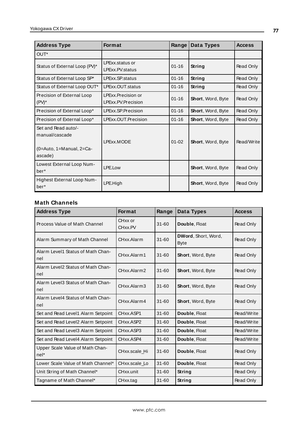| <b>Address Type</b>                                                          | <b>Format</b>                            | Range     | Data Types               | <b>Access</b> |
|------------------------------------------------------------------------------|------------------------------------------|-----------|--------------------------|---------------|
| OUT*                                                                         |                                          |           |                          |               |
| Status of External Loop (PV)*                                                | LPExx.status or<br>LPExx.PV.status       | $01 - 16$ | String                   | Read Only     |
| Status of External Loop SP*                                                  | LPExx.SP.status                          | $01 - 16$ | String                   | Read Only     |
| Status of External Loop OUT*                                                 | LPExx.OUT.status                         | $01 - 16$ | String                   | Read Only     |
| Precision of External Loop<br>$(PV)^*$                                       | LPExx.Precision or<br>LPExx.PV.Precision | $01 - 16$ | Short, Word, Byte        | Read Only     |
| Precision of External Loop*                                                  | LPExx.SP.Precision                       | $01 - 16$ | <b>Short, Word, Byte</b> | Read Only     |
| Precision of External Loop*                                                  | LPExx.OUT.Precision                      | $01 - 16$ | <b>Short, Word, Byte</b> | Read Only     |
| Set and Read auto/-<br>manual/cascade<br>(0=Auto, 1=Manual, 2=Ca-<br>ascade) | <b>LPExx.MODE</b>                        | $01 - 02$ | Short, Word, Byte        | Read/Write    |
| Lowest External Loop Num-<br>ber <sup>*</sup>                                | LPE.Low                                  |           | Short, Word, Byte        | Read Only     |
| Highest External Loop Num-<br>ber <sup>*</sup>                               | LPE.High                                 |           | Short, Word, Byte        | Read Only     |

### **Math Channels**

| <b>Address Type</b>                      | <b>Format</b>      | Range     | Data Types                         | <b>Access</b> |
|------------------------------------------|--------------------|-----------|------------------------------------|---------------|
| Process Value of Math Channel            | CHxx or<br>CHxx.PV | $31 - 60$ | Double, Float                      | Read Only     |
| Alarm Summary of Math Channel            | CHxx.Alarm         | $31 - 60$ | DWord, Short, Word,<br><b>Byte</b> | Read Only     |
| Alarm Level1 Status of Math Chan-<br>nel | CHxx.Alarm1        | $31 - 60$ | Short, Word, Byte                  | Read Only     |
| Alarm Level2 Status of Math Chan-<br>nel | CHxx.Alarm2        | $31 - 60$ | Short, Word, Byte                  | Read Only     |
| Alarm Level3 Status of Math Chan-<br>nel | CHxx.Alarm3        | $31 - 60$ | Short, Word, Byte                  | Read Only     |
| Alarm Level4 Status of Math Chan-<br>nel | CHxx.Alarm4        | $31 - 60$ | Short, Word, Byte                  | Read Only     |
| Set and Read Level1 Alarm Setpoint       | CHxx.ASP1          | $31 - 60$ | Double, Float                      | Read/Write    |
| Set and Read Level2 Alarm Setpoint       | CHxx.ASP2          | $31 - 60$ | Double, Float                      | Read/Write    |
| Set and Read Level3 Alarm Setpoint       | CHxx.ASP3          | $31 - 60$ | Double, Float                      | Read/Write    |
| Set and Read Level4 Alarm Setpoint       | CHxx.ASP4          | $31 - 60$ | Double, Float                      | Read/Write    |
| Upper Scale Value of Math Chan-<br>nel*  | CHxx.scale Hi      | $31 - 60$ | Double, Float                      | Read Only     |
| Lower Scale Value of Math Channel*       | CHxx.scale Lo      | $31 - 60$ | Double, Float                      | Read Only     |
| Unit String of Math Channel*             | CHxx.unit          | $31 - 60$ | String                             | Read Only     |
| Tagname of Math Channel*                 | CHxx.tag           | $31 - 60$ | String                             | Read Only     |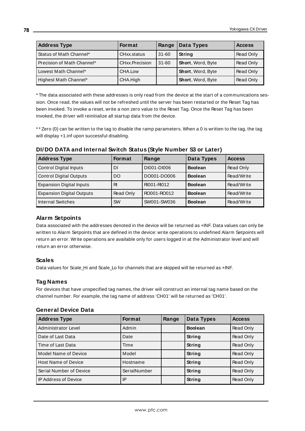| <b>Address Type</b>          | <b>Format</b>  | Range | Data Types               | <b>Access</b> |
|------------------------------|----------------|-------|--------------------------|---------------|
| Status of Math Channel*      | CHxx.status    | 31-60 | String                   | Read Only     |
| l Precision of Math Channel* | CHxx.Precision | 31-60 | Short, Word, Byte        | Read Only     |
| Lowest Math Channel*         | CHA.Low        |       | Short, Word, Byte        | Read Only     |
| Highest Math Channel*        | CHA.High       |       | <b>Short, Word, Byte</b> | Read Only     |

\* The data associated with these addresses is only read from the device at the start of a communications session. Once read, the values will not be refreshed until the server has been restarted or the Reset Tag has been invoked. To invoke a reset, write a non zero value to the Reset Tag. Once the Reset Tag has been invoked, the driver will reinitialize all startup data from the device.

\* \* Zero (0) can be written to the tag to disable the ramp parameters. When a 0 is written to the tag, the tag will display +1.inf upon successful disabling.

| <b>Address Type</b>              | <b>Format</b> | Range       | Data Types     | <b>Access</b> |
|----------------------------------|---------------|-------------|----------------|---------------|
| <b>Control Digital Inputs</b>    | DI            | DI001-DI006 | <b>Boolean</b> | Read Only     |
| <b>Control Digital Outputs</b>   | DO            | DO001-DO006 | <b>Boolean</b> | Read/Write    |
| <b>Expansion Digital Inputs</b>  | RI            | RI001-RI012 | <b>Boolean</b> | Read/Write    |
| <b>Expansion Digital Outputs</b> | Read Only     | RO001-RO012 | <b>Boolean</b> | Read/Write    |
| Internal Switches                | <b>SW</b>     | SW001-SW036 | <b>Boolean</b> | Read/Write    |

#### **DI/DO DATA and Internal Switch Status (Style Number S3 or Later)**

### **Alarm Setpoints**

Data associated with the addresses denoted in the device will be returned as +INF. Data values can only be written to Alarm Setpoints that are defined in the device: write operations to undefined Alarm Setpoints will return an error. Write operations are available only for users logged in at the Administrator level and will return an error otherwise.

#### **Scales**

Data values for Scale\_Hi and Scale\_Lo for channels that are skipped will be returned as +INF.

### **Tag Names**

For devices that have unspecified tag names, the driver will construct an internal tag name based on the channel number. For example, the tag name of address 'CH01' will be returned as 'CH01'.

| <b>Address Type</b>        | <b>Format</b> | Range | Data Types     | <b>Access</b> |
|----------------------------|---------------|-------|----------------|---------------|
| Administrator Level        | Admin         |       | <b>Boolean</b> | Read Only     |
| Date of Last Data          | Date          |       | String         | Read Only     |
| Time of Last Data          | Time          |       | String         | Read Only     |
| Model Name of Device       | Model         |       | String         | Read Only     |
| <b>Host Name of Device</b> | Hostname      |       | String         | Read Only     |
| Serial Number of Device    | SerialNumber  |       | String         | Read Only     |
| IP Address of Device       | IP            |       | String         | Read Only     |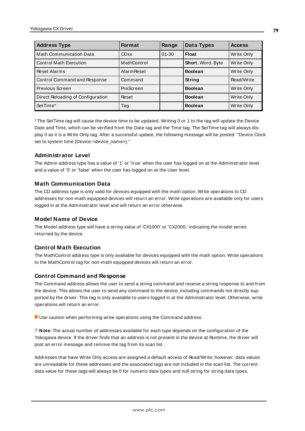| <b>Address Type</b>               | <b>Format</b>      | Range     | Data Types               | <b>Access</b> |
|-----------------------------------|--------------------|-----------|--------------------------|---------------|
| <b>Math Communication Data</b>    | <b>CDxx</b>        | $01 - 30$ | Float                    | Write Only    |
| <b>Control Math Execution</b>     | MathControl        |           | <b>Short, Word, Byte</b> | Write Only    |
| <b>Reset Alarms</b>               | <b>Alarm Reset</b> |           | <b>Boolean</b>           | Write Only    |
| Control Command and Response      | Command            |           | String                   | Read/Write    |
| Previous Screen                   | PreScreen          |           | <b>Boolean</b>           | Write Only    |
| Direct Reloading of Configuration | Reset              |           | <b>Boolean</b>           | Write Only    |
| SetTime*                          | Tag                |           | <b>Boolean</b>           | Write Only    |

\* The SetTime tag will cause the device time to be updated. Writing 0 or 1 to the tag will update the Device Date and Time, which can be verified from the Date tag and the Time tag. The SetTime tag will always display 0 as it is a Write Only tag. After a successful update, the following message will be posted: "Device Clock set to system time [Device <device\_name>]."

#### **Administrator Level**

The Admin address type has a value of '1' or 'true' when the user has logged on at the Administrator level and a value of '0' or 'false' when the user has logged on at the User level.

### **Math Communication Data**

The CD address type is only valid for devices equipped with the math option. Write operations to CD addresses for non-math equipped devices will return an error. Write operations are available only for users logged in at the Administrator level and will return an error otherwise.

#### **Model Name of Device**

The Model address type will have a string value of 'CX1000' or 'CX2000,' indicating the model series returned by the device.

### **Control Math Execution**

The MathControl address type is only available for devices equipped with the math option. Write operations to the MathControl tag for non-math equipped devices will return an error.

#### **Control Command and Response**

The Command address allows the user to send a string command and receive a string response to and from the device. This allows the user to send any command to the device, including commands not directly supported by the driver. This tag is only available to users logged in at the Administrator level. Otherwise, write operations will return an error.

Use caution when performing write operations using the Command address.

**Note:** The actual number of addresses available for each type depends on the configuration of the Yokogawa device. If the driver finds that an address is not present in the device at Runtime, the driver will post an error message and remove the tag from its scan list.

Addresses that have Write Only access are assigned a default access of Read/Write; however, data values are unreadable for these addresses and the associated tags are not included in the scan list. The current data value for these tags will always be 0 for numeric data types and null string for string data types.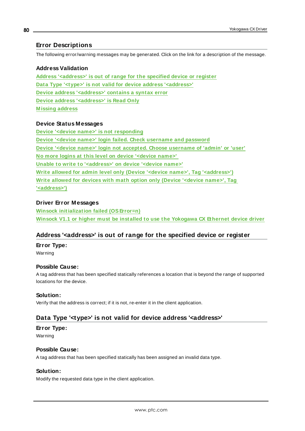### <span id="page-79-2"></span>**Error Descriptions**

The following error/warning messages may be generated. Click on the link for a description of the message.

#### **Address Validation**

**Address ['<address>'](#page-79-0) is out of range for the specified device or register Data Type '<type>' is not valid for device address ['<address>'](#page-79-1) Device address ['<address>'](#page-80-0) contains a syntax error Device address ['<address>'](#page-80-1) is Read Only [M issing](#page-80-2) address**

#### **Device Status Messages**

**Device '<device name>' is not [responding](#page-80-3) Device '<device name>' login failed. Check [username](#page-81-0) and password Device '<device name>' login not accepted. Choose [username](#page-81-1) of 'admin' or 'user' No more logins at this level on device ['<device](#page-81-2) name>' Unable to write to ['<address>'](#page-82-0) on device '<device name>' Write allowed for admin level only (Device '<device name>', Tag ['<address>'\)](#page-82-1) Write allowed for devices with math option only (Device ['<device](#page-82-2) name>', Tag ['<address>'\)](#page-82-2)**

#### **Driver Error Messages**

**Winsock [initialization](#page-83-0) failed (OSError=n) Winsock V1.1 or higher must be installed to use the [Yokogawa](#page-83-1) CX Ethernet device driver**

# <span id="page-79-0"></span>**Address '<address>' is out of range for the specified device or register**

#### **Error Type:**

Warning

#### **Possible Cause:**

A tag address that has been specified statically references a location that is beyond the range of supported locations for the device.

#### **Solution:**

<span id="page-79-1"></span>Verify that the address is correct; if it is not, re-enter it in the client application.

# **Data Type '<type>' is not valid for device address '<address>'**

#### **Error Type:**

Warning

#### **Possible Cause:**

A tag address that has been specified statically has been assigned an invalid data type.

#### **Solution:**

Modify the requested data type in the client application.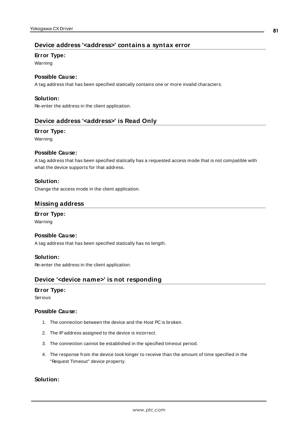### <span id="page-80-0"></span>**Device address '<address>' contains a syntax error**

#### **Error Type:**

Warning

#### **Possible Cause:**

A tag address that has been specified statically contains one or more invalid characters.

#### **Solution:**

<span id="page-80-1"></span>Re-enter the address in the client application.

#### **Device address '<address>' is Read Only**

#### **Error Type:**

Warning

#### **Possible Cause:**

A tag address that has been specified statically has a requested access mode that is not compatible with what the device supports for that address.

#### **Solution:**

<span id="page-80-2"></span>Change the access mode in the client application.

#### **Missing address**

# **Error Type:**

Warning

#### **Possible Cause:**

A tag address that has been specified statically has no length.

#### **Solution:**

<span id="page-80-3"></span>Re-enter the address in the client application.

#### **Device '<device name>' is not responding**

#### **Error Type:**

Serious

#### **Possible Cause:**

- 1. The connection between the device and the Host PC is broken.
- 2. The IPaddress assigned to the device is incorrect.
- 3. The connection cannot be established in the specified timeout period.
- 4. The response from the device took longer to receive than the amount of time specified in the "Request Timeout" device property.

### **Solution:**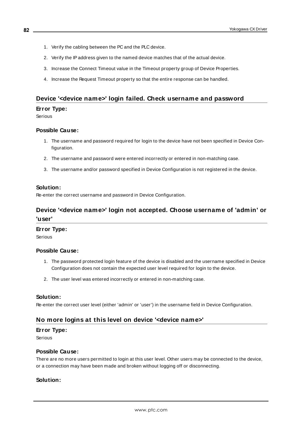- 1. Verify the cabling between the PC and the PLC device.
- 2. Verify the IPaddress given to the named device matches that of the actual device.
- 3. Increase the Connect Timeout value in the Timeout property group of Device Properties.
- 4. Increase the Request Timeout property so that the entire response can be handled.

#### <span id="page-81-0"></span>**Device '<device name>' login failed. Check username and password**

#### **Error Type:**

Serious

#### **Possible Cause:**

- 1. The username and password required for login to the device have not been specified in Device Configuration.
- 2. The username and password were entered incorrectly or entered in non-matching case.
- 3. The username and/or password specified in Device Configuration is not registered in the device.

#### **Solution:**

<span id="page-81-1"></span>Re-enter the correct username and password in Device Configuration.

# **Device '<device name>' login not accepted. Choose username of 'admin' or 'user'**

#### **Error Type:**

Serious

#### **Possible Cause:**

- 1. The password protected login feature of the device is disabled and the username specified in Device Configuration does not contain the expected user level required for login to the device.
- 2. The user level was entered incorrectly or entered in non-matching case.

#### **Solution:**

<span id="page-81-2"></span>Re-enter the correct user level (either 'admin' or 'user') in the username field in Device Configuration.

### **No more logins at this level on device '<device name>'**

#### **Error Type:**

Serious

#### **Possible Cause:**

There are no more users permitted to login at this user level. Other users may be connected to the device, or a connection may have been made and broken without logging off or disconnecting.

### **Solution:**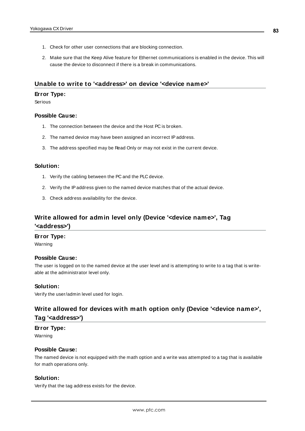- 1. Check for other user connections that are blocking connection.
- 2. Make sure that the Keep Alive feature for Ethernet communications is enabled in the device. This will cause the device to disconnect if there is a break in communications.

#### <span id="page-82-0"></span>**Unable to write to '<address>' on device '<device name>'**

#### **Error Type:**

Serious

#### **Possible Cause:**

- 1. The connection between the device and the Host PC is broken.
- 2. The named device may have been assigned an incorrect IPaddress.
- 3. The address specified may be Read Only or may not exist in the current device.

### **Solution:**

- 1. Verify the cabling between the PC and the PLC device.
- 2. Verify the IPaddress given to the named device matches that of the actual device.
- 3. Check address availability for the device.

# <span id="page-82-1"></span>**Write allowed for admin level only (Device '<device name>', Tag '<address>')**

#### **Error Type:**

Warning

#### **Possible Cause:**

The user is logged on to the named device at the user level and is attempting to write to a tag that is writeable at the administrator level only.

#### **Solution:**

<span id="page-82-2"></span>Verify the user/admin level used for login.

# **Write allowed for devices with math option only (Device '<device name>', Tag '<address>')**

### **Error Type:**

Warning

#### **Possible Cause:**

The named device is not equipped with the math option and a write was attempted to a tag that is available for math operations only.

#### **Solution:**

Verify that the tag address exists for the device.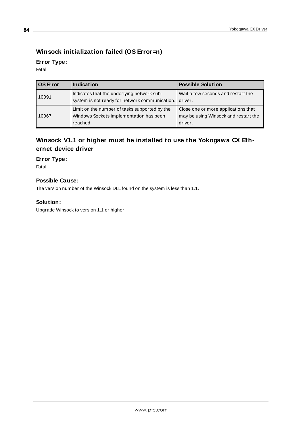# <span id="page-83-0"></span>**Winsock initialization failed (OS Error=n)**

# **Error Type:**

Fatal

| l OS Error | Indication                                                                                           | <b>Possible Solution</b>                                                               |
|------------|------------------------------------------------------------------------------------------------------|----------------------------------------------------------------------------------------|
| 10091      | Indicates that the underlying network sub-<br>system is not ready for network communication.         | Wait a few seconds and restart the<br>driver.                                          |
| 10067      | Limit on the number of tasks supported by the<br>Windows Sockets implementation has been<br>reached. | Close one or more applications that<br>may be using Winsock and restart the<br>driver. |

# <span id="page-83-1"></span>**Winsock V1.1 or higher must be installed to use the Yokogawa CX Ethernet device driver**

### **Error Type:**

Fatal

### **Possible Cause:**

The version number of the Winsock DLL found on the system is less than 1.1.

### **Solution:**

Upgrade Winsock to version 1.1 or higher.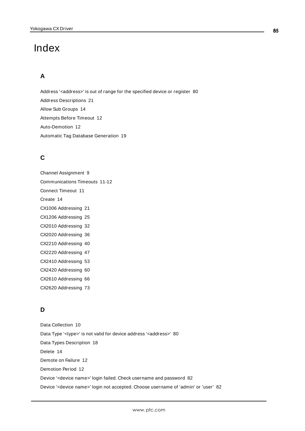# Index

# **A**

Address '<address>' is out of range for the specified device or register [80](#page-79-0) Address Descriptions [21](#page-20-0) Allow Sub Groups [14](#page-13-0) Attempts Before Timeout [12](#page-11-0) Auto-Demotion [12](#page-11-1) Automatic Tag Database Generation [19](#page-18-0)

# **C**

Channel Assignment [9](#page-8-0) Communications Timeouts [11-12](#page-10-0) Connect Timeout [11](#page-10-1) Create [14](#page-13-1) CX1006 Addressing [21](#page-20-1) CX1206 Addressing [25](#page-24-0) CX2010 Addressing [32](#page-31-0) CX2020 Addressing [36](#page-35-0) CX2210 Addressing [40](#page-39-0) CX2220 Addressing [47](#page-46-0) CX2410 Addressing [53](#page-52-0) CX2420 Addressing [60](#page-59-0) CX2610 Addressing [66](#page-65-0) CX2620 Addressing [73](#page-72-0)

# **D**

Data Collection [10](#page-9-0) Data Type '<type>' is not valid for device address '<aaddress>' [80](#page-79-1) Data Types Description [18](#page-17-0) Delete [14](#page-13-2) Demote on Failure [12](#page-11-2) Demotion Period [12](#page-11-3) Device '<device name>' login failed. Check username and password [82](#page-81-0) Device '<device name>' login not accepted. Choose username of 'admin' or 'user' [82](#page-81-1)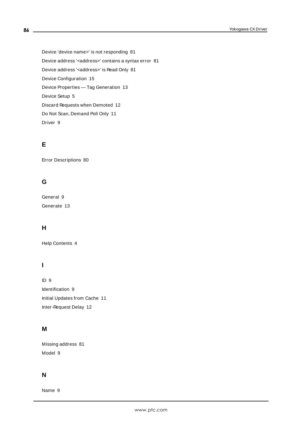Device 'device name>' is not responding [81](#page-80-3) Device address '< address>' contains a syntax error [81](#page-80-0) Device address '< address>' is Read Only [81](#page-80-1) Device Configuration [15](#page-14-0) Device Properties — Tag Generation [13](#page-12-0) Device Setup [5](#page-4-0) Discard Requests when Demoted [12](#page-11-4) Do Not Scan, Demand Poll Only [11](#page-10-2) Driver [9](#page-8-1)

# **E**

Error Descriptions [80](#page-79-2)

# **G**

General [9](#page-8-2) Generate [13](#page-12-1)

# **H**

Help Contents [4](#page-3-0)

# **I**

ID [9](#page-8-3) Identification [9](#page-8-2) Initial Updates from Cache [11](#page-10-3) Inter-Request Delay [12](#page-11-5)

# **M**

Missing address [81](#page-80-2) Model [9](#page-8-4)

# **N**

Name [9](#page-8-5)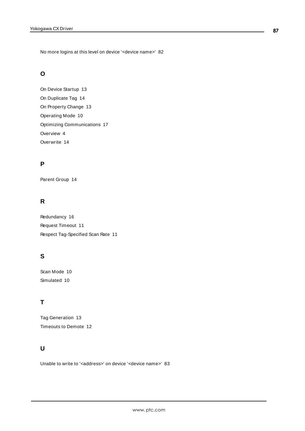No more logins at this level on device '<device name>' [82](#page-81-2)

# **O**

On Device Startup [13](#page-12-2) On Duplicate Tag [14](#page-13-3) On Property Change [13](#page-12-3) Operating Mode [10](#page-9-1) Optimizing Communications [17](#page-16-0) Overview [4](#page-3-1) Overwrite [14](#page-13-4)

# **P**

Parent Group [14](#page-13-5)

# **R**

Redundancy [16](#page-15-0) Request Timeout [11](#page-10-4) Respect Tag-Specified Scan Rate [11](#page-10-5)

# **S**

Scan Mode [10](#page-9-2) Simulated [10](#page-9-3)

# **T**

Tag Generation [13](#page-12-0) Timeouts to Demote [12](#page-11-6)

# **U**

Unable to write to '<address>' on device '<device name>' [83](#page-82-0)